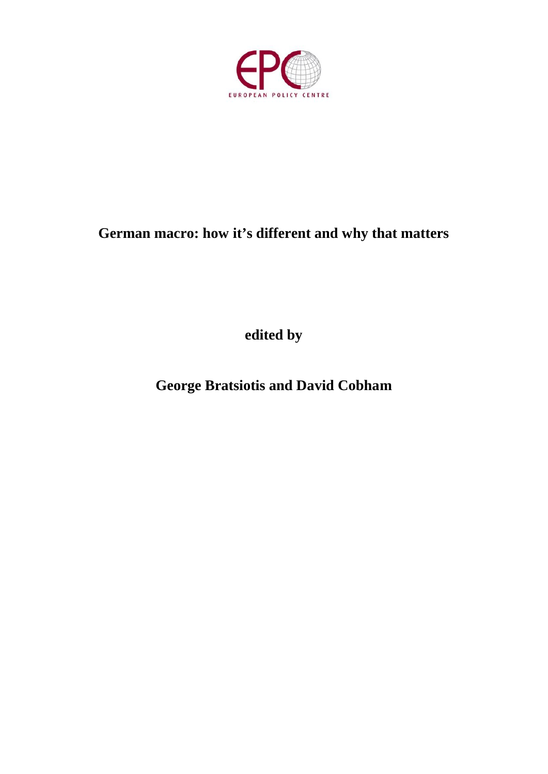

# **German macro: how it's different and why that matters**

**edited by**

**George Bratsiotis and David Cobham**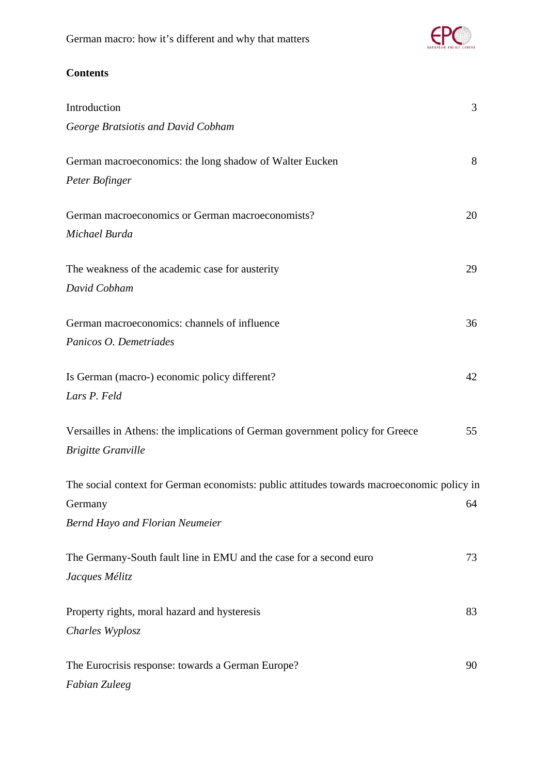

## **Contents**

| Introduction                                                                               | 3  |
|--------------------------------------------------------------------------------------------|----|
| George Bratsiotis and David Cobham                                                         |    |
| German macroeconomics: the long shadow of Walter Eucken                                    | 8  |
| Peter Bofinger                                                                             |    |
| German macroeconomics or German macroeconomists?                                           | 20 |
| Michael Burda                                                                              |    |
| The weakness of the academic case for austerity                                            | 29 |
| David Cobham                                                                               |    |
| German macroeconomics: channels of influence                                               | 36 |
| Panicos O. Demetriades                                                                     |    |
| Is German (macro-) economic policy different?                                              | 42 |
| Lars P. Feld                                                                               |    |
| Versailles in Athens: the implications of German government policy for Greece              | 55 |
| <b>Brigitte Granville</b>                                                                  |    |
| The social context for German economists: public attitudes towards macroeconomic policy in |    |
| Germany                                                                                    | 64 |
| <b>Bernd Hayo and Florian Neumeier</b>                                                     |    |
| The Germany-South fault line in EMU and the case for a second euro                         | 73 |
| Jacques Mélitz                                                                             |    |
| Property rights, moral hazard and hysteresis                                               | 83 |
| Charles Wyplosz                                                                            |    |
| The Eurocrisis response: towards a German Europe?                                          | 90 |
| <b>Fabian Zuleeg</b>                                                                       |    |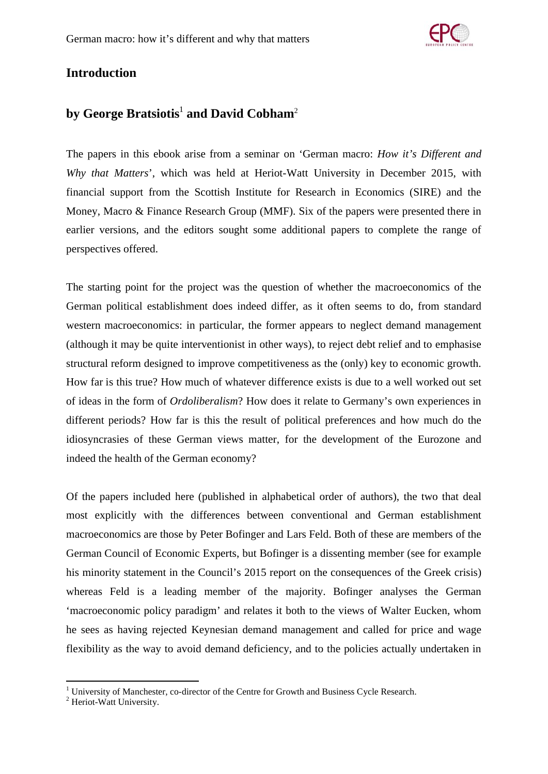

### **Introduction**

## **by George Bratsiotis**<sup>1</sup> **and David Cobham**<sup>2</sup>

The papers in this ebook arise from a seminar on 'German macro: *How it's Different and Why that Matters*', which was held at Heriot-Watt University in December 2015, with financial support from the Scottish Institute for Research in Economics (SIRE) and the Money, Macro & Finance Research Group (MMF). Six of the papers were presented there in earlier versions, and the editors sought some additional papers to complete the range of perspectives offered.

The starting point for the project was the question of whether the macroeconomics of the German political establishment does indeed differ, as it often seems to do, from standard western macroeconomics: in particular, the former appears to neglect demand management (although it may be quite interventionist in other ways), to reject debt relief and to emphasise structural reform designed to improve competitiveness as the (only) key to economic growth. How far is this true? How much of whatever difference exists is due to a well worked out set of ideas in the form of *Ordoliberalism*? How does it relate to Germany's own experiences in different periods? How far is this the result of political preferences and how much do the idiosyncrasies of these German views matter, for the development of the Eurozone and indeed the health of the German economy?

Of the papers included here (published in alphabetical order of authors), the two that deal most explicitly with the differences between conventional and German establishment macroeconomics are those by Peter Bofinger and Lars Feld. Both of these are members of the German Council of Economic Experts, but Bofinger is a dissenting member (see for example his minority statement in the Council's 2015 report on the consequences of the Greek crisis) whereas Feld is a leading member of the majority. Bofinger analyses the German 'macroeconomic policy paradigm' and relates it both to the views of Walter Eucken, whom he sees as having rejected Keynesian demand management and called for price and wage flexibility as the way to avoid demand deficiency, and to the policies actually undertaken in

<sup>&</sup>lt;sup>1</sup> University of Manchester, co-director of the Centre for Growth and Business Cycle Research.

<sup>&</sup>lt;sup>2</sup> Heriot-Watt University.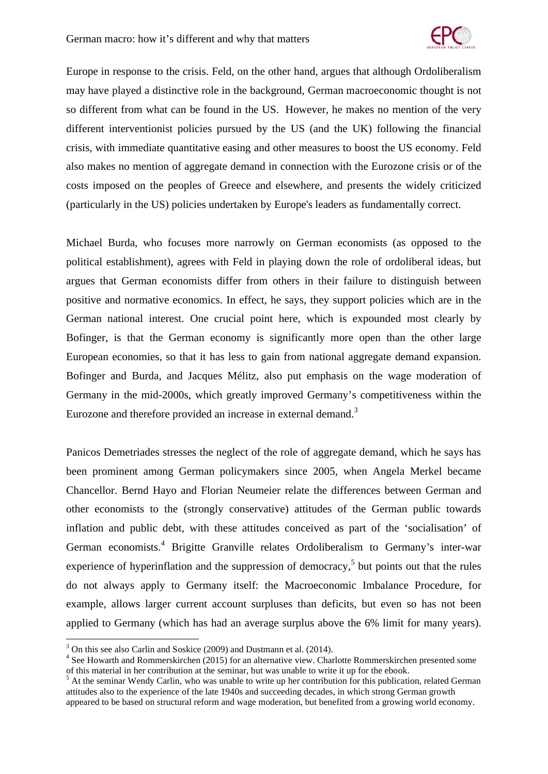

Europe in response to the crisis. Feld, on the other hand, argues that although Ordoliberalism may have played a distinctive role in the background, German macroeconomic thought is not so different from what can be found in the US. However, he makes no mention of the very different interventionist policies pursued by the US (and the UK) following the financial crisis, with immediate quantitative easing and other measures to boost the US economy. Feld also makes no mention of aggregate demand in connection with the Eurozone crisis or of the costs imposed on the peoples of Greece and elsewhere, and presents the widely criticized (particularly in the US) policies undertaken by Europe's leaders as fundamentally correct.

Michael Burda, who focuses more narrowly on German economists (as opposed to the political establishment), agrees with Feld in playing down the role of ordoliberal ideas, but argues that German economists differ from others in their failure to distinguish between positive and normative economics. In effect, he says, they support policies which are in the German national interest. One crucial point here, which is expounded most clearly by Bofinger, is that the German economy is significantly more open than the other large European economies, so that it has less to gain from national aggregate demand expansion. Bofinger and Burda, and Jacques Mélitz, also put emphasis on the wage moderation of Germany in the mid-2000s, which greatly improved Germany's competitiveness within the Eurozone and therefore provided an increase in external demand.<sup>3</sup>

Panicos Demetriades stresses the neglect of the role of aggregate demand, which he says has been prominent among German policymakers since 2005, when Angela Merkel became Chancellor. Bernd Hayo and Florian Neumeier relate the differences between German and other economists to the (strongly conservative) attitudes of the German public towards inflation and public debt, with these attitudes conceived as part of the 'socialisation' of German economists.<sup>4</sup> Brigitte Granville relates Ordoliberalism to Germany's inter-war experience of hyperinflation and the suppression of democracy, $5$  but points out that the rules do not always apply to Germany itself: the Macroeconomic Imbalance Procedure, for example, allows larger current account surpluses than deficits, but even so has not been applied to Germany (which has had an average surplus above the 6% limit for many years).

 $3$  On this see also Carlin and Soskice (2009) and Dustmann et al. (2014).

<sup>4</sup> See Howarth and Rommerskirchen (2015) for an alternative view. Charlotte Rommerskirchen presented some of this material in her contribution at the seminar, but was unable to write it up for the ebook.

<sup>&</sup>lt;sup>5</sup> At the seminar Wendy Carlin, who was unable to write up her contribution for this publication, related German attitudes also to the experience of the late 1940s and succeeding decades, in which strong German growth appeared to be based on structural reform and wage moderation, but benefited from a growing world economy.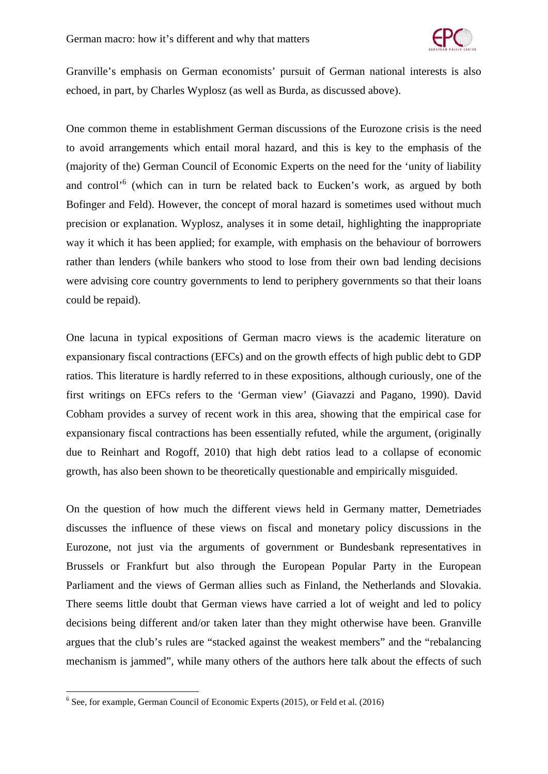

Granville's emphasis on German economists' pursuit of German national interests is also echoed, in part, by Charles Wyplosz (as well as Burda, as discussed above).

One common theme in establishment German discussions of the Eurozone crisis is the need to avoid arrangements which entail moral hazard, and this is key to the emphasis of the (majority of the) German Council of Economic Experts on the need for the 'unity of liability and control'6 (which can in turn be related back to Eucken's work, as argued by both Bofinger and Feld). However, the concept of moral hazard is sometimes used without much precision or explanation. Wyplosz, analyses it in some detail, highlighting the inappropriate way it which it has been applied; for example, with emphasis on the behaviour of borrowers rather than lenders (while bankers who stood to lose from their own bad lending decisions were advising core country governments to lend to periphery governments so that their loans could be repaid).

One lacuna in typical expositions of German macro views is the academic literature on expansionary fiscal contractions (EFCs) and on the growth effects of high public debt to GDP ratios. This literature is hardly referred to in these expositions, although curiously, one of the first writings on EFCs refers to the 'German view' (Giavazzi and Pagano, 1990). David Cobham provides a survey of recent work in this area, showing that the empirical case for expansionary fiscal contractions has been essentially refuted, while the argument, (originally due to Reinhart and Rogoff, 2010) that high debt ratios lead to a collapse of economic growth, has also been shown to be theoretically questionable and empirically misguided.

On the question of how much the different views held in Germany matter, Demetriades discusses the influence of these views on fiscal and monetary policy discussions in the Eurozone, not just via the arguments of government or Bundesbank representatives in Brussels or Frankfurt but also through the European Popular Party in the European Parliament and the views of German allies such as Finland, the Netherlands and Slovakia. There seems little doubt that German views have carried a lot of weight and led to policy decisions being different and/or taken later than they might otherwise have been. Granville argues that the club's rules are "stacked against the weakest members" and the "rebalancing mechanism is jammed", while many others of the authors here talk about the effects of such

 $6$  See, for example, German Council of Economic Experts (2015), or Feld et al. (2016)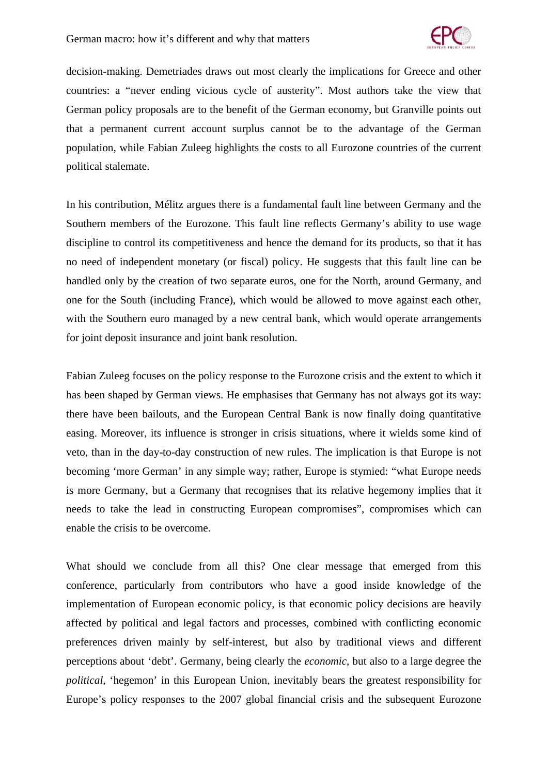

decision-making. Demetriades draws out most clearly the implications for Greece and other countries: a "never ending vicious cycle of austerity". Most authors take the view that German policy proposals are to the benefit of the German economy, but Granville points out that a permanent current account surplus cannot be to the advantage of the German population, while Fabian Zuleeg highlights the costs to all Eurozone countries of the current political stalemate.

In his contribution, Mélitz argues there is a fundamental fault line between Germany and the Southern members of the Eurozone. This fault line reflects Germany's ability to use wage discipline to control its competitiveness and hence the demand for its products, so that it has no need of independent monetary (or fiscal) policy. He suggests that this fault line can be handled only by the creation of two separate euros, one for the North, around Germany, and one for the South (including France), which would be allowed to move against each other, with the Southern euro managed by a new central bank, which would operate arrangements for joint deposit insurance and joint bank resolution.

Fabian Zuleeg focuses on the policy response to the Eurozone crisis and the extent to which it has been shaped by German views. He emphasises that Germany has not always got its way: there have been bailouts, and the European Central Bank is now finally doing quantitative easing. Moreover, its influence is stronger in crisis situations, where it wields some kind of veto, than in the day-to-day construction of new rules. The implication is that Europe is not becoming 'more German' in any simple way; rather, Europe is stymied: "what Europe needs is more Germany, but a Germany that recognises that its relative hegemony implies that it needs to take the lead in constructing European compromises", compromises which can enable the crisis to be overcome.

What should we conclude from all this? One clear message that emerged from this conference, particularly from contributors who have a good inside knowledge of the implementation of European economic policy, is that economic policy decisions are heavily affected by political and legal factors and processes, combined with conflicting economic preferences driven mainly by self-interest, but also by traditional views and different perceptions about 'debt'. Germany, being clearly the *economic*, but also to a large degree the *political,* 'hegemon' in this European Union, inevitably bears the greatest responsibility for Europe's policy responses to the 2007 global financial crisis and the subsequent Eurozone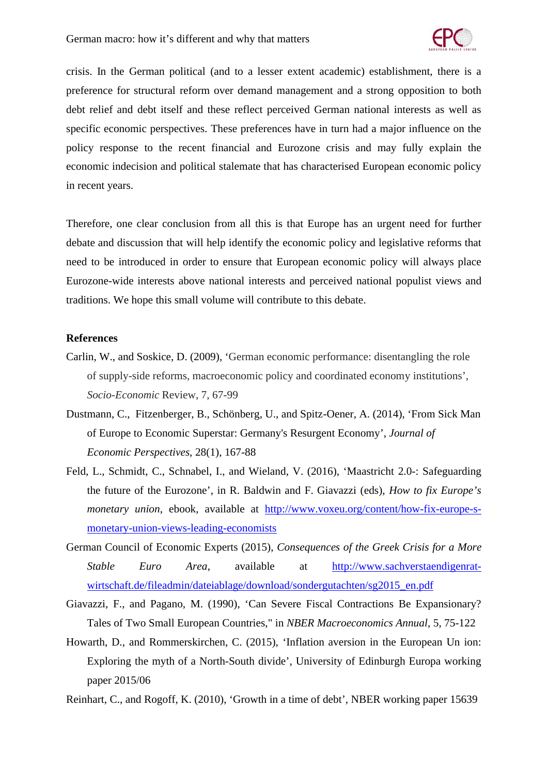

crisis. In the German political (and to a lesser extent academic) establishment, there is a preference for structural reform over demand management and a strong opposition to both debt relief and debt itself and these reflect perceived German national interests as well as specific economic perspectives. These preferences have in turn had a major influence on the policy response to the recent financial and Eurozone crisis and may fully explain the economic indecision and political stalemate that has characterised European economic policy in recent years.

Therefore, one clear conclusion from all this is that Europe has an urgent need for further debate and discussion that will help identify the economic policy and legislative reforms that need to be introduced in order to ensure that European economic policy will always place Eurozone-wide interests above national interests and perceived national populist views and traditions. We hope this small volume will contribute to this debate.

#### **References**

- Carlin, W., and Soskice, D. (2009), 'German economic performance: disentangling the role of supply-side reforms, macroeconomic policy and coordinated economy institutions', *Socio-Economic* Review, 7, 67-99
- Dustmann, C., Fitzenberger, B., Schönberg, U., and Spitz-Oener, A. (2014), 'From Sick Man of Europe to Economic Superstar: Germany's Resurgent Economy', *Journal of Economic Perspectives*, 28(1), 167-88
- Feld, L., Schmidt, C., Schnabel, I., and Wieland, V. (2016), 'Maastricht 2.0-: Safeguarding the future of the Eurozone', in R. Baldwin and F. Giavazzi (eds), *How to fix Europe's monetary union*, ebook, available at [http://www.voxeu.org/content/how-fix-europe-s](http://www.voxeu.org/content/how-fix-europe-s-monetary-union-views-leading-economists)[monetary-union-views-leading-economists](http://www.voxeu.org/content/how-fix-europe-s-monetary-union-views-leading-economists)
- German Council of Economic Experts (2015), *Consequences of the Greek Crisis for a More Stable Euro Area*, available at [http://www.sachverstaendigenrat](http://www.sachverstaendigenrat-wirtschaft.de/fileadmin/dateiablage/download/sondergutachten/sg2015_en.pdf)[wirtschaft.de/fileadmin/dateiablage/download/sondergutachten/sg2015\\_en.pdf](http://www.sachverstaendigenrat-wirtschaft.de/fileadmin/dateiablage/download/sondergutachten/sg2015_en.pdf)
- Giavazzi, F., and Pagano, M. (1990), 'Can Severe Fiscal Contractions Be Expansionary? Tales of Two Small European Countries," in *NBER Macroeconomics Annual*, 5, 75-122
- Howarth, D., and Rommerskirchen, C. (2015), 'Inflation aversion in the European Un ion: Exploring the myth of a North-South divide', University of Edinburgh Europa working paper 2015/06
- Reinhart, C., and Rogoff, K. (2010), 'Growth in a time of debt', NBER working paper 15639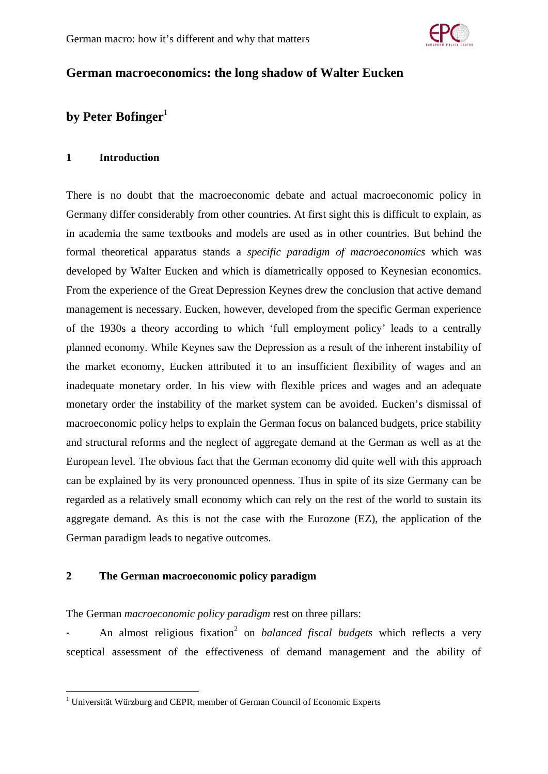

## **German macroeconomics: the long shadow of Walter Eucken**

## **by Peter Bofinger**<sup>1</sup>

### **1 Introduction**

There is no doubt that the macroeconomic debate and actual macroeconomic policy in Germany differ considerably from other countries. At first sight this is difficult to explain, as in academia the same textbooks and models are used as in other countries. But behind the formal theoretical apparatus stands a *specific paradigm of macroeconomics* which was developed by Walter Eucken and which is diametrically opposed to Keynesian economics. From the experience of the Great Depression Keynes drew the conclusion that active demand management is necessary. Eucken, however, developed from the specific German experience of the 1930s a theory according to which 'full employment policy' leads to a centrally planned economy. While Keynes saw the Depression as a result of the inherent instability of the market economy, Eucken attributed it to an insufficient flexibility of wages and an inadequate monetary order. In his view with flexible prices and wages and an adequate monetary order the instability of the market system can be avoided. Eucken's dismissal of macroeconomic policy helps to explain the German focus on balanced budgets, price stability and structural reforms and the neglect of aggregate demand at the German as well as at the European level. The obvious fact that the German economy did quite well with this approach can be explained by its very pronounced openness. Thus in spite of its size Germany can be regarded as a relatively small economy which can rely on the rest of the world to sustain its aggregate demand. As this is not the case with the Eurozone (EZ), the application of the German paradigm leads to negative outcomes.

### **2 The German macroeconomic policy paradigm**

The German *macroeconomic policy paradigm* rest on three pillars:

- An almost religious fixation<sup>2</sup> on *balanced fiscal budgets* which reflects a very sceptical assessment of the effectiveness of demand management and the ability of

<sup>&</sup>lt;sup>1</sup> Universität Würzburg and CEPR, member of German Council of Economic Experts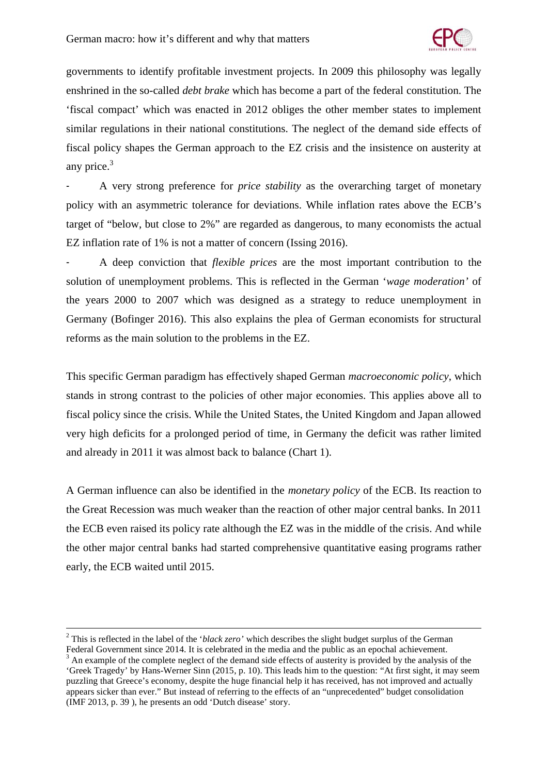

governments to identify profitable investment projects. In 2009 this philosophy was legally enshrined in the so-called *debt brake* which has become a part of the federal constitution. The 'fiscal compact' which was enacted in 2012 obliges the other member states to implement similar regulations in their national constitutions. The neglect of the demand side effects of fiscal policy shapes the German approach to the EZ crisis and the insistence on austerity at any price.3

- A very strong preference for *price stability* as the overarching target of monetary policy with an asymmetric tolerance for deviations. While inflation rates above the ECB's target of "below, but close to 2%" are regarded as dangerous, to many economists the actual EZ inflation rate of 1% is not a matter of concern (Issing 2016).

- A deep conviction that *flexible prices* are the most important contribution to the solution of unemployment problems. This is reflected in the German '*wage moderation'* of the years 2000 to 2007 which was designed as a strategy to reduce unemployment in Germany (Bofinger 2016). This also explains the plea of German economists for structural reforms as the main solution to the problems in the EZ.

This specific German paradigm has effectively shaped German *macroeconomic policy*, which stands in strong contrast to the policies of other major economies. This applies above all to fiscal policy since the crisis. While the United States, the United Kingdom and Japan allowed very high deficits for a prolonged period of time, in Germany the deficit was rather limited and already in 2011 it was almost back to balance (Chart 1).

A German influence can also be identified in the *monetary policy* of the ECB. Its reaction to the Great Recession was much weaker than the reaction of other major central banks. In 2011 the ECB even raised its policy rate although the EZ was in the middle of the crisis. And while the other major central banks had started comprehensive quantitative easing programs rather early, the ECB waited until 2015.

<sup>2</sup> This is reflected in the label of the '*black zero'* which describes the slight budget surplus of the German Federal Government since 2014. It is celebrated in the media and the public as an epochal achievement.

<sup>&</sup>lt;sup>3</sup> An example of the complete neglect of the demand side effects of austerity is provided by the analysis of the 'Greek Tragedy' by Hans-Werner Sinn (2015, p. 10). This leads him to the question: "At first sight, it may seem puzzling that Greece's economy, despite the huge financial help it has received, has not improved and actually appears sicker than ever." But instead of referring to the effects of an "unprecedented" budget consolidation (IMF 2013, p. 39 ), he presents an odd 'Dutch disease' story.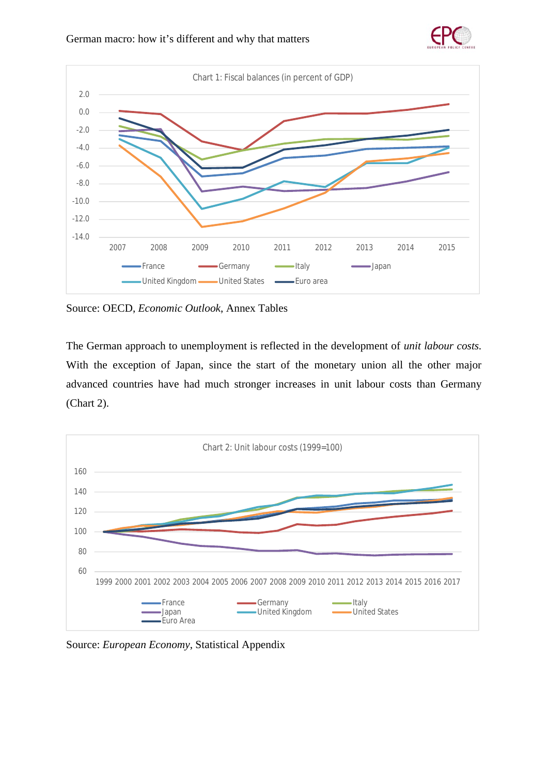





Source: OECD, *Economic Outlook*, Annex Tables

The German approach to unemployment is reflected in the development of *unit labour costs.* With the exception of Japan, since the start of the monetary union all the other major advanced countries have had much stronger increases in unit labour costs than Germany (Chart 2).



Source: *European Economy*, Statistical Appendix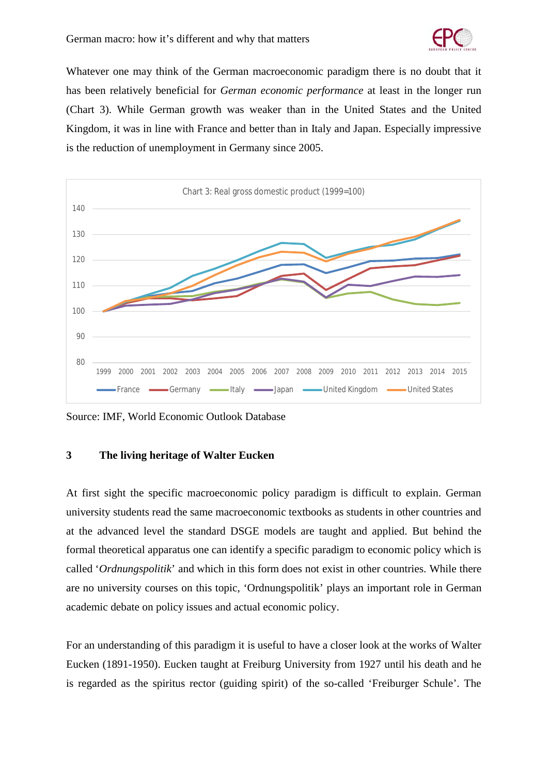

Whatever one may think of the German macroeconomic paradigm there is no doubt that it has been relatively beneficial for *German economic performance* at least in the longer run (Chart 3). While German growth was weaker than in the United States and the United Kingdom, it was in line with France and better than in Italy and Japan. Especially impressive is the reduction of unemployment in Germany since 2005.



Source: IMF, World Economic Outlook Database

### **3 The living heritage of Walter Eucken**

At first sight the specific macroeconomic policy paradigm is difficult to explain. German university students read the same macroeconomic textbooks as students in other countries and at the advanced level the standard DSGE models are taught and applied. But behind the formal theoretical apparatus one can identify a specific paradigm to economic policy which is called '*Ordnungspolitik*' and which in this form does not exist in other countries. While there are no university courses on this topic, 'Ordnungspolitik' plays an important role in German academic debate on policy issues and actual economic policy.

For an understanding of this paradigm it is useful to have a closer look at the works of Walter Eucken (1891-1950). Eucken taught at Freiburg University from 1927 until his death and he is regarded as the spiritus rector (guiding spirit) of the so-called 'Freiburger Schule'. The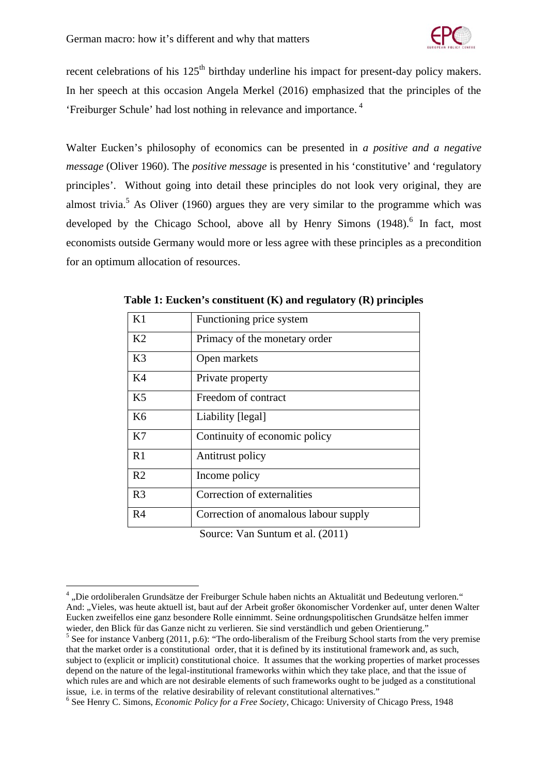

recent celebrations of his 125<sup>th</sup> birthday underline his impact for present-day policy makers. In her speech at this occasion Angela Merkel (2016) emphasized that the principles of the 'Freiburger Schule' had lost nothing in relevance and importance. <sup>4</sup>

Walter Eucken's philosophy of economics can be presented in *a positive and a negative message* (Oliver 1960). The *positive message* is presented in his 'constitutive' and 'regulatory principles'. Without going into detail these principles do not look very original, they are almost trivia.<sup>5</sup> As Oliver (1960) argues they are very similar to the programme which was developed by the Chicago School, above all by Henry Simons  $(1948)$ <sup>6</sup> In fact, most economists outside Germany would more or less agree with these principles as a precondition for an optimum allocation of resources.

| K1             | Functioning price system              |
|----------------|---------------------------------------|
| K <sub>2</sub> | Primacy of the monetary order         |
| K <sub>3</sub> | Open markets                          |
| K <sub>4</sub> | Private property                      |
| K <sub>5</sub> | Freedom of contract                   |
| K <sub>6</sub> | Liability [legal]                     |
| K7             | Continuity of economic policy         |
| R1             | Antitrust policy                      |
| R <sub>2</sub> | Income policy                         |
| R <sub>3</sub> | Correction of externalities           |
| R <sub>4</sub> | Correction of anomalous labour supply |

**Table 1: Eucken's constituent (K) and regulatory (R) principles**

Source: Van Suntum et al. (2011)

<sup>4</sup> "Die ordoliberalen Grundsätze der Freiburger Schule haben nichts an Aktualität und Bedeutung verloren." And: "Vieles, was heute aktuell ist, baut auf der Arbeit großer ökonomischer Vordenker auf, unter denen Walter Eucken zweifellos eine ganz besondere Rolle einnimmt. Seine ordnungspolitischen Grundsätze helfen immer wieder, den Blick für das Ganze nicht zu verlieren. Sie sind verständlich und geben Orientierung."

 $5$  See for instance Vanberg (2011, p.6): "The ordo-liberalism of the Freiburg School starts from the very premise that the market order is a constitutional order, that it is defined by its institutional framework and, as such, subject to (explicit or implicit) constitutional choice. It assumes that the working properties of market processes depend on the nature of the legal-institutional frameworks within which they take place, and that the issue of which rules are and which are not desirable elements of such frameworks ought to be judged as a constitutional issue, i.e. in terms of the relative desirability of relevant constitutional alternatives."

<sup>6</sup> See Henry C. Simons, *Economic Policy for a Free Society*, Chicago: University of Chicago Press, 1948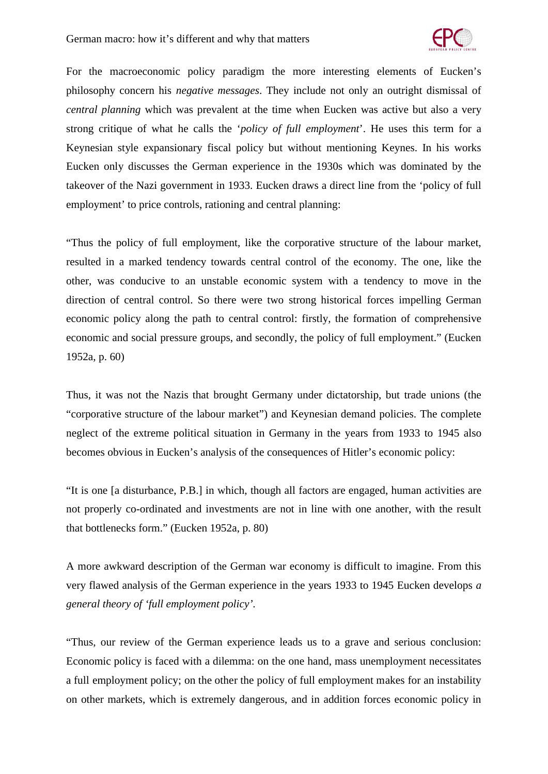

For the macroeconomic policy paradigm the more interesting elements of Eucken's philosophy concern his *negative messages*. They include not only an outright dismissal of *central planning* which was prevalent at the time when Eucken was active but also a very strong critique of what he calls the '*policy of full employment*'. He uses this term for a Keynesian style expansionary fiscal policy but without mentioning Keynes. In his works Eucken only discusses the German experience in the 1930s which was dominated by the takeover of the Nazi government in 1933. Eucken draws a direct line from the 'policy of full employment' to price controls, rationing and central planning:

"Thus the policy of full employment, like the corporative structure of the labour market, resulted in a marked tendency towards central control of the economy. The one, like the other, was conducive to an unstable economic system with a tendency to move in the direction of central control. So there were two strong historical forces impelling German economic policy along the path to central control: firstly, the formation of comprehensive economic and social pressure groups, and secondly, the policy of full employment." (Eucken 1952a, p. 60)

Thus, it was not the Nazis that brought Germany under dictatorship, but trade unions (the "corporative structure of the labour market") and Keynesian demand policies. The complete neglect of the extreme political situation in Germany in the years from 1933 to 1945 also becomes obvious in Eucken's analysis of the consequences of Hitler's economic policy:

"It is one [a disturbance, P.B.] in which, though all factors are engaged, human activities are not properly co-ordinated and investments are not in line with one another, with the result that bottlenecks form." (Eucken 1952a, p. 80)

A more awkward description of the German war economy is difficult to imagine. From this very flawed analysis of the German experience in the years 1933 to 1945 Eucken develops *a general theory of 'full employment policy'*.

"Thus, our review of the German experience leads us to a grave and serious conclusion: Economic policy is faced with a dilemma: on the one hand, mass unemployment necessitates a full employment policy; on the other the policy of full employment makes for an instability on other markets, which is extremely dangerous, and in addition forces economic policy in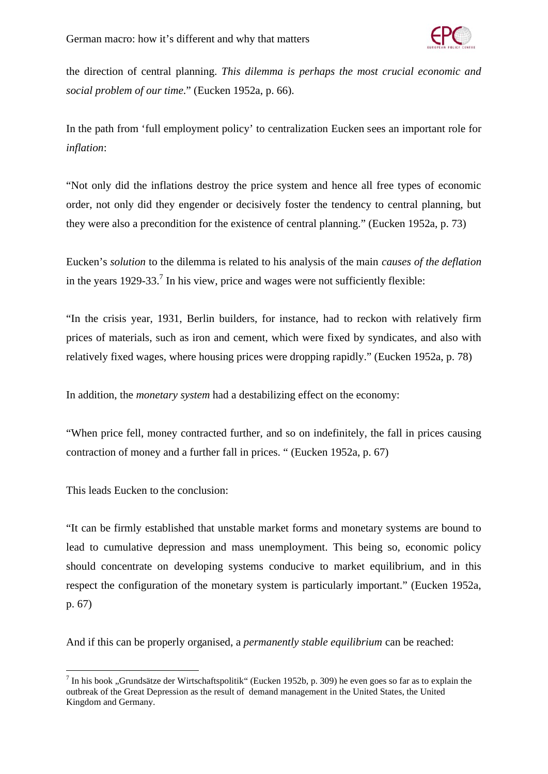

the direction of central planning. *This dilemma is perhaps the most crucial economic and social problem of our time*." (Eucken 1952a, p. 66).

In the path from 'full employment policy' to centralization Eucken sees an important role for *inflation*:

"Not only did the inflations destroy the price system and hence all free types of economic order, not only did they engender or decisively foster the tendency to central planning, but they were also a precondition for the existence of central planning." (Eucken 1952a, p. 73)

Eucken's *solution* to the dilemma is related to his analysis of the main *causes of the deflation* in the years  $1929-33$ .<sup>7</sup> In his view, price and wages were not sufficiently flexible:

"In the crisis year, 1931, Berlin builders, for instance, had to reckon with relatively firm prices of materials, such as iron and cement, which were fixed by syndicates, and also with relatively fixed wages, where housing prices were dropping rapidly." (Eucken 1952a, p. 78)

In addition, the *monetary system* had a destabilizing effect on the economy:

"When price fell, money contracted further, and so on indefinitely, the fall in prices causing contraction of money and a further fall in prices. " (Eucken 1952a, p. 67)

This leads Eucken to the conclusion:

"It can be firmly established that unstable market forms and monetary systems are bound to lead to cumulative depression and mass unemployment. This being so, economic policy should concentrate on developing systems conducive to market equilibrium, and in this respect the configuration of the monetary system is particularly important." (Eucken 1952a, p. 67)

And if this can be properly organised, a *permanently stable equilibrium* can be reached:

<sup>&</sup>lt;sup>7</sup> In his book "Grundsätze der Wirtschaftspolitik" (Eucken 1952b, p. 309) he even goes so far as to explain the outbreak of the Great Depression as the result of demand management in the United States, the United Kingdom and Germany.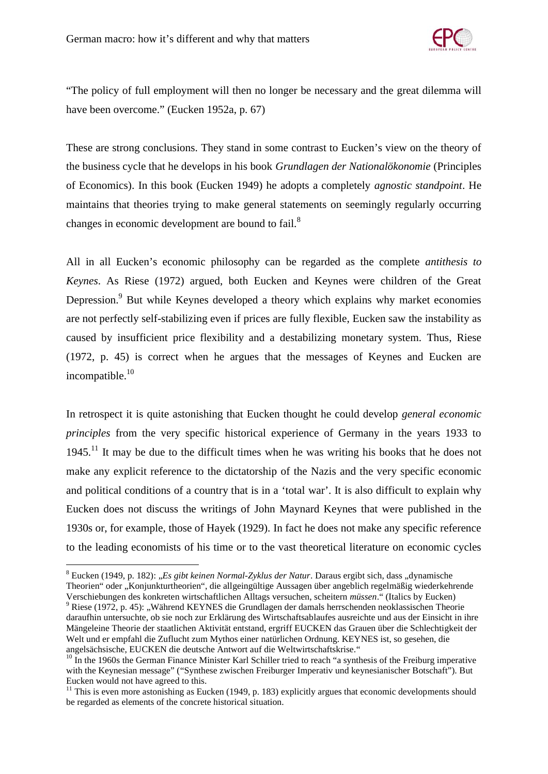

"The policy of full employment will then no longer be necessary and the great dilemma will have been overcome." (Eucken 1952a, p. 67)

These are strong conclusions. They stand in some contrast to Eucken's view on the theory of the business cycle that he develops in his book *Grundlagen der Nationalökonomie* (Principles of Economics). In this book (Eucken 1949) he adopts a completely *agnostic standpoint*. He maintains that theories trying to make general statements on seemingly regularly occurring changes in economic development are bound to fail.<sup>8</sup>

All in all Eucken's economic philosophy can be regarded as the complete *antithesis to Keynes*. As Riese (1972) argued, both Eucken and Keynes were children of the Great Depression.<sup>9</sup> But while Keynes developed a theory which explains why market economies are not perfectly self-stabilizing even if prices are fully flexible, Eucken saw the instability as caused by insufficient price flexibility and a destabilizing monetary system. Thus, Riese (1972, p. 45) is correct when he argues that the messages of Keynes and Eucken are incompatible. $10$ 

In retrospect it is quite astonishing that Eucken thought he could develop *general economic principles* from the very specific historical experience of Germany in the years 1933 to  $1945<sup>11</sup>$  It may be due to the difficult times when he was writing his books that he does not make any explicit reference to the dictatorship of the Nazis and the very specific economic and political conditions of a country that is in a 'total war'. It is also difficult to explain why Eucken does not discuss the writings of John Maynard Keynes that were published in the 1930s or, for example, those of Hayek (1929). In fact he does not make any specific reference to the leading economists of his time or to the vast theoretical literature on economic cycles

<sup>&</sup>lt;sup>8</sup> Eucken (1949, p. 182): *"Es gibt keinen Normal-Zyklus der Natur*. Daraus ergibt sich, dass "dynamische Theorien" oder "Konjunkturtheorien", die allgeingültige Aussagen über angeblich regelmäßig wiederkehrende

Verschiebungen des konkreten wirtschaftlichen Alltags versuchen, scheitern *müssen*." (Italics by Eucken) <sup>9</sup> Riese (1972, p. 45): "Während KEYNES die Grundlagen der damals herrschenden neoklassischen Theorie daraufhin untersuchte, ob sie noch zur Erklärung des Wirtschaftsablaufes ausreichte und aus der Einsicht in ihre Mängeleine Theorie der staatlichen Aktivität entstand, ergriff EUCKEN das Grauen über die Schlechtigkeit der Welt und er empfahl die Zuflucht zum Mythos einer natürlichen Ordnung. KEYNES ist, so gesehen, die angelsächsische, EUCKEN die deutsche Antwort auf die Weltwirtschaftskrise."

<sup>&</sup>lt;sup>10</sup> In the 1960s the German Finance Minister Karl Schiller tried to reach "a synthesis of the Freiburg imperative with the Keynesian message" ("Synthese zwischen Freiburger Imperativ und keynesianischer Botschaft"). But Eucken would not have agreed to this.

<sup>&</sup>lt;sup>11</sup> This is even more astonishing as Eucken (1949, p. 183) explicitly argues that economic developments should be regarded as elements of the concrete historical situation.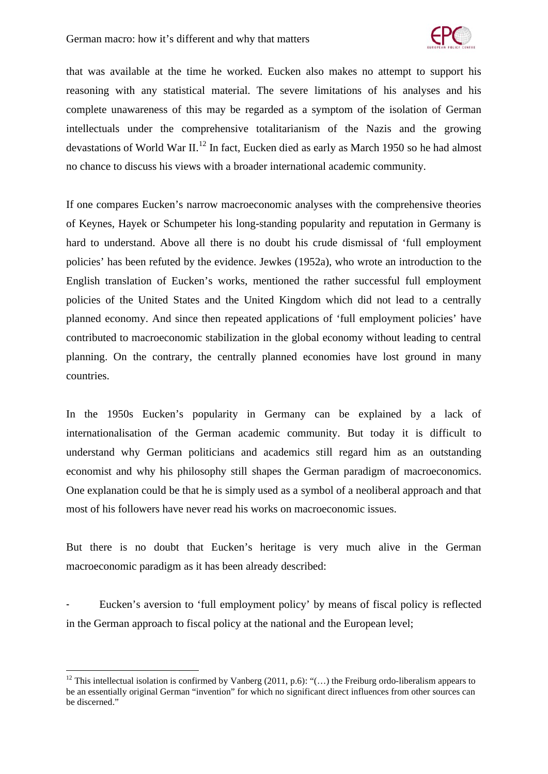

that was available at the time he worked. Eucken also makes no attempt to support his reasoning with any statistical material. The severe limitations of his analyses and his complete unawareness of this may be regarded as a symptom of the isolation of German intellectuals under the comprehensive totalitarianism of the Nazis and the growing devastations of World War II.<sup>12</sup> In fact, Eucken died as early as March 1950 so he had almost no chance to discuss his views with a broader international academic community.

If one compares Eucken's narrow macroeconomic analyses with the comprehensive theories of Keynes, Hayek or Schumpeter his long-standing popularity and reputation in Germany is hard to understand. Above all there is no doubt his crude dismissal of 'full employment policies' has been refuted by the evidence. Jewkes (1952a), who wrote an introduction to the English translation of Eucken's works, mentioned the rather successful full employment policies of the United States and the United Kingdom which did not lead to a centrally planned economy. And since then repeated applications of 'full employment policies' have contributed to macroeconomic stabilization in the global economy without leading to central planning. On the contrary, the centrally planned economies have lost ground in many countries.

In the 1950s Eucken's popularity in Germany can be explained by a lack of internationalisation of the German academic community. But today it is difficult to understand why German politicians and academics still regard him as an outstanding economist and why his philosophy still shapes the German paradigm of macroeconomics. One explanation could be that he is simply used as a symbol of a neoliberal approach and that most of his followers have never read his works on macroeconomic issues.

But there is no doubt that Eucken's heritage is very much alive in the German macroeconomic paradigm as it has been already described:

Eucken's aversion to 'full employment policy' by means of fiscal policy is reflected in the German approach to fiscal policy at the national and the European level;

<sup>&</sup>lt;sup>12</sup> This intellectual isolation is confirmed by Vanberg (2011, p.6): "(...) the Freiburg ordo-liberalism appears to be an essentially original German "invention" for which no significant direct influences from other sources can be discerned."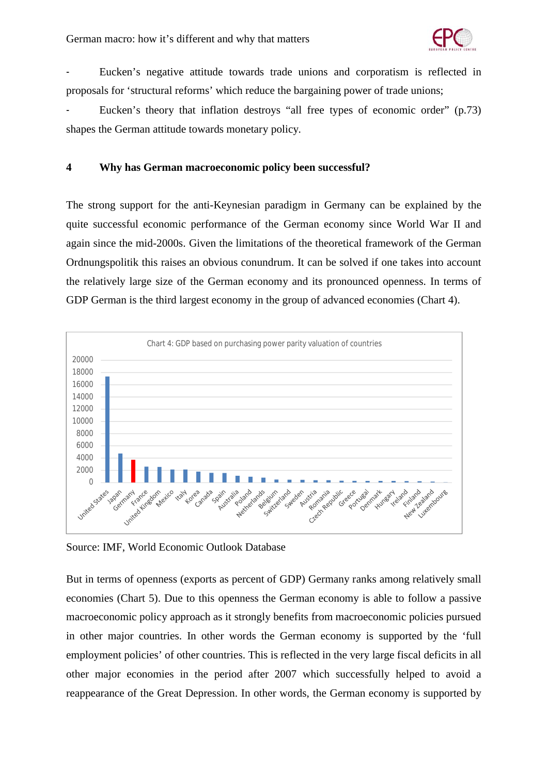

Eucken's negative attitude towards trade unions and corporatism is reflected in proposals for 'structural reforms' which reduce the bargaining power of trade unions;

Eucken's theory that inflation destroys "all free types of economic order" (p.73) shapes the German attitude towards monetary policy.

#### **4 Why has German macroeconomic policy been successful?**

The strong support for the anti-Keynesian paradigm in Germany can be explained by the quite successful economic performance of the German economy since World War II and again since the mid-2000s. Given the limitations of the theoretical framework of the German Ordnungspolitik this raises an obvious conundrum. It can be solved if one takes into account the relatively large size of the German economy and its pronounced openness. In terms of GDP German is the third largest economy in the group of advanced economies (Chart 4).



Source: IMF, World Economic Outlook Database

But in terms of openness (exports as percent of GDP) Germany ranks among relatively small economies (Chart 5). Due to this openness the German economy is able to follow a passive macroeconomic policy approach as it strongly benefits from macroeconomic policies pursued in other major countries. In other words the German economy is supported by the 'full employment policies' of other countries. This is reflected in the very large fiscal deficits in all other major economies in the period after 2007 which successfully helped to avoid a reappearance of the Great Depression. In other words, the German economy is supported by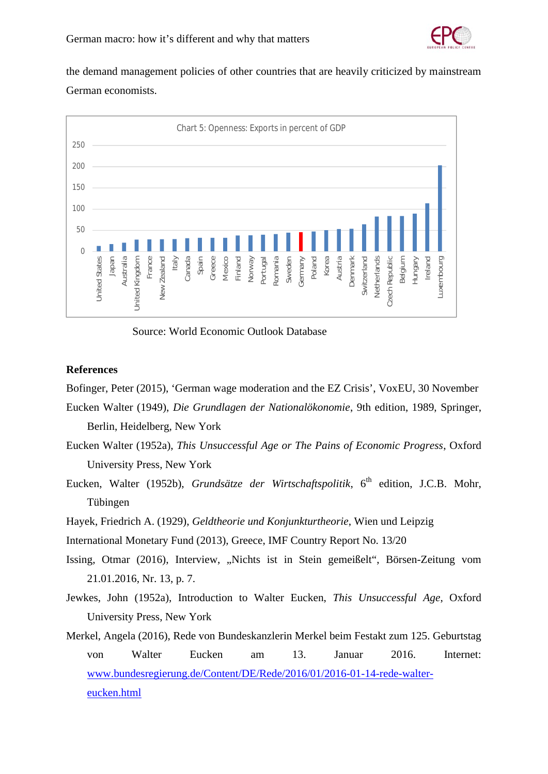

the demand management policies of other countries that are heavily criticized by mainstream German economists.



Source: World Economic Outlook Database

### **References**

Bofinger, Peter (2015), 'German wage moderation and the EZ Crisis', VoxEU, 30 November

Eucken Walter (1949), *Die Grundlagen der Nationalökonomie*, 9th edition, 1989, Springer, Berlin, Heidelberg, New York

- Eucken Walter (1952a), *This Unsuccessful Age or The Pains of Economic Progress*, Oxford University Press, New York
- Eucken, Walter (1952b), *Grundsätze der Wirtschaftspolitik*, 6<sup>th</sup> edition, J.C.B. Mohr, Tübingen

Hayek, Friedrich A. (1929), *Geldtheorie und Konjunkturtheorie*, Wien und Leipzig

- International Monetary Fund (2013), Greece, IMF Country Report No. 13/20
- Issing, Otmar (2016), Interview, "Nichts ist in Stein gemeißelt", Börsen-Zeitung vom 21.01.2016, Nr. 13, p. 7.
- Jewkes, John (1952a), Introduction to Walter Eucken, *This Unsuccessful Age*, Oxford University Press, New York
- Merkel, Angela (2016), Rede von Bundeskanzlerin Merkel beim Festakt zum 125. Geburtstag von Walter Eucken am 13. Januar 2016. Internet: [www.bundesregierung.de/Content/DE/Rede/2016/01/2016-01-14-rede-walter](http://www.bundesregierung.de/Content/DE/Rede/2016/01/2016-01-14-rede-walter-eucken.html)[eucken.html](http://www.bundesregierung.de/Content/DE/Rede/2016/01/2016-01-14-rede-walter-eucken.html)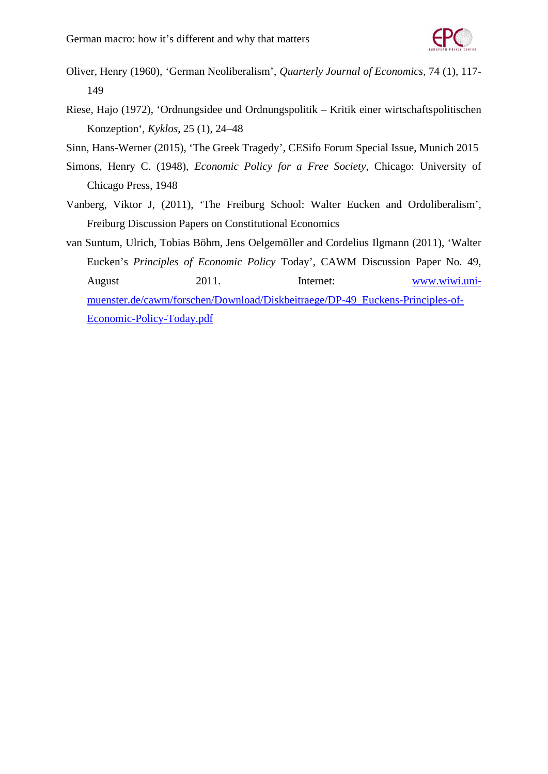

- Oliver, Henry (1960), 'German Neoliberalism', *Quarterly Journal of Economics*, 74 (1), 117- 149
- Riese, Hajo (1972), 'Ordnungsidee und Ordnungspolitik Kritik einer wirtschaftspolitischen Konzeption', *Kyklos*, 25 (1), 24–48
- Sinn, Hans-Werner (2015), 'The Greek Tragedy', CESifo Forum Special Issue, Munich 2015
- Simons, Henry C. (1948), *Economic Policy for a Free Society*, Chicago: University of Chicago Press, 1948
- Vanberg, Viktor J, (2011), 'The Freiburg School: Walter Eucken and Ordoliberalism', Freiburg Discussion Papers on Constitutional Economics
- van Suntum, Ulrich, Tobias Böhm, Jens Oelgemöller and Cordelius Ilgmann (2011), 'Walter Eucken's *Principles of Economic Policy* Today', CAWM Discussion Paper No. 49, August 2011. Internet: [www.wiwi.uni](http://www.wiwi.uni-muenster.de/cawm/forschen/Download/Diskbeitraege/DP-49_Euckens-Principles-of-Economic-Policy-Today.pdf)[muenster.de/cawm/forschen/Download/Diskbeitraege/DP-49\\_Euckens-Principles-of-](http://www.wiwi.uni-muenster.de/cawm/forschen/Download/Diskbeitraege/DP-49_Euckens-Principles-of-Economic-Policy-Today.pdf)[Economic-Policy-Today.pdf](http://www.wiwi.uni-muenster.de/cawm/forschen/Download/Diskbeitraege/DP-49_Euckens-Principles-of-Economic-Policy-Today.pdf)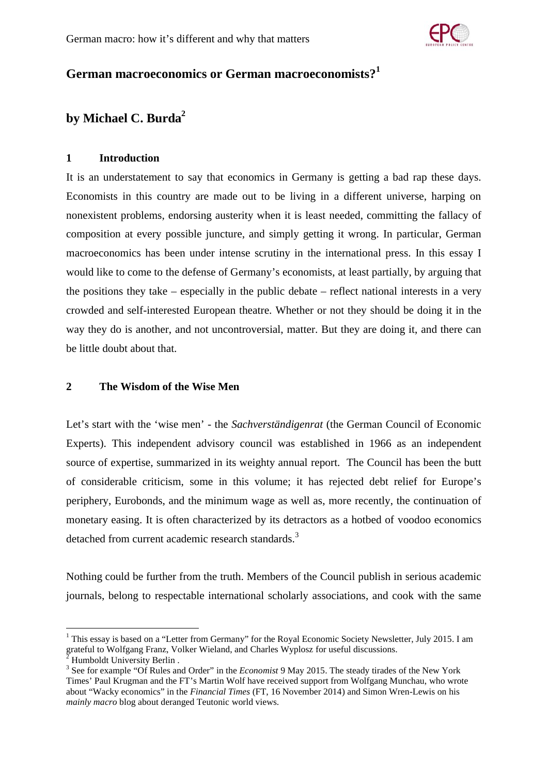

## **German macroeconomics or German macroeconomists?<sup>1</sup>**

## **by Michael C. Burda2**

### **1 Introduction**

It is an understatement to say that economics in Germany is getting a bad rap these days. Economists in this country are made out to be living in a different universe, harping on nonexistent problems, endorsing austerity when it is least needed, committing the fallacy of composition at every possible juncture, and simply getting it wrong. In particular, German macroeconomics has been under intense scrutiny in the international press. In this essay I would like to come to the defense of Germany's economists, at least partially, by arguing that the positions they take – especially in the public debate – reflect national interests in a very crowded and self-interested European theatre. Whether or not they should be doing it in the way they do is another, and not uncontroversial, matter. But they are doing it, and there can be little doubt about that.

### **2 The Wisdom of the Wise Men**

Let's start with the 'wise men' - the *Sachverständigenrat* (the German Council of Economic Experts). This independent advisory council was established in 1966 as an independent source of expertise, summarized in its weighty annual report. The Council has been the butt of considerable criticism, some in this volume; it has rejected debt relief for Europe's periphery, Eurobonds, and the minimum wage as well as, more recently, the continuation of monetary easing. It is often characterized by its detractors as a hotbed of voodoo economics detached from current academic research standards.<sup>3</sup>

Nothing could be further from the truth. Members of the Council publish in serious academic journals, belong to respectable international scholarly associations, and cook with the same

<sup>&</sup>lt;sup>1</sup> This essay is based on a "Letter from Germany" for the Royal Economic Society Newsletter, July 2015. I am grateful to Wolfgang Franz, Volker Wieland, and Charles Wyplosz for useful discussions.

Humboldt University Berlin.

<sup>&</sup>lt;sup>3</sup> See for example "Of Rules and Order" in the *Economist* 9 May 2015. The steady tirades of the New York Times' Paul Krugman and the FT's Martin Wolf have received support from Wolfgang Munchau, who wrote about "Wacky economics" in the *Financial Times* (FT, 16 November 2014) and Simon Wren-Lewis on his *mainly macro* blog about deranged Teutonic world views.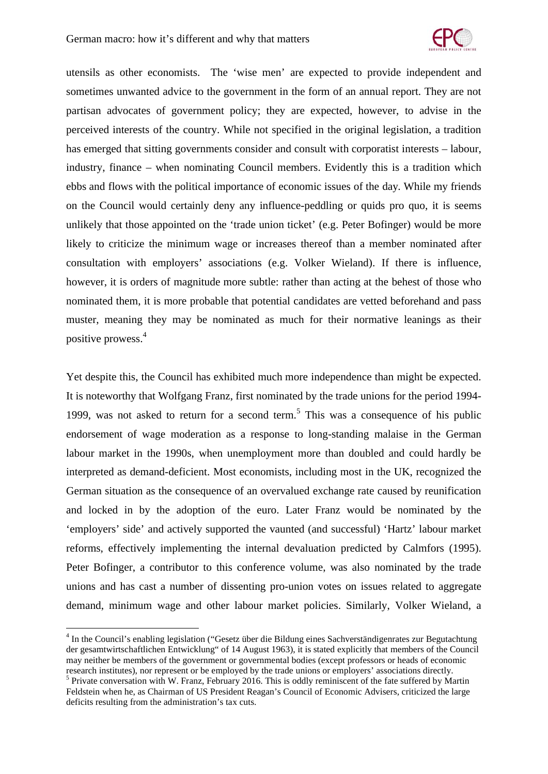

utensils as other economists. The 'wise men' are expected to provide independent and sometimes unwanted advice to the government in the form of an annual report. They are not partisan advocates of government policy; they are expected, however, to advise in the perceived interests of the country. While not specified in the original legislation, a tradition has emerged that sitting governments consider and consult with corporatist interests – labour, industry, finance – when nominating Council members. Evidently this is a tradition which ebbs and flows with the political importance of economic issues of the day. While my friends on the Council would certainly deny any influence-peddling or quids pro quo, it is seems unlikely that those appointed on the 'trade union ticket' (e.g. Peter Bofinger) would be more likely to criticize the minimum wage or increases thereof than a member nominated after consultation with employers' associations (e.g. Volker Wieland). If there is influence, however, it is orders of magnitude more subtle: rather than acting at the behest of those who nominated them, it is more probable that potential candidates are vetted beforehand and pass muster, meaning they may be nominated as much for their normative leanings as their positive prowess.4

Yet despite this, the Council has exhibited much more independence than might be expected. It is noteworthy that Wolfgang Franz, first nominated by the trade unions for the period 1994- 1999, was not asked to return for a second term.<sup>5</sup> This was a consequence of his public endorsement of wage moderation as a response to long-standing malaise in the German labour market in the 1990s, when unemployment more than doubled and could hardly be interpreted as demand-deficient. Most economists, including most in the UK, recognized the German situation as the consequence of an overvalued exchange rate caused by reunification and locked in by the adoption of the euro. Later Franz would be nominated by the 'employers' side' and actively supported the vaunted (and successful) 'Hartz' labour market reforms, effectively implementing the internal devaluation predicted by Calmfors (1995). Peter Bofinger, a contributor to this conference volume, was also nominated by the trade unions and has cast a number of dissenting pro-union votes on issues related to aggregate demand, minimum wage and other labour market policies. Similarly, Volker Wieland, a

<sup>4</sup> In the Council's enabling legislation ("Gesetz über die Bildung eines Sachverständigenrates zur Begutachtung der gesamtwirtschaftlichen Entwicklung" of 14 August 1963), it is stated explicitly that members of the Council may neither be members of the government or governmental bodies (except professors or heads of economic research institutes), nor represent or be employed by the trade unions or employers' associations directly.

<sup>5</sup> Private conversation with W. Franz, February 2016. This is oddly reminiscent of the fate suffered by Martin Feldstein when he, as Chairman of US President Reagan's Council of Economic Advisers, criticized the large deficits resulting from the administration's tax cuts.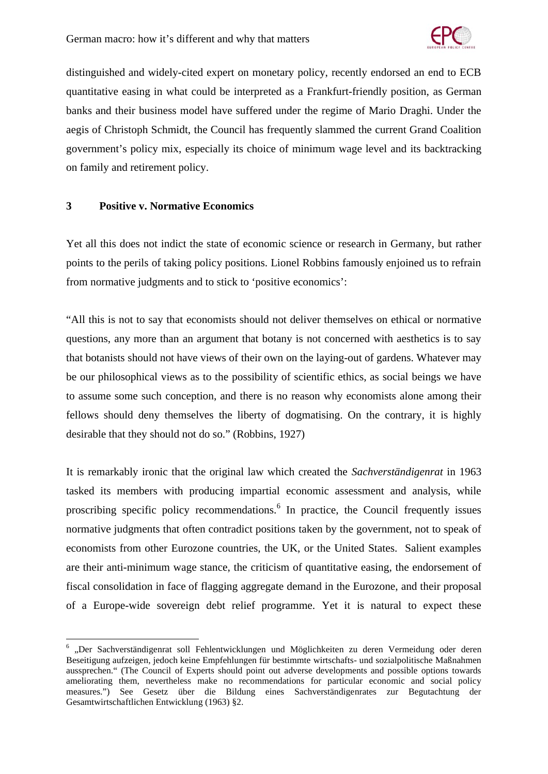

distinguished and widely-cited expert on monetary policy, recently endorsed an end to ECB quantitative easing in what could be interpreted as a Frankfurt-friendly position, as German banks and their business model have suffered under the regime of Mario Draghi. Under the aegis of Christoph Schmidt, the Council has frequently slammed the current Grand Coalition government's policy mix, especially its choice of minimum wage level and its backtracking on family and retirement policy.

#### **3 Positive v. Normative Economics**

Yet all this does not indict the state of economic science or research in Germany, but rather points to the perils of taking policy positions. Lionel Robbins famously enjoined us to refrain from normative judgments and to stick to 'positive economics':

"All this is not to say that economists should not deliver themselves on ethical or normative questions, any more than an argument that botany is not concerned with aesthetics is to say that botanists should not have views of their own on the laying-out of gardens. Whatever may be our philosophical views as to the possibility of scientific ethics, as social beings we have to assume some such conception, and there is no reason why economists alone among their fellows should deny themselves the liberty of dogmatising. On the contrary, it is highly desirable that they should not do so." (Robbins, 1927)

It is remarkably ironic that the original law which created the *Sachverständigenrat* in 1963 tasked its members with producing impartial economic assessment and analysis, while proscribing specific policy recommendations.<sup>6</sup> In practice, the Council frequently issues normative judgments that often contradict positions taken by the government, not to speak of economists from other Eurozone countries, the UK, or the United States. Salient examples are their anti-minimum wage stance, the criticism of quantitative easing, the endorsement of fiscal consolidation in face of flagging aggregate demand in the Eurozone, and their proposal of a Europe-wide sovereign debt relief programme. Yet it is natural to expect these

<sup>&</sup>lt;sup>6</sup> "Der Sachverständigenrat soll Fehlentwicklungen und Möglichkeiten zu deren Vermeidung oder deren Beseitigung aufzeigen, jedoch keine Empfehlungen für bestimmte wirtschafts- und sozialpolitische Maßnahmen aussprechen." (The Council of Experts should point out adverse developments and possible options towards ameliorating them, nevertheless make no recommendations for particular economic and social policy measures.") See Gesetz über die Bildung eines Sachverständigenrates zur Begutachtung der Gesamtwirtschaftlichen Entwicklung (1963) §2.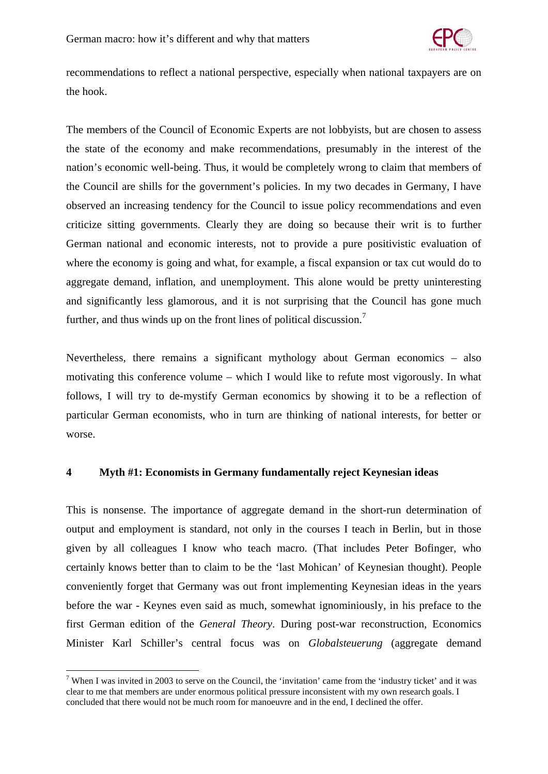

recommendations to reflect a national perspective, especially when national taxpayers are on the hook.

The members of the Council of Economic Experts are not lobbyists, but are chosen to assess the state of the economy and make recommendations, presumably in the interest of the nation's economic well-being. Thus, it would be completely wrong to claim that members of the Council are shills for the government's policies. In my two decades in Germany, I have observed an increasing tendency for the Council to issue policy recommendations and even criticize sitting governments. Clearly they are doing so because their writ is to further German national and economic interests, not to provide a pure positivistic evaluation of where the economy is going and what, for example, a fiscal expansion or tax cut would do to aggregate demand, inflation, and unemployment. This alone would be pretty uninteresting and significantly less glamorous, and it is not surprising that the Council has gone much further, and thus winds up on the front lines of political discussion.<sup>7</sup>

Nevertheless, there remains a significant mythology about German economics – also motivating this conference volume – which I would like to refute most vigorously. In what follows, I will try to de-mystify German economics by showing it to be a reflection of particular German economists, who in turn are thinking of national interests, for better or worse.

### **4 Myth #1: Economists in Germany fundamentally reject Keynesian ideas**

This is nonsense. The importance of aggregate demand in the short-run determination of output and employment is standard, not only in the courses I teach in Berlin, but in those given by all colleagues I know who teach macro. (That includes Peter Bofinger, who certainly knows better than to claim to be the 'last Mohican' of Keynesian thought). People conveniently forget that Germany was out front implementing Keynesian ideas in the years before the war - Keynes even said as much, somewhat ignominiously, in his preface to the first German edition of the *General Theory*. During post-war reconstruction, Economics Minister Karl Schiller's central focus was on *Globalsteuerung* (aggregate demand

<sup>&</sup>lt;sup>7</sup> When I was invited in 2003 to serve on the Council, the 'invitation' came from the 'industry ticket' and it was clear to me that members are under enormous political pressure inconsistent with my own research goals. I concluded that there would not be much room for manoeuvre and in the end, I declined the offer.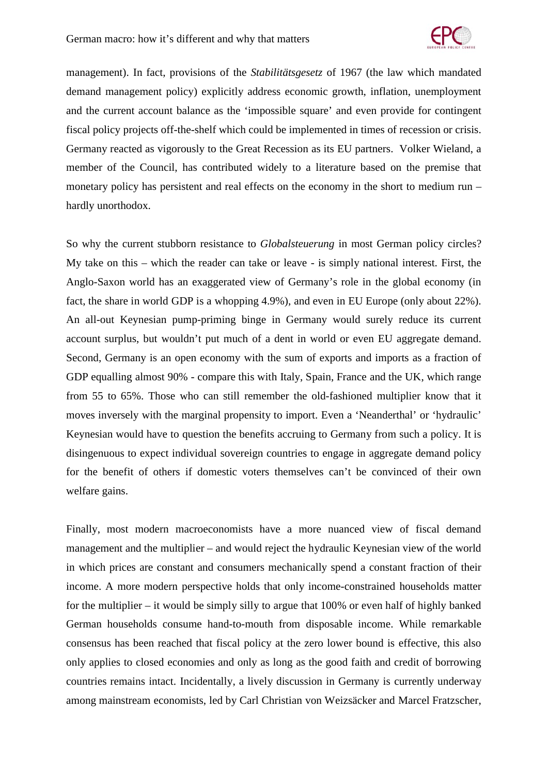

management). In fact, provisions of the *Stabilitätsgesetz* of 1967 (the law which mandated demand management policy) explicitly address economic growth, inflation, unemployment and the current account balance as the 'impossible square' and even provide for contingent fiscal policy projects off-the-shelf which could be implemented in times of recession or crisis. Germany reacted as vigorously to the Great Recession as its EU partners. Volker Wieland, a member of the Council, has contributed widely to a literature based on the premise that monetary policy has persistent and real effects on the economy in the short to medium run – hardly unorthodox.

So why the current stubborn resistance to *Globalsteuerung* in most German policy circles? My take on this – which the reader can take or leave - is simply national interest. First, the Anglo-Saxon world has an exaggerated view of Germany's role in the global economy (in fact, the share in world GDP is a whopping 4.9%), and even in EU Europe (only about 22%). An all-out Keynesian pump-priming binge in Germany would surely reduce its current account surplus, but wouldn't put much of a dent in world or even EU aggregate demand. Second, Germany is an open economy with the sum of exports and imports as a fraction of GDP equalling almost 90% - compare this with Italy, Spain, France and the UK, which range from 55 to 65%. Those who can still remember the old-fashioned multiplier know that it moves inversely with the marginal propensity to import. Even a 'Neanderthal' or 'hydraulic' Keynesian would have to question the benefits accruing to Germany from such a policy. It is disingenuous to expect individual sovereign countries to engage in aggregate demand policy for the benefit of others if domestic voters themselves can't be convinced of their own welfare gains.

Finally, most modern macroeconomists have a more nuanced view of fiscal demand management and the multiplier – and would reject the hydraulic Keynesian view of the world in which prices are constant and consumers mechanically spend a constant fraction of their income. A more modern perspective holds that only income-constrained households matter for the multiplier – it would be simply silly to argue that 100% or even half of highly banked German households consume hand-to-mouth from disposable income. While remarkable consensus has been reached that fiscal policy at the zero lower bound is effective, this also only applies to closed economies and only as long as the good faith and credit of borrowing countries remains intact. Incidentally, a lively discussion in Germany is currently underway among mainstream economists, led by Carl Christian von Weizsäcker and Marcel Fratzscher,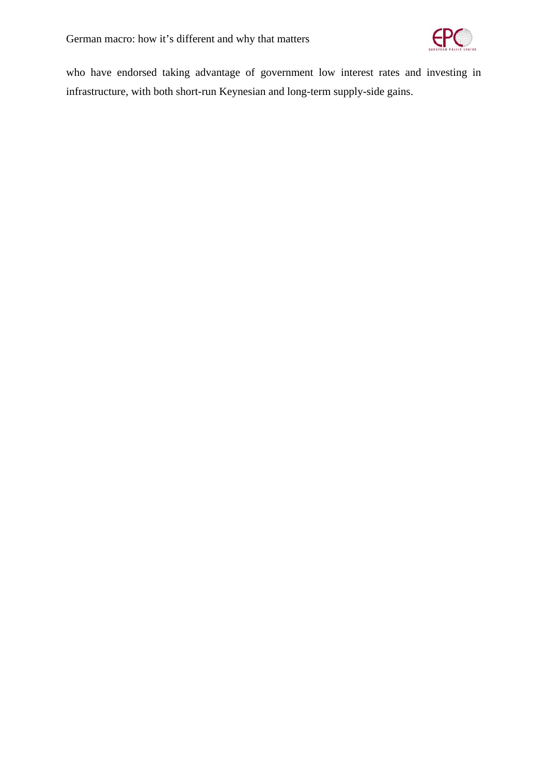

who have endorsed taking advantage of government low interest rates and investing in infrastructure, with both short-run Keynesian and long-term supply-side gains.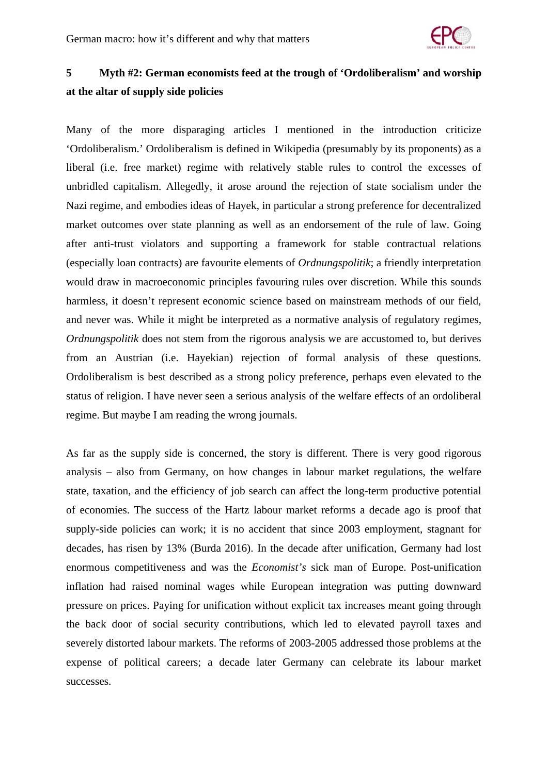

## **5 Myth #2: German economists feed at the trough of 'Ordoliberalism' and worship at the altar of supply side policies**

Many of the more disparaging articles I mentioned in the introduction criticize 'Ordoliberalism.' Ordoliberalism is defined in Wikipedia (presumably by its proponents) as a liberal (i.e. free market) regime with relatively stable rules to control the excesses of unbridled capitalism. Allegedly, it arose around the rejection of state socialism under the Nazi regime, and embodies ideas of Hayek, in particular a strong preference for decentralized market outcomes over state planning as well as an endorsement of the rule of law. Going after anti-trust violators and supporting a framework for stable contractual relations (especially loan contracts) are favourite elements of *Ordnungspolitik*; a friendly interpretation would draw in macroeconomic principles favouring rules over discretion. While this sounds harmless, it doesn't represent economic science based on mainstream methods of our field, and never was. While it might be interpreted as a normative analysis of regulatory regimes, *Ordnungspolitik* does not stem from the rigorous analysis we are accustomed to, but derives from an Austrian (i.e. Hayekian) rejection of formal analysis of these questions. Ordoliberalism is best described as a strong policy preference, perhaps even elevated to the status of religion. I have never seen a serious analysis of the welfare effects of an ordoliberal regime. But maybe I am reading the wrong journals.

As far as the supply side is concerned, the story is different. There is very good rigorous analysis – also from Germany, on how changes in labour market regulations, the welfare state, taxation, and the efficiency of job search can affect the long-term productive potential of economies. The success of the Hartz labour market reforms a decade ago is proof that supply-side policies can work; it is no accident that since 2003 employment, stagnant for decades, has risen by 13% (Burda 2016). In the decade after unification, Germany had lost enormous competitiveness and was the *Economist's* sick man of Europe. Post-unification inflation had raised nominal wages while European integration was putting downward pressure on prices. Paying for unification without explicit tax increases meant going through the back door of social security contributions, which led to elevated payroll taxes and severely distorted labour markets. The reforms of 2003-2005 addressed those problems at the expense of political careers; a decade later Germany can celebrate its labour market successes.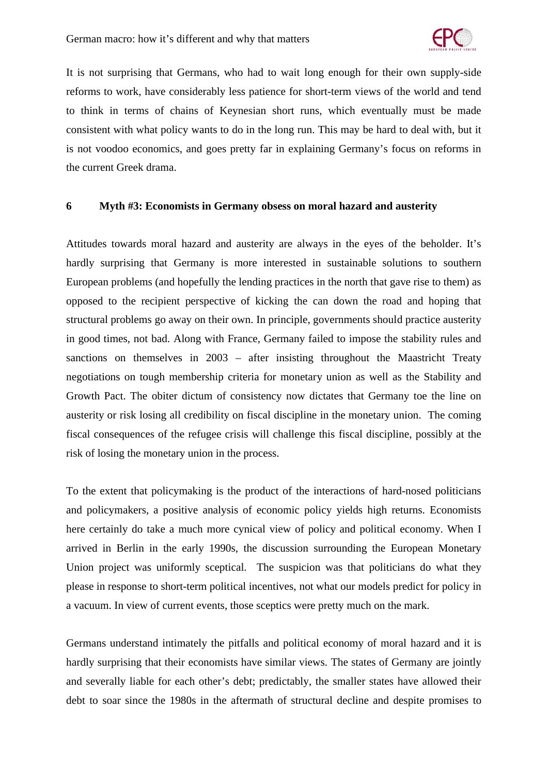

It is not surprising that Germans, who had to wait long enough for their own supply-side reforms to work, have considerably less patience for short-term views of the world and tend to think in terms of chains of Keynesian short runs, which eventually must be made consistent with what policy wants to do in the long run. This may be hard to deal with, but it is not voodoo economics, and goes pretty far in explaining Germany's focus on reforms in the current Greek drama.

#### **6 Myth #3: Economists in Germany obsess on moral hazard and austerity**

Attitudes towards moral hazard and austerity are always in the eyes of the beholder. It's hardly surprising that Germany is more interested in sustainable solutions to southern European problems (and hopefully the lending practices in the north that gave rise to them) as opposed to the recipient perspective of kicking the can down the road and hoping that structural problems go away on their own. In principle, governments should practice austerity in good times, not bad. Along with France, Germany failed to impose the stability rules and sanctions on themselves in 2003 – after insisting throughout the Maastricht Treaty negotiations on tough membership criteria for monetary union as well as the Stability and Growth Pact. The obiter dictum of consistency now dictates that Germany toe the line on austerity or risk losing all credibility on fiscal discipline in the monetary union. The coming fiscal consequences of the refugee crisis will challenge this fiscal discipline, possibly at the risk of losing the monetary union in the process.

To the extent that policymaking is the product of the interactions of hard-nosed politicians and policymakers, a positive analysis of economic policy yields high returns. Economists here certainly do take a much more cynical view of policy and political economy. When I arrived in Berlin in the early 1990s, the discussion surrounding the European Monetary Union project was uniformly sceptical. The suspicion was that politicians do what they please in response to short-term political incentives, not what our models predict for policy in a vacuum. In view of current events, those sceptics were pretty much on the mark.

Germans understand intimately the pitfalls and political economy of moral hazard and it is hardly surprising that their economists have similar views. The states of Germany are jointly and severally liable for each other's debt; predictably, the smaller states have allowed their debt to soar since the 1980s in the aftermath of structural decline and despite promises to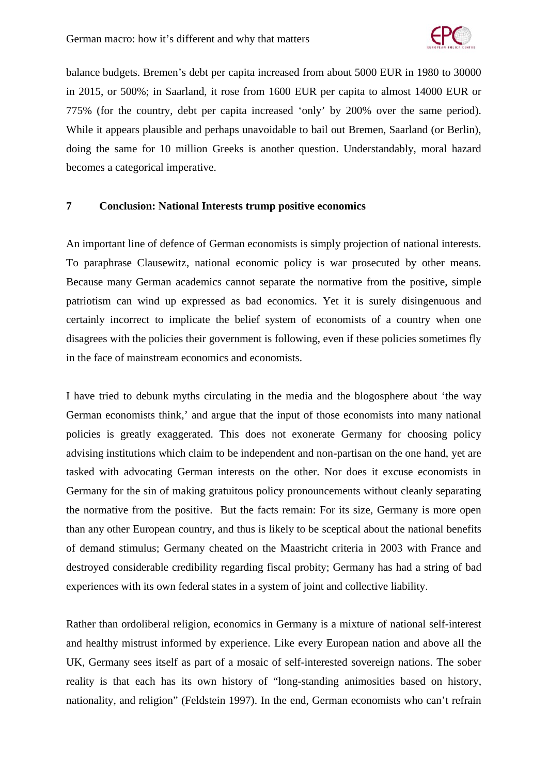

balance budgets. Bremen's debt per capita increased from about 5000 EUR in 1980 to 30000 in 2015, or 500%; in Saarland, it rose from 1600 EUR per capita to almost 14000 EUR or 775% (for the country, debt per capita increased 'only' by 200% over the same period). While it appears plausible and perhaps unavoidable to bail out Bremen, Saarland (or Berlin), doing the same for 10 million Greeks is another question. Understandably, moral hazard becomes a categorical imperative.

#### **7 Conclusion: National Interests trump positive economics**

An important line of defence of German economists is simply projection of national interests. To paraphrase Clausewitz, national economic policy is war prosecuted by other means. Because many German academics cannot separate the normative from the positive, simple patriotism can wind up expressed as bad economics. Yet it is surely disingenuous and certainly incorrect to implicate the belief system of economists of a country when one disagrees with the policies their government is following, even if these policies sometimes fly in the face of mainstream economics and economists.

I have tried to debunk myths circulating in the media and the blogosphere about 'the way German economists think,' and argue that the input of those economists into many national policies is greatly exaggerated. This does not exonerate Germany for choosing policy advising institutions which claim to be independent and non-partisan on the one hand, yet are tasked with advocating German interests on the other. Nor does it excuse economists in Germany for the sin of making gratuitous policy pronouncements without cleanly separating the normative from the positive. But the facts remain: For its size, Germany is more open than any other European country, and thus is likely to be sceptical about the national benefits of demand stimulus; Germany cheated on the Maastricht criteria in 2003 with France and destroyed considerable credibility regarding fiscal probity; Germany has had a string of bad experiences with its own federal states in a system of joint and collective liability.

Rather than ordoliberal religion, economics in Germany is a mixture of national self-interest and healthy mistrust informed by experience. Like every European nation and above all the UK, Germany sees itself as part of a mosaic of self-interested sovereign nations. The sober reality is that each has its own history of "long-standing animosities based on history, nationality, and religion" (Feldstein 1997). In the end, German economists who can't refrain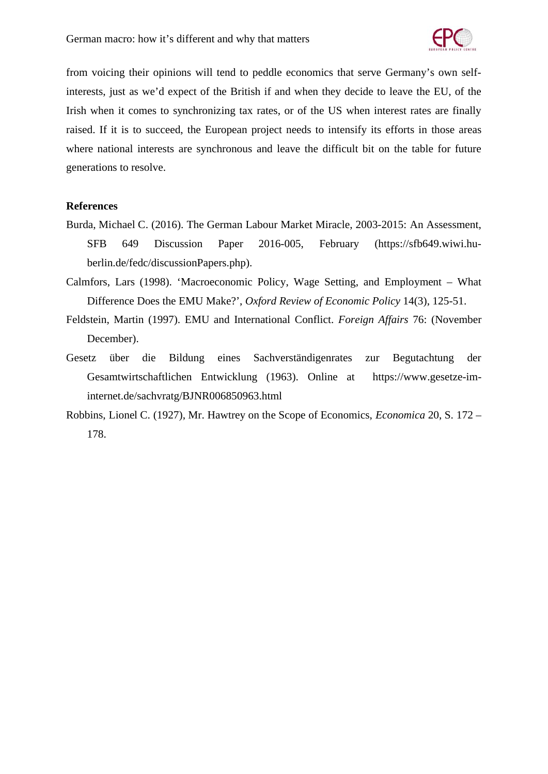

from voicing their opinions will tend to peddle economics that serve Germany's own selfinterests, just as we'd expect of the British if and when they decide to leave the EU, of the Irish when it comes to synchronizing tax rates, or of the US when interest rates are finally raised. If it is to succeed, the European project needs to intensify its efforts in those areas where national interests are synchronous and leave the difficult bit on the table for future generations to resolve.

#### **References**

- Burda, Michael C. (2016). The German Labour Market Miracle, 2003-2015: An Assessment, SFB 649 Discussion Paper 2016-005, February (https://sfb649.wiwi.huberlin.de/fedc/discussionPapers.php).
- Calmfors, Lars (1998). 'Macroeconomic Policy, Wage Setting, and Employment What Difference Does the EMU Make?', *Oxford Review of Economic Policy* 14(3), 125-51.
- Feldstein, Martin (1997). EMU and International Conflict. *Foreign Affairs* 76: (November December).
- Gesetz über die Bildung eines Sachverständigenrates zur Begutachtung der Gesamtwirtschaftlichen Entwicklung (1963). Online at https://www.gesetze-iminternet.de/sachvratg/BJNR006850963.html
- Robbins, Lionel C. (1927), Mr. Hawtrey on the Scope of Economics, *Economica* 20, S. 172 178.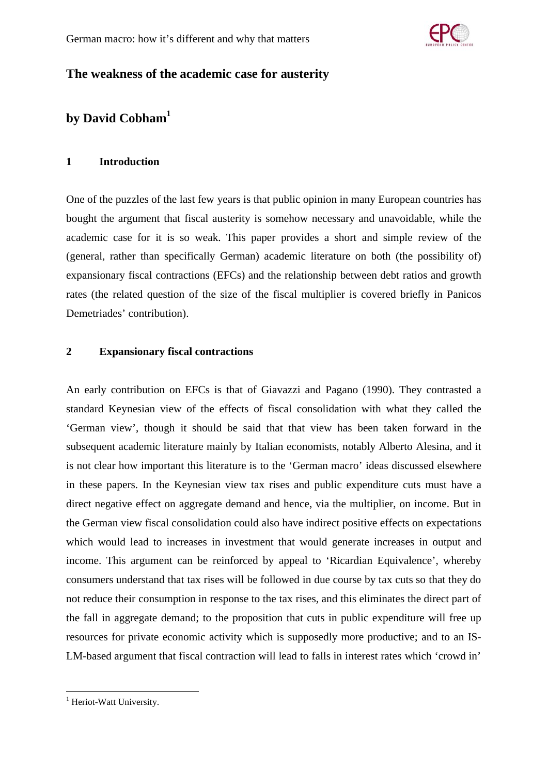

## **The weakness of the academic case for austerity**

## by David Cobham<sup>1</sup>

### **1 Introduction**

One of the puzzles of the last few years is that public opinion in many European countries has bought the argument that fiscal austerity is somehow necessary and unavoidable, while the academic case for it is so weak. This paper provides a short and simple review of the (general, rather than specifically German) academic literature on both (the possibility of) expansionary fiscal contractions (EFCs) and the relationship between debt ratios and growth rates (the related question of the size of the fiscal multiplier is covered briefly in Panicos Demetriades' contribution).

### **2 Expansionary fiscal contractions**

An early contribution on EFCs is that of Giavazzi and Pagano (1990). They contrasted a standard Keynesian view of the effects of fiscal consolidation with what they called the 'German view', though it should be said that that view has been taken forward in the subsequent academic literature mainly by Italian economists, notably Alberto Alesina, and it is not clear how important this literature is to the 'German macro' ideas discussed elsewhere in these papers. In the Keynesian view tax rises and public expenditure cuts must have a direct negative effect on aggregate demand and hence, via the multiplier, on income. But in the German view fiscal consolidation could also have indirect positive effects on expectations which would lead to increases in investment that would generate increases in output and income. This argument can be reinforced by appeal to 'Ricardian Equivalence', whereby consumers understand that tax rises will be followed in due course by tax cuts so that they do not reduce their consumption in response to the tax rises, and this eliminates the direct part of the fall in aggregate demand; to the proposition that cuts in public expenditure will free up resources for private economic activity which is supposedly more productive; and to an IS-LM-based argument that fiscal contraction will lead to falls in interest rates which 'crowd in'

<sup>&</sup>lt;sup>1</sup> Heriot-Watt University.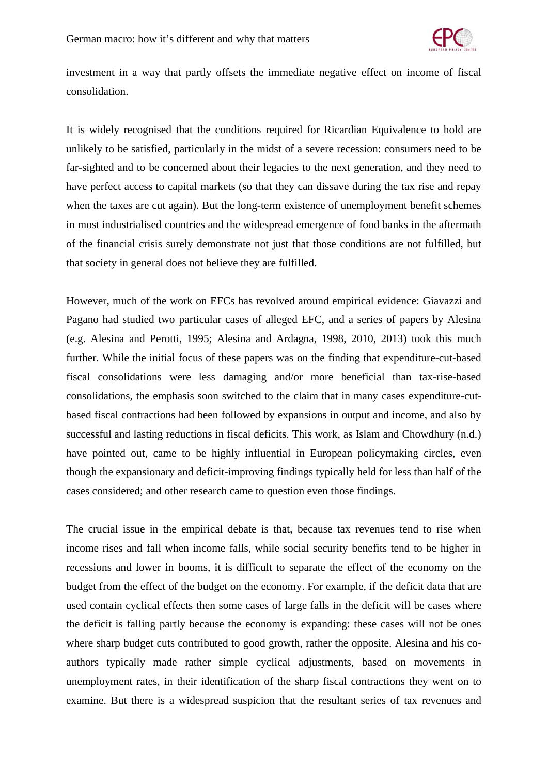

investment in a way that partly offsets the immediate negative effect on income of fiscal consolidation.

It is widely recognised that the conditions required for Ricardian Equivalence to hold are unlikely to be satisfied, particularly in the midst of a severe recession: consumers need to be far-sighted and to be concerned about their legacies to the next generation, and they need to have perfect access to capital markets (so that they can dissave during the tax rise and repay when the taxes are cut again). But the long-term existence of unemployment benefit schemes in most industrialised countries and the widespread emergence of food banks in the aftermath of the financial crisis surely demonstrate not just that those conditions are not fulfilled, but that society in general does not believe they are fulfilled.

However, much of the work on EFCs has revolved around empirical evidence: Giavazzi and Pagano had studied two particular cases of alleged EFC, and a series of papers by Alesina (e.g. Alesina and Perotti, 1995; Alesina and Ardagna, 1998, 2010, 2013) took this much further. While the initial focus of these papers was on the finding that expenditure-cut-based fiscal consolidations were less damaging and/or more beneficial than tax-rise-based consolidations, the emphasis soon switched to the claim that in many cases expenditure-cutbased fiscal contractions had been followed by expansions in output and income, and also by successful and lasting reductions in fiscal deficits. This work, as Islam and Chowdhury (n.d.) have pointed out, came to be highly influential in European policymaking circles, even though the expansionary and deficit-improving findings typically held for less than half of the cases considered; and other research came to question even those findings.

The crucial issue in the empirical debate is that, because tax revenues tend to rise when income rises and fall when income falls, while social security benefits tend to be higher in recessions and lower in booms, it is difficult to separate the effect of the economy on the budget from the effect of the budget on the economy. For example, if the deficit data that are used contain cyclical effects then some cases of large falls in the deficit will be cases where the deficit is falling partly because the economy is expanding: these cases will not be ones where sharp budget cuts contributed to good growth, rather the opposite. Alesina and his coauthors typically made rather simple cyclical adjustments, based on movements in unemployment rates, in their identification of the sharp fiscal contractions they went on to examine. But there is a widespread suspicion that the resultant series of tax revenues and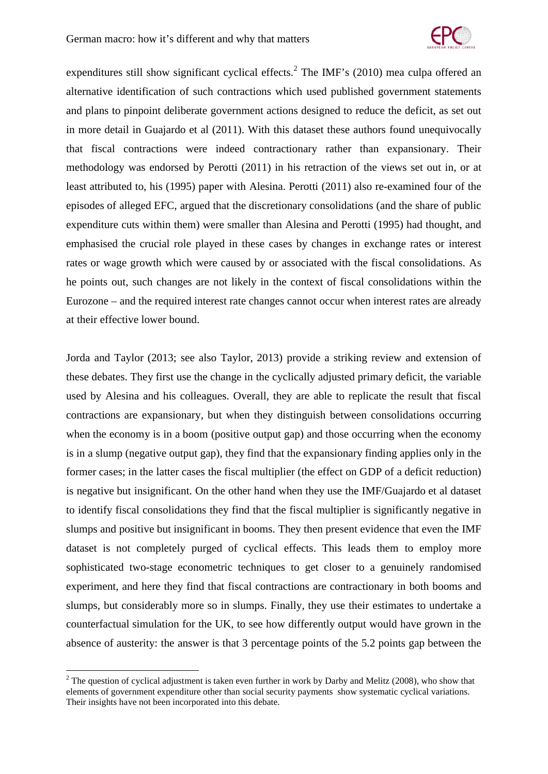

expenditures still show significant cyclical effects.<sup>2</sup> The IMF's (2010) mea culpa offered an alternative identification of such contractions which used published government statements and plans to pinpoint deliberate government actions designed to reduce the deficit, as set out in more detail in Guajardo et al (2011). With this dataset these authors found unequivocally that fiscal contractions were indeed contractionary rather than expansionary. Their methodology was endorsed by Perotti (2011) in his retraction of the views set out in, or at least attributed to, his (1995) paper with Alesina. Perotti (2011) also re-examined four of the episodes of alleged EFC, argued that the discretionary consolidations (and the share of public expenditure cuts within them) were smaller than Alesina and Perotti (1995) had thought, and emphasised the crucial role played in these cases by changes in exchange rates or interest rates or wage growth which were caused by or associated with the fiscal consolidations. As he points out, such changes are not likely in the context of fiscal consolidations within the Eurozone – and the required interest rate changes cannot occur when interest rates are already at their effective lower bound.

Jorda and Taylor (2013; see also Taylor, 2013) provide a striking review and extension of these debates. They first use the change in the cyclically adjusted primary deficit, the variable used by Alesina and his colleagues. Overall, they are able to replicate the result that fiscal contractions are expansionary, but when they distinguish between consolidations occurring when the economy is in a boom (positive output gap) and those occurring when the economy is in a slump (negative output gap), they find that the expansionary finding applies only in the former cases; in the latter cases the fiscal multiplier (the effect on GDP of a deficit reduction) is negative but insignificant. On the other hand when they use the IMF/Guajardo et al dataset to identify fiscal consolidations they find that the fiscal multiplier is significantly negative in slumps and positive but insignificant in booms. They then present evidence that even the IMF dataset is not completely purged of cyclical effects. This leads them to employ more sophisticated two-stage econometric techniques to get closer to a genuinely randomised experiment, and here they find that fiscal contractions are contractionary in both booms and slumps, but considerably more so in slumps. Finally, they use their estimates to undertake a counterfactual simulation for the UK, to see how differently output would have grown in the absence of austerity: the answer is that 3 percentage points of the 5.2 points gap between the

<sup>&</sup>lt;sup>2</sup> The question of cyclical adjustment is taken even further in work by Darby and Melitz (2008), who show that elements of government expenditure other than social security payments show systematic cyclical variations. Their insights have not been incorporated into this debate.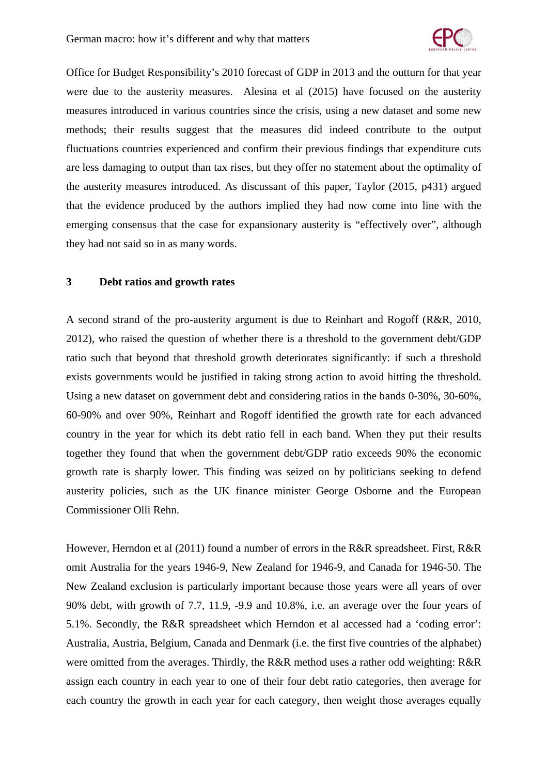

Office for Budget Responsibility's 2010 forecast of GDP in 2013 and the outturn for that year were due to the austerity measures. Alesina et al (2015) have focused on the austerity measures introduced in various countries since the crisis, using a new dataset and some new methods; their results suggest that the measures did indeed contribute to the output fluctuations countries experienced and confirm their previous findings that expenditure cuts are less damaging to output than tax rises, but they offer no statement about the optimality of the austerity measures introduced. As discussant of this paper, Taylor (2015, p431) argued that the evidence produced by the authors implied they had now come into line with the emerging consensus that the case for expansionary austerity is "effectively over", although they had not said so in as many words.

#### **3 Debt ratios and growth rates**

A second strand of the pro-austerity argument is due to Reinhart and Rogoff (R&R, 2010, 2012), who raised the question of whether there is a threshold to the government debt/GDP ratio such that beyond that threshold growth deteriorates significantly: if such a threshold exists governments would be justified in taking strong action to avoid hitting the threshold. Using a new dataset on government debt and considering ratios in the bands 0-30%, 30-60%, 60-90% and over 90%, Reinhart and Rogoff identified the growth rate for each advanced country in the year for which its debt ratio fell in each band. When they put their results together they found that when the government debt/GDP ratio exceeds 90% the economic growth rate is sharply lower. This finding was seized on by politicians seeking to defend austerity policies, such as the UK finance minister George Osborne and the European Commissioner Olli Rehn.

However, Herndon et al (2011) found a number of errors in the R&R spreadsheet. First, R&R omit Australia for the years 1946-9, New Zealand for 1946-9, and Canada for 1946-50. The New Zealand exclusion is particularly important because those years were all years of over 90% debt, with growth of 7.7, 11.9, -9.9 and 10.8%, i.e. an average over the four years of 5.1%. Secondly, the R&R spreadsheet which Herndon et al accessed had a 'coding error': Australia, Austria, Belgium, Canada and Denmark (i.e. the first five countries of the alphabet) were omitted from the averages. Thirdly, the R&R method uses a rather odd weighting: R&R assign each country in each year to one of their four debt ratio categories, then average for each country the growth in each year for each category, then weight those averages equally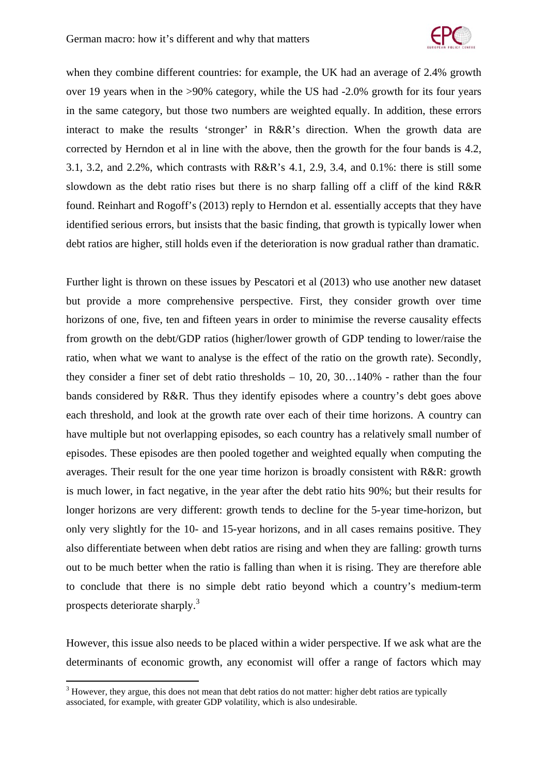

when they combine different countries: for example, the UK had an average of 2.4% growth over 19 years when in the >90% category, while the US had -2.0% growth for its four years in the same category, but those two numbers are weighted equally. In addition, these errors interact to make the results 'stronger' in R&R's direction. When the growth data are corrected by Herndon et al in line with the above, then the growth for the four bands is 4.2, 3.1, 3.2, and 2.2%, which contrasts with R&R's 4.1, 2.9, 3.4, and 0.1%: there is still some slowdown as the debt ratio rises but there is no sharp falling off a cliff of the kind R&R found. Reinhart and Rogoff's (2013) reply to Herndon et al. essentially accepts that they have identified serious errors, but insists that the basic finding, that growth is typically lower when debt ratios are higher, still holds even if the deterioration is now gradual rather than dramatic.

Further light is thrown on these issues by Pescatori et al (2013) who use another new dataset but provide a more comprehensive perspective. First, they consider growth over time horizons of one, five, ten and fifteen years in order to minimise the reverse causality effects from growth on the debt/GDP ratios (higher/lower growth of GDP tending to lower/raise the ratio, when what we want to analyse is the effect of the ratio on the growth rate). Secondly, they consider a finer set of debt ratio thresholds – 10, 20, 30…140% - rather than the four bands considered by R&R. Thus they identify episodes where a country's debt goes above each threshold, and look at the growth rate over each of their time horizons. A country can have multiple but not overlapping episodes, so each country has a relatively small number of episodes. These episodes are then pooled together and weighted equally when computing the averages. Their result for the one year time horizon is broadly consistent with R&R: growth is much lower, in fact negative, in the year after the debt ratio hits 90%; but their results for longer horizons are very different: growth tends to decline for the 5-year time-horizon, but only very slightly for the 10- and 15-year horizons, and in all cases remains positive. They also differentiate between when debt ratios are rising and when they are falling: growth turns out to be much better when the ratio is falling than when it is rising. They are therefore able to conclude that there is no simple debt ratio beyond which a country's medium-term prospects deteriorate sharply.<sup>3</sup>

However, this issue also needs to be placed within a wider perspective. If we ask what are the determinants of economic growth, any economist will offer a range of factors which may

 $3$  However, they argue, this does not mean that debt ratios do not matter: higher debt ratios are typically associated, for example, with greater GDP volatility, which is also undesirable.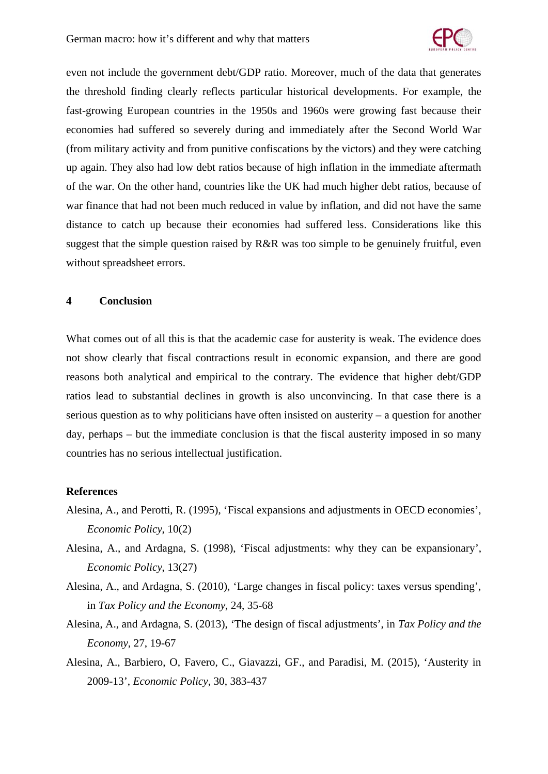

even not include the government debt/GDP ratio. Moreover, much of the data that generates the threshold finding clearly reflects particular historical developments. For example, the fast-growing European countries in the 1950s and 1960s were growing fast because their economies had suffered so severely during and immediately after the Second World War (from military activity and from punitive confiscations by the victors) and they were catching up again. They also had low debt ratios because of high inflation in the immediate aftermath of the war. On the other hand, countries like the UK had much higher debt ratios, because of war finance that had not been much reduced in value by inflation, and did not have the same distance to catch up because their economies had suffered less. Considerations like this suggest that the simple question raised by R&R was too simple to be genuinely fruitful, even without spreadsheet errors.

#### **4 Conclusion**

What comes out of all this is that the academic case for austerity is weak. The evidence does not show clearly that fiscal contractions result in economic expansion, and there are good reasons both analytical and empirical to the contrary. The evidence that higher debt/GDP ratios lead to substantial declines in growth is also unconvincing. In that case there is a serious question as to why politicians have often insisted on austerity – a question for another day, perhaps – but the immediate conclusion is that the fiscal austerity imposed in so many countries has no serious intellectual justification.

#### **References**

- Alesina, A., and Perotti, R. (1995), 'Fiscal expansions and adjustments in OECD economies', *Economic Policy*, 10(2)
- Alesina, A., and Ardagna, S. (1998), 'Fiscal adjustments: why they can be expansionary', *Economic Policy*, 13(27)
- Alesina, A., and Ardagna, S. (2010), 'Large changes in fiscal policy: taxes versus spending', in *Tax Policy and the Economy*, 24, 35-68
- Alesina, A., and Ardagna, S. (2013), 'The design of fiscal adjustments', in *Tax Policy and the Economy*, 27, 19-67
- Alesina, A., Barbiero, O, Favero, C., Giavazzi, GF., and Paradisi, M. (2015), 'Austerity in 2009-13', *Economic Policy*, 30, 383-437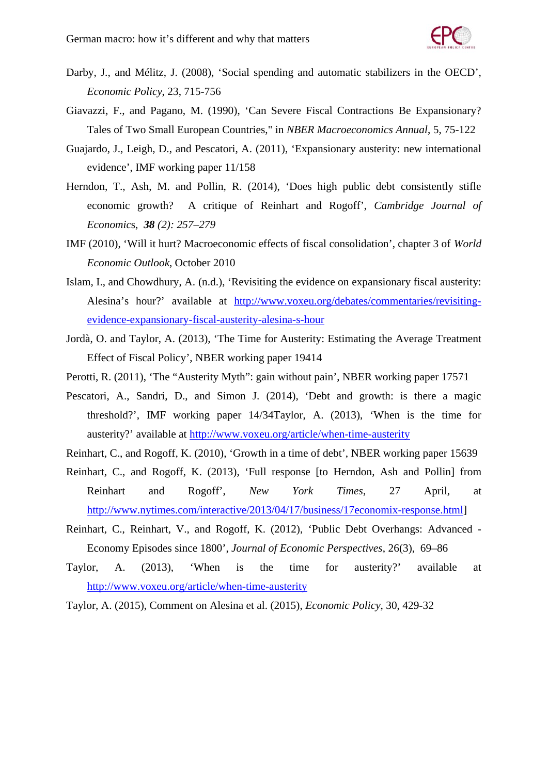

- Darby, J., and Mélitz, J. (2008), 'Social spending and automatic stabilizers in the OECD', *Economic Policy*, 23, 715-756
- Giavazzi, F., and Pagano, M. (1990), 'Can Severe Fiscal Contractions Be Expansionary? Tales of Two Small European Countries," in *NBER Macroeconomics Annual*, 5, 75-122
- Guajardo, J., Leigh, D., and Pescatori, A. (2011), 'Expansionary austerity: new international evidence', IMF working paper 11/158
- Herndon, T., Ash, M. and Pollin, R. (2014), 'Does high public debt consistently stifle economic growth? A critique of Reinhart and Rogoff', *Cambridge Journal of Economic*s, *38 (2): 257–279*
- IMF (2010), 'Will it hurt? Macroeconomic effects of fiscal consolidation', chapter 3 of *World Economic Outlook*, October 2010
- Islam, I., and Chowdhury, A. (n.d.), 'Revisiting the evidence on expansionary fiscal austerity: Alesina's hour?' available at [http://www.voxeu.org/debates/commentaries/revisiting](http://www.voxeu.org/debates/commentaries/revisiting-evidence-expansionary-fiscal-austerity-alesina-s-hour)[evidence-expansionary-fiscal-austerity-alesina-s-hour](http://www.voxeu.org/debates/commentaries/revisiting-evidence-expansionary-fiscal-austerity-alesina-s-hour)
- Jordà, O. and Taylor, A. (2013), ['The Time for Austerity: Estimating the Average Treatment](https://ideas.repec.org/p/nbr/nberwo/19414.html)  [Effect of Fiscal Policy'](https://ideas.repec.org/p/nbr/nberwo/19414.html), NBER working paper 19414
- Perotti, R. (2011), 'The "Austerity Myth": gain without pain', NBER working paper 17571
- Pescatori, A., Sandri, D., and Simon J. (2014), 'Debt and growth: is there a magic threshold?', IMF working paper 14/34Taylor, A. (2013), 'When is the time for austerity?' available at<http://www.voxeu.org/article/when-time-austerity>
- Reinhart, C., and Rogoff, K. (2010), 'Growth in a time of debt', NBER working paper 15639
- Reinhart, C., and Rogoff, K. (2013), 'Full response [to Herndon, Ash and Pollin] from Reinhart and Rogoff', *New York Times*, 27 April, at [http://www.nytimes.com/interactive/2013/04/17/business/17economix-response.html\]](http://www.nytimes.com/interactive/2013/04/17/business/17economix-response.html)
- Reinhart, C., Reinhart, V., and Rogoff, K. (2012), 'Public Debt Overhangs: Advanced Economy Episodes since 1800', *Journal of Economic Perspectives*, 26(3), 69–86
- Taylor, A. (2013), 'When is the time for austerity?' available at <http://www.voxeu.org/article/when-time-austerity>
- Taylor, A. (2015), Comment on Alesina et al. (2015), *Economic Policy*, 30, 429-32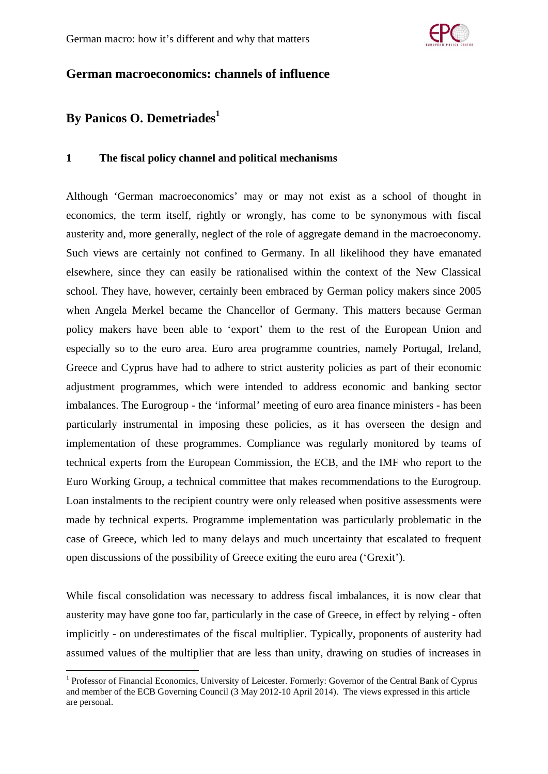

### **German macroeconomics: channels of influence**

# **By Panicos O. Demetriades**<sup>1</sup>

### **1 The fiscal policy channel and political mechanisms**

Although 'German macroeconomics' may or may not exist as a school of thought in economics, the term itself, rightly or wrongly, has come to be synonymous with fiscal austerity and, more generally, neglect of the role of aggregate demand in the macroeconomy. Such views are certainly not confined to Germany. In all likelihood they have emanated elsewhere, since they can easily be rationalised within the context of the New Classical school. They have, however, certainly been embraced by German policy makers since 2005 when Angela Merkel became the Chancellor of Germany. This matters because German policy makers have been able to 'export' them to the rest of the European Union and especially so to the euro area. Euro area programme countries, namely Portugal, Ireland, Greece and Cyprus have had to adhere to strict austerity policies as part of their economic adjustment programmes, which were intended to address economic and banking sector imbalances. The Eurogroup - the 'informal' meeting of euro area finance ministers - has been particularly instrumental in imposing these policies, as it has overseen the design and implementation of these programmes. Compliance was regularly monitored by teams of technical experts from the European Commission, the ECB, and the IMF who report to the Euro Working Group, a technical committee that makes recommendations to the Eurogroup. Loan instalments to the recipient country were only released when positive assessments were made by technical experts. Programme implementation was particularly problematic in the case of Greece, which led to many delays and much uncertainty that escalated to frequent open discussions of the possibility of Greece exiting the euro area ('Grexit').

While fiscal consolidation was necessary to address fiscal imbalances, it is now clear that austerity may have gone too far, particularly in the case of Greece, in effect by relying - often implicitly - on underestimates of the fiscal multiplier. Typically, proponents of austerity had assumed values of the multiplier that are less than unity, drawing on studies of increases in

<sup>&</sup>lt;sup>1</sup> Professor of Financial Economics, University of Leicester. Formerly: Governor of the Central Bank of Cyprus and member of the ECB Governing Council (3 May 2012-10 April 2014). The views expressed in this article are personal.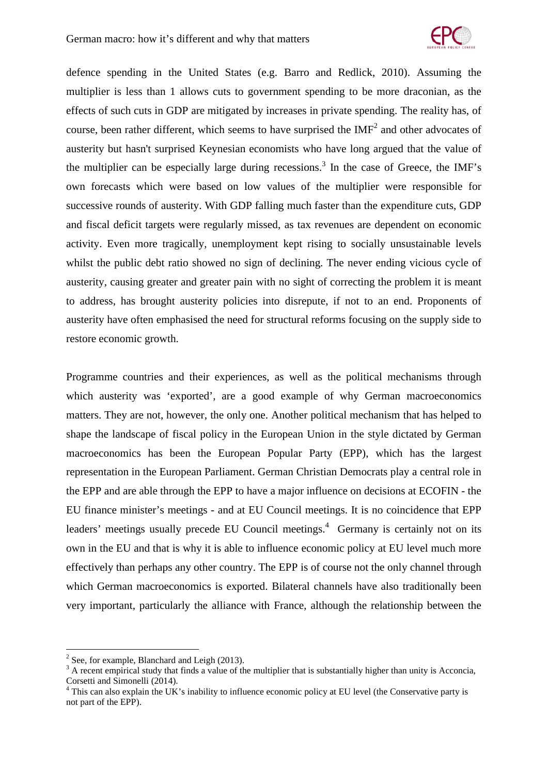

defence spending in the United States (e.g. Barro and Redlick, 2010). Assuming the multiplier is less than 1 allows cuts to government spending to be more draconian, as the effects of such cuts in GDP are mitigated by increases in private spending. The reality has, of course, been rather different, which seems to have surprised the  $IMF<sup>2</sup>$  and other advocates of austerity but hasn't surprised Keynesian economists who have long argued that the value of the multiplier can be especially large during recessions.<sup>3</sup> In the case of Greece, the IMF's own forecasts which were based on low values of the multiplier were responsible for successive rounds of austerity. With GDP falling much faster than the expenditure cuts, GDP and fiscal deficit targets were regularly missed, as tax revenues are dependent on economic activity. Even more tragically, unemployment kept rising to socially unsustainable levels whilst the public debt ratio showed no sign of declining. The never ending vicious cycle of austerity, causing greater and greater pain with no sight of correcting the problem it is meant to address, has brought austerity policies into disrepute, if not to an end. Proponents of austerity have often emphasised the need for structural reforms focusing on the supply side to restore economic growth.

Programme countries and their experiences, as well as the political mechanisms through which austerity was 'exported', are a good example of why German macroeconomics matters. They are not, however, the only one. Another political mechanism that has helped to shape the landscape of fiscal policy in the European Union in the style dictated by German macroeconomics has been the European Popular Party (EPP), which has the largest representation in the European Parliament. German Christian Democrats play a central role in the EPP and are able through the EPP to have a major influence on decisions at ECOFIN - the EU finance minister's meetings - and at EU Council meetings. It is no coincidence that EPP leaders' meetings usually precede EU Council meetings.<sup>4</sup> Germany is certainly not on its own in the EU and that is why it is able to influence economic policy at EU level much more effectively than perhaps any other country. The EPP is of course not the only channel through which German macroeconomics is exported. Bilateral channels have also traditionally been very important, particularly the alliance with France, although the relationship between the

See, for example, Blanchard and Leigh (2013).

<sup>&</sup>lt;sup>3</sup> A recent empirical study that finds a value of the multiplier that is substantially higher than unity is Acconcia, Corsetti and Simonelli (2014).

<sup>&</sup>lt;sup>4</sup> This can also explain the UK's inability to influence economic policy at EU level (the Conservative party is not part of the EPP).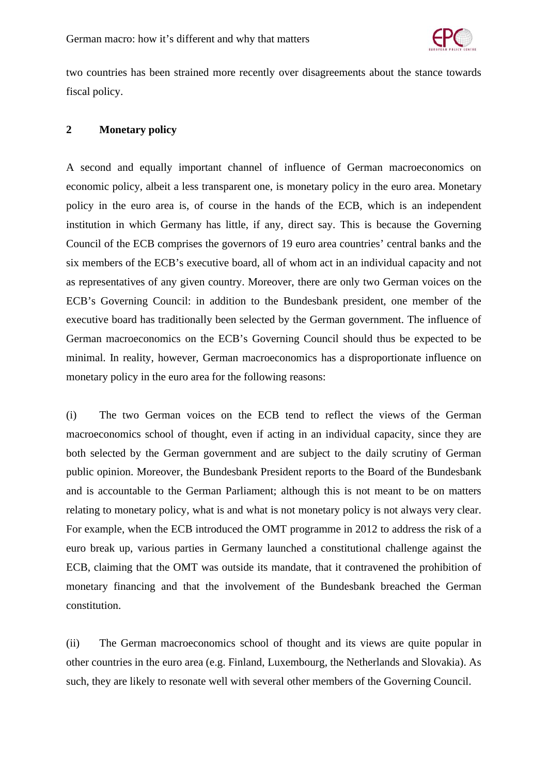

two countries has been strained more recently over disagreements about the stance towards fiscal policy.

### **2 Monetary policy**

A second and equally important channel of influence of German macroeconomics on economic policy, albeit a less transparent one, is monetary policy in the euro area. Monetary policy in the euro area is, of course in the hands of the ECB, which is an independent institution in which Germany has little, if any, direct say. This is because the Governing Council of the ECB comprises the governors of 19 euro area countries' central banks and the six members of the ECB's executive board, all of whom act in an individual capacity and not as representatives of any given country. Moreover, there are only two German voices on the ECB's Governing Council: in addition to the Bundesbank president, one member of the executive board has traditionally been selected by the German government. The influence of German macroeconomics on the ECB's Governing Council should thus be expected to be minimal. In reality, however, German macroeconomics has a disproportionate influence on monetary policy in the euro area for the following reasons:

(i) The two German voices on the ECB tend to reflect the views of the German macroeconomics school of thought, even if acting in an individual capacity, since they are both selected by the German government and are subject to the daily scrutiny of German public opinion. Moreover, the Bundesbank President reports to the Board of the Bundesbank and is accountable to the German Parliament; although this is not meant to be on matters relating to monetary policy, what is and what is not monetary policy is not always very clear. For example, when the ECB introduced the OMT programme in 2012 to address the risk of a euro break up, various parties in Germany launched a constitutional challenge against the ECB, claiming that the OMT was outside its mandate, that it contravened the prohibition of monetary financing and that the involvement of the Bundesbank breached the German constitution.

(ii) The German macroeconomics school of thought and its views are quite popular in other countries in the euro area (e.g. Finland, Luxembourg, the Netherlands and Slovakia). As such, they are likely to resonate well with several other members of the Governing Council.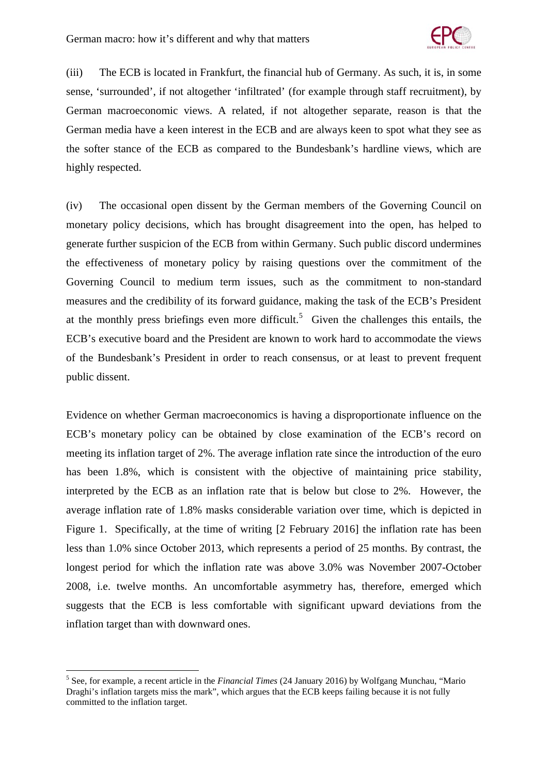

(iii) The ECB is located in Frankfurt, the financial hub of Germany. As such, it is, in some sense, 'surrounded', if not altogether 'infiltrated' (for example through staff recruitment), by German macroeconomic views. A related, if not altogether separate, reason is that the German media have a keen interest in the ECB and are always keen to spot what they see as the softer stance of the ECB as compared to the Bundesbank's hardline views, which are highly respected.

(iv) The occasional open dissent by the German members of the Governing Council on monetary policy decisions, which has brought disagreement into the open, has helped to generate further suspicion of the ECB from within Germany. Such public discord undermines the effectiveness of monetary policy by raising questions over the commitment of the Governing Council to medium term issues, such as the commitment to non-standard measures and the credibility of its forward guidance, making the task of the ECB's President at the monthly press briefings even more difficult.<sup>5</sup> Given the challenges this entails, the ECB's executive board and the President are known to work hard to accommodate the views of the Bundesbank's President in order to reach consensus, or at least to prevent frequent public dissent.

Evidence on whether German macroeconomics is having a disproportionate influence on the ECB's monetary policy can be obtained by close examination of the ECB's record on meeting its inflation target of 2%. The average inflation rate since the introduction of the euro has been 1.8%, which is consistent with the objective of maintaining price stability, interpreted by the ECB as an inflation rate that is below but close to 2%. However, the average inflation rate of 1.8% masks considerable variation over time, which is depicted in Figure 1. Specifically, at the time of writing [2 February 2016] the inflation rate has been less than 1.0% since October 2013, which represents a period of 25 months. By contrast, the longest period for which the inflation rate was above 3.0% was November 2007-October 2008, i.e. twelve months. An uncomfortable asymmetry has, therefore, emerged which suggests that the ECB is less comfortable with significant upward deviations from the inflation target than with downward ones.

<sup>5</sup> See, for example, a recent article in the *Financial Times* (24 January 2016) by Wolfgang Munchau, "Mario Draghi's inflation targets miss the mark", which argues that the ECB keeps failing because it is not fully committed to the inflation target.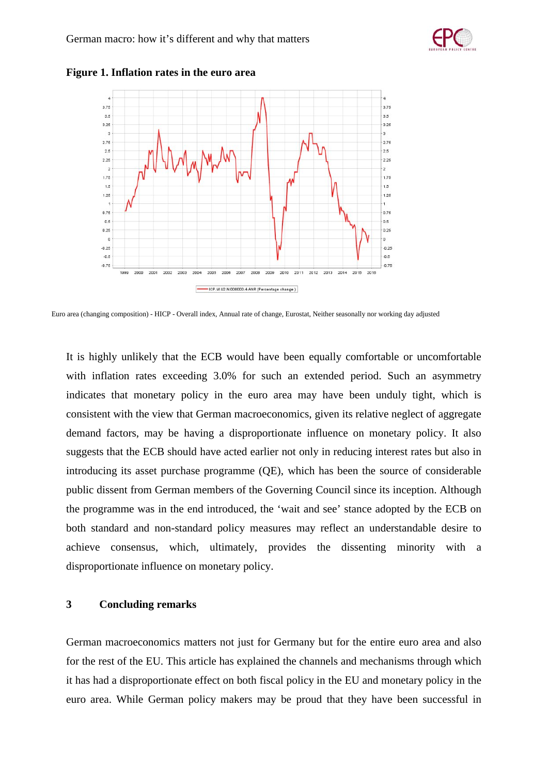



#### **Figure 1. Inflation rates in the euro area**

Euro area (changing composition) - HICP - Overall index, Annual rate of change, Eurostat, Neither seasonally nor working day adjusted

It is highly unlikely that the ECB would have been equally comfortable or uncomfortable with inflation rates exceeding 3.0% for such an extended period. Such an asymmetry indicates that monetary policy in the euro area may have been unduly tight, which is consistent with the view that German macroeconomics, given its relative neglect of aggregate demand factors, may be having a disproportionate influence on monetary policy. It also suggests that the ECB should have acted earlier not only in reducing interest rates but also in introducing its asset purchase programme (QE), which has been the source of considerable public dissent from German members of the Governing Council since its inception. Although the programme was in the end introduced, the 'wait and see' stance adopted by the ECB on both standard and non-standard policy measures may reflect an understandable desire to achieve consensus, which, ultimately, provides the dissenting minority with a disproportionate influence on monetary policy.

#### **3 Concluding remarks**

German macroeconomics matters not just for Germany but for the entire euro area and also for the rest of the EU. This article has explained the channels and mechanisms through which it has had a disproportionate effect on both fiscal policy in the EU and monetary policy in the euro area. While German policy makers may be proud that they have been successful in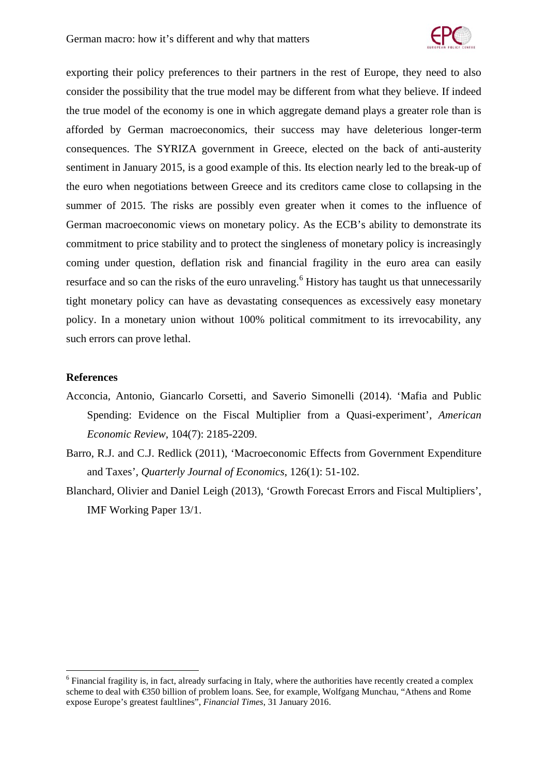

exporting their policy preferences to their partners in the rest of Europe, they need to also consider the possibility that the true model may be different from what they believe. If indeed the true model of the economy is one in which aggregate demand plays a greater role than is afforded by German macroeconomics, their success may have deleterious longer-term consequences. The SYRIZA government in Greece, elected on the back of anti-austerity sentiment in January 2015, is a good example of this. Its election nearly led to the break-up of the euro when negotiations between Greece and its creditors came close to collapsing in the summer of 2015. The risks are possibly even greater when it comes to the influence of German macroeconomic views on monetary policy. As the ECB's ability to demonstrate its commitment to price stability and to protect the singleness of monetary policy is increasingly coming under question, deflation risk and financial fragility in the euro area can easily resurface and so can the risks of the euro unraveling.<sup>6</sup> History has taught us that unnecessarily tight monetary policy can have as devastating consequences as excessively easy monetary policy. In a monetary union without 100% political commitment to its irrevocability, any such errors can prove lethal.

### **References**

- Acconcia, Antonio, Giancarlo Corsetti, and Saverio Simonelli (2014). 'Mafia and Public Spending: Evidence on the Fiscal Multiplier from a Quasi-experiment', *American Economic Review*, 104(7): 2185-2209.
- Barro, R.J. and C.J. Redlick (2011), 'Macroeconomic Effects from Government Expenditure and Taxes', *Quarterly Journal of Economics*, 126(1): 51-102.
- Blanchard, Olivier and Daniel Leigh (2013), 'Growth Forecast Errors and Fiscal Multipliers', IMF Working Paper 13/1.

<sup>6</sup> Financial fragility is, in fact, already surfacing in Italy, where the authorities have recently created a complex scheme to deal with €350 billion of problem loans. See, for example, Wolfgang Munchau, "Athens and Rome expose Europe's greatest faultlines", *Financial Times*, 31 January 2016.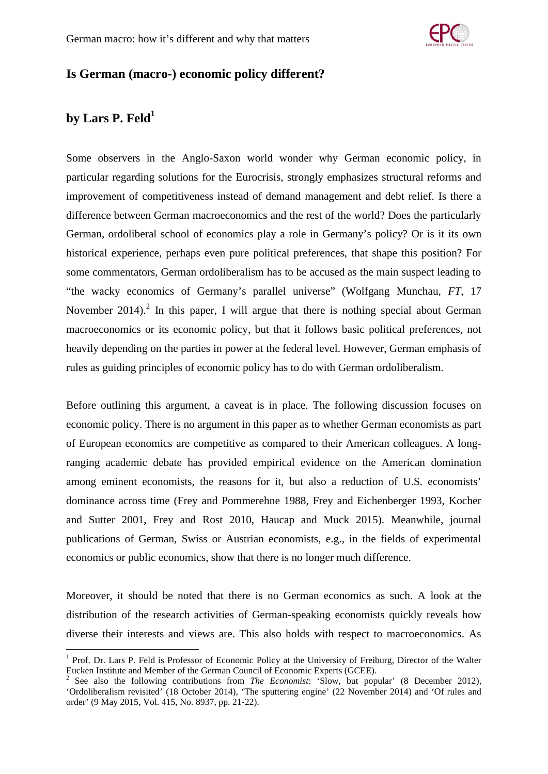

### **Is German (macro-) economic policy different?**

# by Lars P. Feld<sup>1</sup>

Some observers in the Anglo-Saxon world wonder why German economic policy, in particular regarding solutions for the Eurocrisis, strongly emphasizes structural reforms and improvement of competitiveness instead of demand management and debt relief. Is there a difference between German macroeconomics and the rest of the world? Does the particularly German, ordoliberal school of economics play a role in Germany's policy? Or is it its own historical experience, perhaps even pure political preferences, that shape this position? For some commentators, German ordoliberalism has to be accused as the main suspect leading to "the wacky economics of Germany's parallel universe" (Wolfgang Munchau, *FT*, 17 November  $2014$ ).<sup>2</sup> In this paper, I will argue that there is nothing special about German macroeconomics or its economic policy, but that it follows basic political preferences, not heavily depending on the parties in power at the federal level. However, German emphasis of rules as guiding principles of economic policy has to do with German ordoliberalism.

Before outlining this argument, a caveat is in place. The following discussion focuses on economic policy. There is no argument in this paper as to whether German economists as part of European economics are competitive as compared to their American colleagues. A longranging academic debate has provided empirical evidence on the American domination among eminent economists, the reasons for it, but also a reduction of U.S. economists' dominance across time (Frey and Pommerehne 1988, Frey and Eichenberger 1993, Kocher and Sutter 2001, Frey and Rost 2010, Haucap and Muck 2015). Meanwhile, journal publications of German, Swiss or Austrian economists, e.g., in the fields of experimental economics or public economics, show that there is no longer much difference.

Moreover, it should be noted that there is no German economics as such. A look at the distribution of the research activities of German-speaking economists quickly reveals how diverse their interests and views are. This also holds with respect to macroeconomics. As

<sup>&</sup>lt;sup>1</sup> Prof. Dr. Lars P. Feld is Professor of Economic Policy at the University of Freiburg, Director of the Walter Eucken Institute and Member of the German Council of Economic Experts (GCEE).

<sup>2</sup> See also the following contributions from *The Economist*: 'Slow, but popular' (8 December 2012), 'Ordoliberalism revisited' (18 October 2014), 'The sputtering engine' (22 November 2014) and 'Of rules and order' (9 May 2015, Vol. 415, No. 8937, pp. 21-22).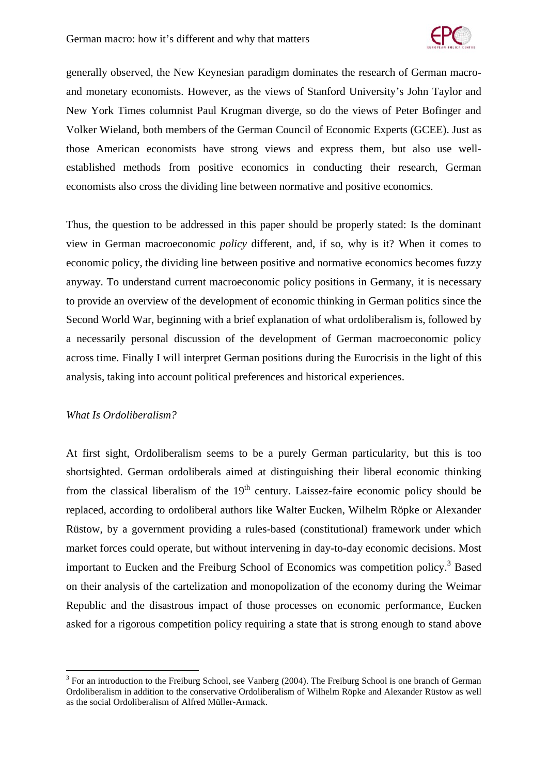

generally observed, the New Keynesian paradigm dominates the research of German macroand monetary economists. However, as the views of Stanford University's John Taylor and New York Times columnist Paul Krugman diverge, so do the views of Peter Bofinger and Volker Wieland, both members of the German Council of Economic Experts (GCEE). Just as those American economists have strong views and express them, but also use wellestablished methods from positive economics in conducting their research, German economists also cross the dividing line between normative and positive economics.

Thus, the question to be addressed in this paper should be properly stated: Is the dominant view in German macroeconomic *policy* different, and, if so, why is it? When it comes to economic policy, the dividing line between positive and normative economics becomes fuzzy anyway. To understand current macroeconomic policy positions in Germany, it is necessary to provide an overview of the development of economic thinking in German politics since the Second World War, beginning with a brief explanation of what ordoliberalism is, followed by a necessarily personal discussion of the development of German macroeconomic policy across time. Finally I will interpret German positions during the Eurocrisis in the light of this analysis, taking into account political preferences and historical experiences.

### *What Is Ordoliberalism?*

At first sight, Ordoliberalism seems to be a purely German particularity, but this is too shortsighted. German ordoliberals aimed at distinguishing their liberal economic thinking from the classical liberalism of the  $19<sup>th</sup>$  century. Laissez-faire economic policy should be replaced, according to ordoliberal authors like Walter Eucken, Wilhelm Röpke or Alexander Rüstow, by a government providing a rules-based (constitutional) framework under which market forces could operate, but without intervening in day-to-day economic decisions. Most important to Eucken and the Freiburg School of Economics was competition policy.<sup>3</sup> Based on their analysis of the cartelization and monopolization of the economy during the Weimar Republic and the disastrous impact of those processes on economic performance, Eucken asked for a rigorous competition policy requiring a state that is strong enough to stand above

<sup>&</sup>lt;sup>3</sup> For an introduction to the Freiburg School, see Vanberg (2004). The Freiburg School is one branch of German Ordoliberalism in addition to the conservative Ordoliberalism of Wilhelm Röpke and Alexander Rüstow as well as the social Ordoliberalism of Alfred Müller-Armack.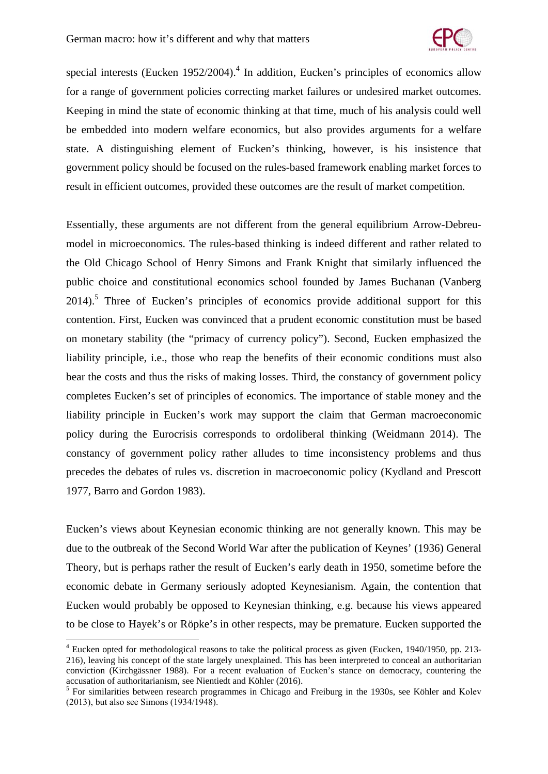

special interests (Eucken 1952/2004).<sup>4</sup> In addition, Eucken's principles of economics allow for a range of government policies correcting market failures or undesired market outcomes. Keeping in mind the state of economic thinking at that time, much of his analysis could well be embedded into modern welfare economics, but also provides arguments for a welfare state. A distinguishing element of Eucken's thinking, however, is his insistence that government policy should be focused on the rules-based framework enabling market forces to result in efficient outcomes, provided these outcomes are the result of market competition.

Essentially, these arguments are not different from the general equilibrium Arrow-Debreumodel in microeconomics. The rules-based thinking is indeed different and rather related to the Old Chicago School of Henry Simons and Frank Knight that similarly influenced the public choice and constitutional economics school founded by James Buchanan (Vanberg  $2014$ <sup>5</sup>. Three of Eucken's principles of economics provide additional support for this contention. First, Eucken was convinced that a prudent economic constitution must be based on monetary stability (the "primacy of currency policy"). Second, Eucken emphasized the liability principle, i.e., those who reap the benefits of their economic conditions must also bear the costs and thus the risks of making losses. Third, the constancy of government policy completes Eucken's set of principles of economics. The importance of stable money and the liability principle in Eucken's work may support the claim that German macroeconomic policy during the Eurocrisis corresponds to ordoliberal thinking (Weidmann 2014). The constancy of government policy rather alludes to time inconsistency problems and thus precedes the debates of rules vs. discretion in macroeconomic policy (Kydland and Prescott 1977, Barro and Gordon 1983).

Eucken's views about Keynesian economic thinking are not generally known. This may be due to the outbreak of the Second World War after the publication of Keynes' (1936) General Theory, but is perhaps rather the result of Eucken's early death in 1950, sometime before the economic debate in Germany seriously adopted Keynesianism. Again, the contention that Eucken would probably be opposed to Keynesian thinking, e.g. because his views appeared to be close to Hayek's or Röpke's in other respects, may be premature. Eucken supported the

<sup>4</sup> Eucken opted for methodological reasons to take the political process as given (Eucken, 1940/1950, pp. 213- 216), leaving his concept of the state largely unexplained. This has been interpreted to conceal an authoritarian conviction (Kirchgässner 1988). For a recent evaluation of Eucken's stance on democracy, countering the accusation of authoritarianism, see Nientiedt and Köhler (2016).

<sup>&</sup>lt;sup>5</sup> For similarities between research programmes in Chicago and Freiburg in the 1930s, see Köhler and Kolev (2013), but also see Simons (1934/1948).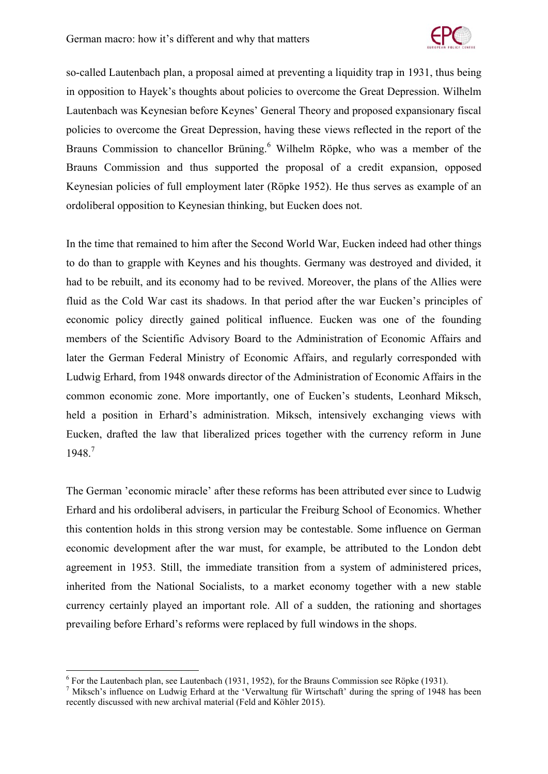

so-called Lautenbach plan, a proposal aimed at preventing a liquidity trap in 1931, thus being in opposition to Hayek's thoughts about policies to overcome the Great Depression. Wilhelm Lautenbach was Keynesian before Keynes' General Theory and proposed expansionary fiscal policies to overcome the Great Depression, having these views reflected in the report of the Brauns Commission to chancellor Brüning.<sup>6</sup> Wilhelm Röpke, who was a member of the Brauns Commission and thus supported the proposal of a credit expansion, opposed Keynesian policies of full employment later (Röpke 1952). He thus serves as example of an ordoliberal opposition to Keynesian thinking, but Eucken does not.

In the time that remained to him after the Second World War, Eucken indeed had other things to do than to grapple with Keynes and his thoughts. Germany was destroyed and divided, it had to be rebuilt, and its economy had to be revived. Moreover, the plans of the Allies were fluid as the Cold War cast its shadows. In that period after the war Eucken's principles of economic policy directly gained political influence. Eucken was one of the founding members of the Scientific Advisory Board to the Administration of Economic Affairs and later the German Federal Ministry of Economic Affairs, and regularly corresponded with Ludwig Erhard, from 1948 onwards director of the Administration of Economic Affairs in the common economic zone. More importantly, one of Eucken's students, Leonhard Miksch, held a position in Erhard's administration. Miksch, intensively exchanging views with Eucken, drafted the law that liberalized prices together with the currency reform in June 1948.7

The German 'economic miracle' after these reforms has been attributed ever since to Ludwig Erhard and his ordoliberal advisers, in particular the Freiburg School of Economics. Whether this contention holds in this strong version may be contestable. Some influence on German economic development after the war must, for example, be attributed to the London debt agreement in 1953. Still, the immediate transition from a system of administered prices, inherited from the National Socialists, to a market economy together with a new stable currency certainly played an important role. All of a sudden, the rationing and shortages prevailing before Erhard's reforms were replaced by full windows in the shops.

 $6$  For the Lautenbach plan, see Lautenbach (1931, 1952), for the Brauns Commission see Röpke (1931).

<sup>7</sup> Miksch's influence on Ludwig Erhard at the 'Verwaltung für Wirtschaft' during the spring of 1948 has been recently discussed with new archival material (Feld and Köhler 2015).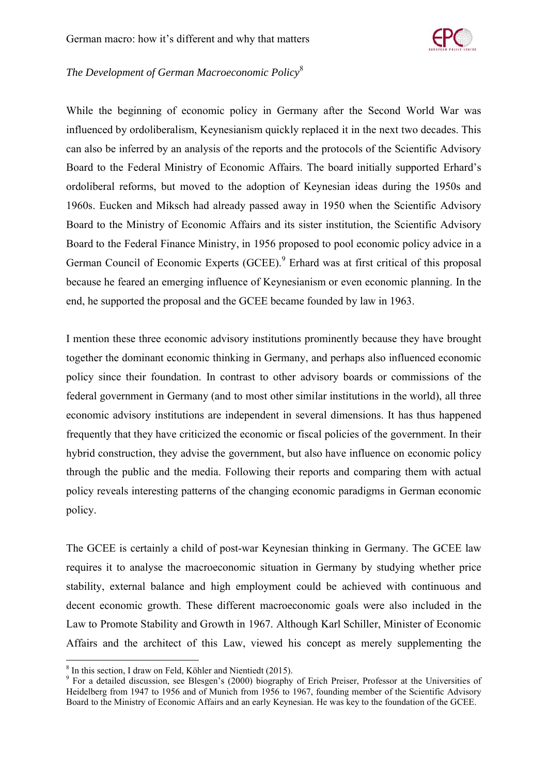

### *The Development of German Macroeconomic Policy*<sup>8</sup>

While the beginning of economic policy in Germany after the Second World War was influenced by ordoliberalism, Keynesianism quickly replaced it in the next two decades. This can also be inferred by an analysis of the reports and the protocols of the Scientific Advisory Board to the Federal Ministry of Economic Affairs. The board initially supported Erhard's ordoliberal reforms, but moved to the adoption of Keynesian ideas during the 1950s and 1960s. Eucken and Miksch had already passed away in 1950 when the Scientific Advisory Board to the Ministry of Economic Affairs and its sister institution, the Scientific Advisory Board to the Federal Finance Ministry, in 1956 proposed to pool economic policy advice in a German Council of Economic Experts (GCEE).<sup>9</sup> Erhard was at first critical of this proposal because he feared an emerging influence of Keynesianism or even economic planning. In the end, he supported the proposal and the GCEE became founded by law in 1963.

I mention these three economic advisory institutions prominently because they have brought together the dominant economic thinking in Germany, and perhaps also influenced economic policy since their foundation. In contrast to other advisory boards or commissions of the federal government in Germany (and to most other similar institutions in the world), all three economic advisory institutions are independent in several dimensions. It has thus happened frequently that they have criticized the economic or fiscal policies of the government. In their hybrid construction, they advise the government, but also have influence on economic policy through the public and the media. Following their reports and comparing them with actual policy reveals interesting patterns of the changing economic paradigms in German economic policy.

The GCEE is certainly a child of post-war Keynesian thinking in Germany. The GCEE law requires it to analyse the macroeconomic situation in Germany by studying whether price stability, external balance and high employment could be achieved with continuous and decent economic growth. These different macroeconomic goals were also included in the Law to Promote Stability and Growth in 1967. Although Karl Schiller, Minister of Economic Affairs and the architect of this Law, viewed his concept as merely supplementing the

<sup>8</sup> In this section, I draw on Feld, Köhler and Nientiedt (2015).

<sup>9</sup> For a detailed discussion, see Blesgen's (2000) biography of Erich Preiser, Professor at the Universities of Heidelberg from 1947 to 1956 and of Munich from 1956 to 1967, founding member of the Scientific Advisory Board to the Ministry of Economic Affairs and an early Keynesian. He was key to the foundation of the GCEE.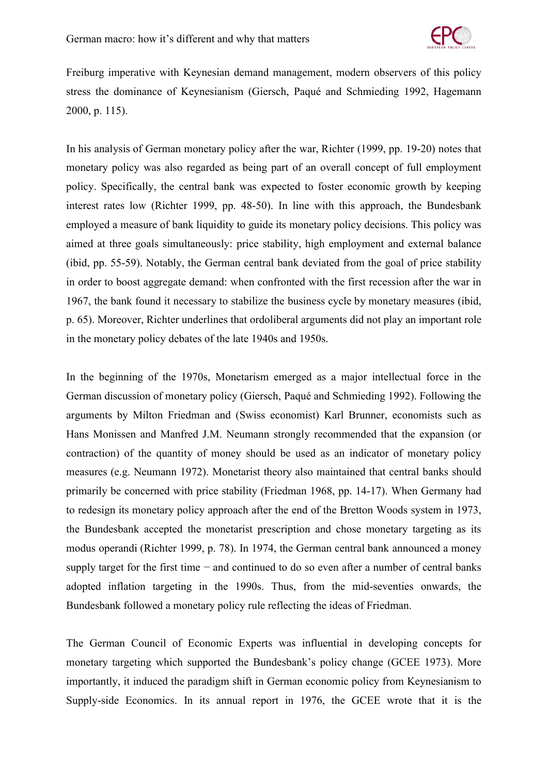

Freiburg imperative with Keynesian demand management, modern observers of this policy stress the dominance of Keynesianism (Giersch, Paqué and Schmieding 1992, Hagemann 2000, p. 115).

In his analysis of German monetary policy after the war, Richter (1999, pp. 19-20) notes that monetary policy was also regarded as being part of an overall concept of full employment policy. Specifically, the central bank was expected to foster economic growth by keeping interest rates low (Richter 1999, pp. 48-50). In line with this approach, the Bundesbank employed a measure of bank liquidity to guide its monetary policy decisions. This policy was aimed at three goals simultaneously: price stability, high employment and external balance (ibid, pp. 55-59). Notably, the German central bank deviated from the goal of price stability in order to boost aggregate demand: when confronted with the first recession after the war in 1967, the bank found it necessary to stabilize the business cycle by monetary measures (ibid, p. 65). Moreover, Richter underlines that ordoliberal arguments did not play an important role in the monetary policy debates of the late 1940s and 1950s.

In the beginning of the 1970s, Monetarism emerged as a major intellectual force in the German discussion of monetary policy (Giersch, Paqué and Schmieding 1992). Following the arguments by Milton Friedman and (Swiss economist) Karl Brunner, economists such as Hans Monissen and Manfred J.M. Neumann strongly recommended that the expansion (or contraction) of the quantity of money should be used as an indicator of monetary policy measures (e.g. Neumann 1972). Monetarist theory also maintained that central banks should primarily be concerned with price stability (Friedman 1968, pp. 14-17). When Germany had to redesign its monetary policy approach after the end of the Bretton Woods system in 1973, the Bundesbank accepted the monetarist prescription and chose monetary targeting as its modus operandi (Richter 1999, p. 78). In 1974, the German central bank announced a money supply target for the first time – and continued to do so even after a number of central banks adopted inflation targeting in the 1990s. Thus, from the mid-seventies onwards, the Bundesbank followed a monetary policy rule reflecting the ideas of Friedman.

The German Council of Economic Experts was influential in developing concepts for monetary targeting which supported the Bundesbank's policy change (GCEE 1973). More importantly, it induced the paradigm shift in German economic policy from Keynesianism to Supply-side Economics. In its annual report in 1976, the GCEE wrote that it is the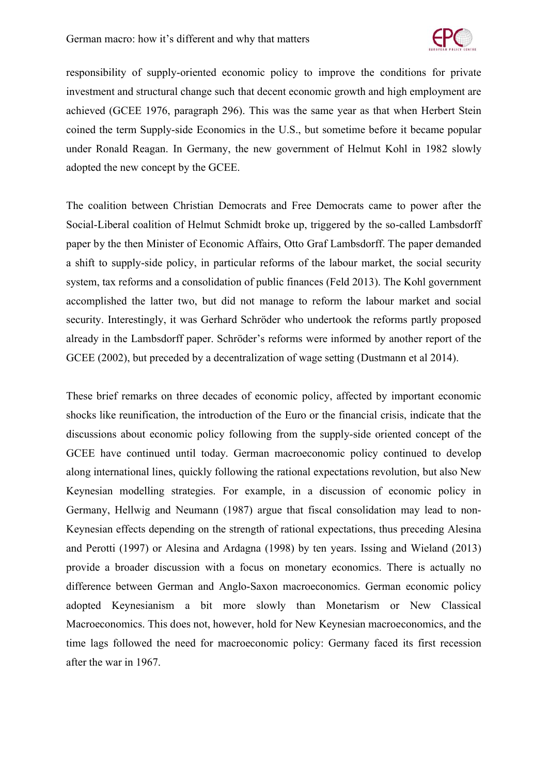

responsibility of supply-oriented economic policy to improve the conditions for private investment and structural change such that decent economic growth and high employment are achieved (GCEE 1976, paragraph 296). This was the same year as that when Herbert Stein coined the term Supply-side Economics in the U.S., but sometime before it became popular under Ronald Reagan. In Germany, the new government of Helmut Kohl in 1982 slowly adopted the new concept by the GCEE.

The coalition between Christian Democrats and Free Democrats came to power after the Social-Liberal coalition of Helmut Schmidt broke up, triggered by the so-called Lambsdorff paper by the then Minister of Economic Affairs, Otto Graf Lambsdorff. The paper demanded a shift to supply-side policy, in particular reforms of the labour market, the social security system, tax reforms and a consolidation of public finances (Feld 2013). The Kohl government accomplished the latter two, but did not manage to reform the labour market and social security. Interestingly, it was Gerhard Schröder who undertook the reforms partly proposed already in the Lambsdorff paper. Schröder's reforms were informed by another report of the GCEE (2002), but preceded by a decentralization of wage setting (Dustmann et al 2014).

These brief remarks on three decades of economic policy, affected by important economic shocks like reunification, the introduction of the Euro or the financial crisis, indicate that the discussions about economic policy following from the supply-side oriented concept of the GCEE have continued until today. German macroeconomic policy continued to develop along international lines, quickly following the rational expectations revolution, but also New Keynesian modelling strategies. For example, in a discussion of economic policy in Germany, Hellwig and Neumann (1987) argue that fiscal consolidation may lead to non-Keynesian effects depending on the strength of rational expectations, thus preceding Alesina and Perotti (1997) or Alesina and Ardagna (1998) by ten years. Issing and Wieland (2013) provide a broader discussion with a focus on monetary economics. There is actually no difference between German and Anglo-Saxon macroeconomics. German economic policy adopted Keynesianism a bit more slowly than Monetarism or New Classical Macroeconomics. This does not, however, hold for New Keynesian macroeconomics, and the time lags followed the need for macroeconomic policy: Germany faced its first recession after the war in 1967.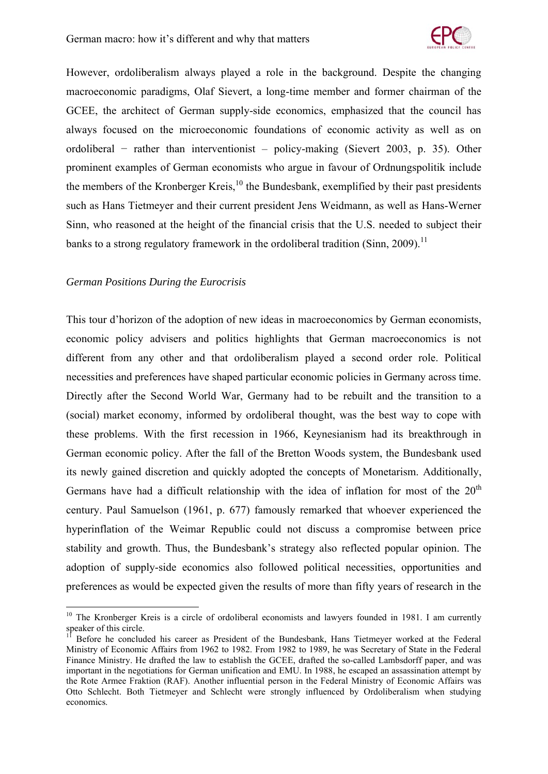

However, ordoliberalism always played a role in the background. Despite the changing macroeconomic paradigms, Olaf Sievert, a long-time member and former chairman of the GCEE, the architect of German supply-side economics, emphasized that the council has always focused on the microeconomic foundations of economic activity as well as on ordoliberal − rather than interventionist – policy-making (Sievert 2003, p. 35). Other prominent examples of German economists who argue in favour of Ordnungspolitik include the members of the Kronberger Kreis, $^{10}$  the Bundesbank, exemplified by their past presidents such as Hans Tietmeyer and their current president Jens Weidmann, as well as Hans-Werner Sinn, who reasoned at the height of the financial crisis that the U.S. needed to subject their banks to a strong regulatory framework in the ordoliberal tradition (Sinn, 2009).<sup>11</sup>

#### *German Positions During the Eurocrisis*

This tour d'horizon of the adoption of new ideas in macroeconomics by German economists, economic policy advisers and politics highlights that German macroeconomics is not different from any other and that ordoliberalism played a second order role. Political necessities and preferences have shaped particular economic policies in Germany across time. Directly after the Second World War, Germany had to be rebuilt and the transition to a (social) market economy, informed by ordoliberal thought, was the best way to cope with these problems. With the first recession in 1966, Keynesianism had its breakthrough in German economic policy. After the fall of the Bretton Woods system, the Bundesbank used its newly gained discretion and quickly adopted the concepts of Monetarism. Additionally, Germans have had a difficult relationship with the idea of inflation for most of the  $20<sup>th</sup>$ century. Paul Samuelson (1961, p. 677) famously remarked that whoever experienced the hyperinflation of the Weimar Republic could not discuss a compromise between price stability and growth. Thus, the Bundesbank's strategy also reflected popular opinion. The adoption of supply-side economics also followed political necessities, opportunities and preferences as would be expected given the results of more than fifty years of research in the

<sup>&</sup>lt;sup>10</sup> The Kronberger Kreis is a circle of ordoliberal economists and lawyers founded in 1981. I am currently  $\frac{1}{2}$ speaker of this circle.

<sup>11</sup> Before he concluded his career as President of the Bundesbank, Hans Tietmeyer worked at the Federal Ministry of Economic Affairs from 1962 to 1982. From 1982 to 1989, he was Secretary of State in the Federal Finance Ministry. He drafted the law to establish the GCEE, drafted the so-called Lambsdorff paper, and was important in the negotiations for German unification and EMU. In 1988, he escaped an assassination attempt by the Rote Armee Fraktion (RAF). Another influential person in the Federal Ministry of Economic Affairs was Otto Schlecht. Both Tietmeyer and Schlecht were strongly influenced by Ordoliberalism when studying economics.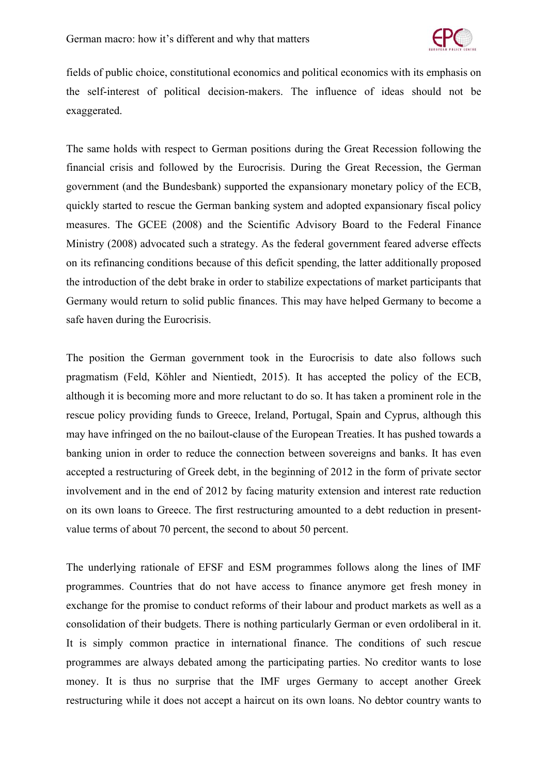

fields of public choice, constitutional economics and political economics with its emphasis on the self-interest of political decision-makers. The influence of ideas should not be exaggerated.

The same holds with respect to German positions during the Great Recession following the financial crisis and followed by the Eurocrisis. During the Great Recession, the German government (and the Bundesbank) supported the expansionary monetary policy of the ECB, quickly started to rescue the German banking system and adopted expansionary fiscal policy measures. The GCEE (2008) and the Scientific Advisory Board to the Federal Finance Ministry (2008) advocated such a strategy. As the federal government feared adverse effects on its refinancing conditions because of this deficit spending, the latter additionally proposed the introduction of the debt brake in order to stabilize expectations of market participants that Germany would return to solid public finances. This may have helped Germany to become a safe haven during the Eurocrisis.

The position the German government took in the Eurocrisis to date also follows such pragmatism (Feld, Köhler and Nientiedt, 2015). It has accepted the policy of the ECB, although it is becoming more and more reluctant to do so. It has taken a prominent role in the rescue policy providing funds to Greece, Ireland, Portugal, Spain and Cyprus, although this may have infringed on the no bailout-clause of the European Treaties. It has pushed towards a banking union in order to reduce the connection between sovereigns and banks. It has even accepted a restructuring of Greek debt, in the beginning of 2012 in the form of private sector involvement and in the end of 2012 by facing maturity extension and interest rate reduction on its own loans to Greece. The first restructuring amounted to a debt reduction in presentvalue terms of about 70 percent, the second to about 50 percent.

The underlying rationale of EFSF and ESM programmes follows along the lines of IMF programmes. Countries that do not have access to finance anymore get fresh money in exchange for the promise to conduct reforms of their labour and product markets as well as a consolidation of their budgets. There is nothing particularly German or even ordoliberal in it. It is simply common practice in international finance. The conditions of such rescue programmes are always debated among the participating parties. No creditor wants to lose money. It is thus no surprise that the IMF urges Germany to accept another Greek restructuring while it does not accept a haircut on its own loans. No debtor country wants to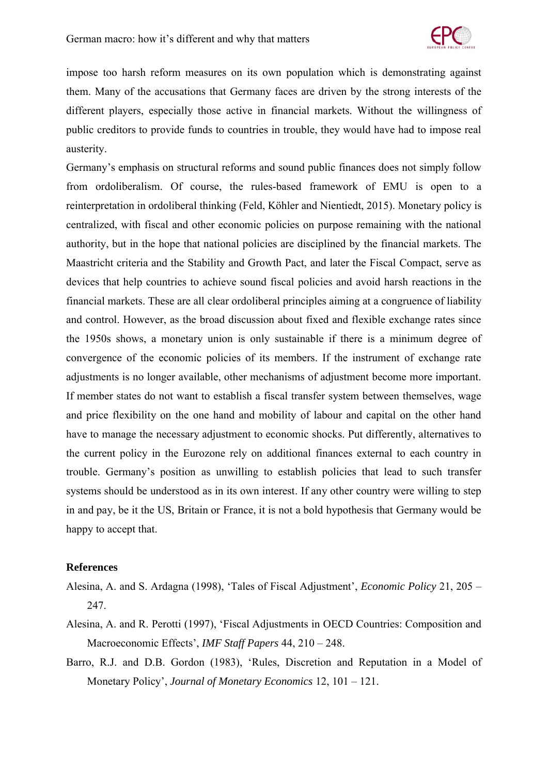

impose too harsh reform measures on its own population which is demonstrating against them. Many of the accusations that Germany faces are driven by the strong interests of the different players, especially those active in financial markets. Without the willingness of public creditors to provide funds to countries in trouble, they would have had to impose real austerity.

Germany's emphasis on structural reforms and sound public finances does not simply follow from ordoliberalism. Of course, the rules-based framework of EMU is open to a reinterpretation in ordoliberal thinking (Feld, Köhler and Nientiedt, 2015). Monetary policy is centralized, with fiscal and other economic policies on purpose remaining with the national authority, but in the hope that national policies are disciplined by the financial markets. The Maastricht criteria and the Stability and Growth Pact, and later the Fiscal Compact, serve as devices that help countries to achieve sound fiscal policies and avoid harsh reactions in the financial markets. These are all clear ordoliberal principles aiming at a congruence of liability and control. However, as the broad discussion about fixed and flexible exchange rates since the 1950s shows, a monetary union is only sustainable if there is a minimum degree of convergence of the economic policies of its members. If the instrument of exchange rate adjustments is no longer available, other mechanisms of adjustment become more important. If member states do not want to establish a fiscal transfer system between themselves, wage and price flexibility on the one hand and mobility of labour and capital on the other hand have to manage the necessary adjustment to economic shocks. Put differently, alternatives to the current policy in the Eurozone rely on additional finances external to each country in trouble. Germany's position as unwilling to establish policies that lead to such transfer systems should be understood as in its own interest. If any other country were willing to step in and pay, be it the US, Britain or France, it is not a bold hypothesis that Germany would be happy to accept that.

### **References**

- Alesina, A. and S. Ardagna (1998), 'Tales of Fiscal Adjustment', *Economic Policy* 21, 205 247.
- Alesina, A. and R. Perotti (1997), 'Fiscal Adjustments in OECD Countries: Composition and Macroeconomic Effects', *IMF Staff Papers* 44, 210 – 248.
- Barro, R.J. and D.B. Gordon (1983), 'Rules, Discretion and Reputation in a Model of Monetary Policy', *Journal of Monetary Economics* 12, 101 – 121.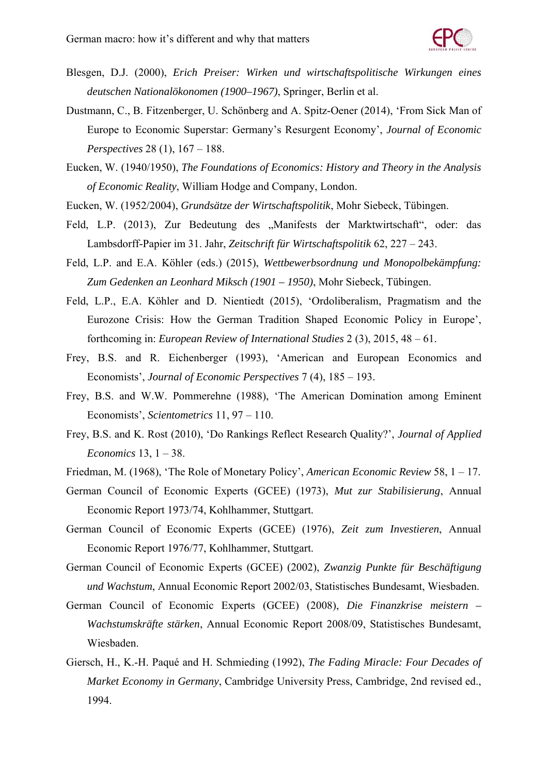

- Blesgen, D.J. (2000), *Erich Preiser: Wirken und wirtschaftspolitische Wirkungen eines deutschen Nationalökonomen (1900–1967)*, Springer, Berlin et al.
- Dustmann, C., B. Fitzenberger, U. Schönberg and A. Spitz-Oener (2014), 'From Sick Man of Europe to Economic Superstar: Germany's Resurgent Economy', *Journal of Economic Perspectives* 28 (1), 167 – 188.
- Eucken, W. (1940/1950), *The Foundations of Economics: History and Theory in the Analysis of Economic Reality*, William Hodge and Company, London.
- Eucken, W. (1952/2004), *Grundsätze der Wirtschaftspolitik*, Mohr Siebeck, Tübingen.
- Feld, L.P. (2013), Zur Bedeutung des "Manifests der Marktwirtschaft", oder: das Lambsdorff-Papier im 31. Jahr, *Zeitschrift für Wirtschaftspolitik* 62, 227 – 243.
- Feld, L.P. and E.A. Köhler (eds.) (2015), *Wettbewerbsordnung und Monopolbekämpfung: Zum Gedenken an Leonhard Miksch (1901 – 1950)*, Mohr Siebeck, Tübingen.
- Feld, L.P., E.A. Köhler and D. Nientiedt (2015), 'Ordoliberalism, Pragmatism and the Eurozone Crisis: How the German Tradition Shaped Economic Policy in Europe', forthcoming in: *European Review of International Studies* 2 (3), 2015, 48 – 61.
- Frey, B.S. and R. Eichenberger (1993), 'American and European Economics and Economists', *Journal of Economic Perspectives* 7 (4), 185 – 193.
- Frey, B.S. and W.W. Pommerehne (1988), 'The American Domination among Eminent Economists', *Scientometrics* 11, 97 – 110.
- Frey, B.S. and K. Rost (2010), 'Do Rankings Reflect Research Quality?', *Journal of Applied Economics* 13, 1 – 38.
- Friedman, M. (1968), 'The Role of Monetary Policy', *American Economic Review* 58, 1 17.
- German Council of Economic Experts (GCEE) (1973), *Mut zur Stabilisierung*, Annual Economic Report 1973/74, Kohlhammer, Stuttgart.
- German Council of Economic Experts (GCEE) (1976), *Zeit zum Investieren*, Annual Economic Report 1976/77, Kohlhammer, Stuttgart.
- German Council of Economic Experts (GCEE) (2002), *Zwanzig Punkte für Beschäftigung und Wachstum*, Annual Economic Report 2002/03, Statistisches Bundesamt, Wiesbaden.
- German Council of Economic Experts (GCEE) (2008), *Die Finanzkrise meistern – Wachstumskräfte stärken*, Annual Economic Report 2008/09, Statistisches Bundesamt, Wiesbaden.
- Giersch, H., K.-H. Paqué and H. Schmieding (1992), *The Fading Miracle: Four Decades of Market Economy in Germany*, Cambridge University Press, Cambridge, 2nd revised ed., 1994.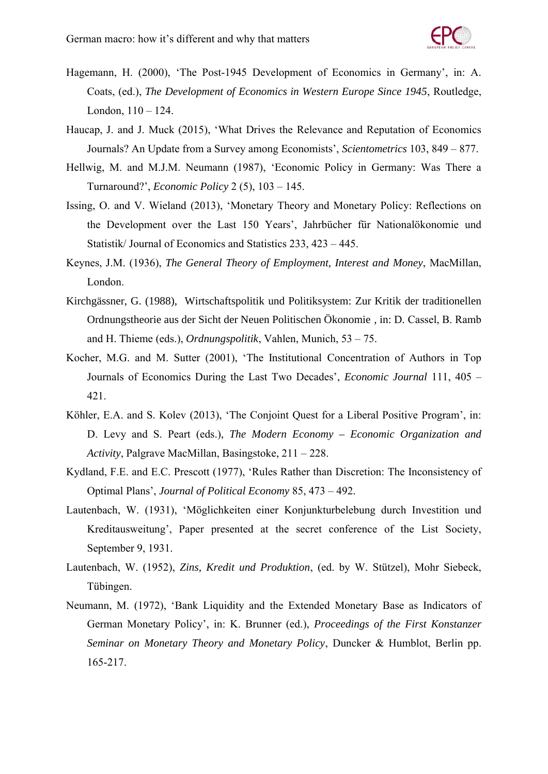

- Hagemann, H. (2000), 'The Post-1945 Development of Economics in Germany', in: A. Coats, (ed.), *The Development of Economics in Western Europe Since 1945*, Routledge, London,  $110 - 124$ .
- Haucap, J. and J. Muck (2015), 'What Drives the Relevance and Reputation of Economics Journals? An Update from a Survey among Economists', *Scientometrics* 103, 849 – 877.
- Hellwig, M. and M.J.M. Neumann (1987), 'Economic Policy in Germany: Was There a Turnaround?', *Economic Policy* 2 (5), 103 – 145.
- Issing, O. and V. Wieland (2013), 'Monetary Theory and Monetary Policy: Reflections on the Development over the Last 150 Years', Jahrbücher für Nationalökonomie und Statistik/ Journal of Economics and Statistics 233, 423 – 445.
- Keynes, J.M. (1936), *The General Theory of Employment, Interest and Money*, MacMillan, London.
- Kirchgässner, G. (1988), Wirtschaftspolitik und Politiksystem: Zur Kritik der traditionellen Ordnungstheorie aus der Sicht der Neuen Politischen Ökonomie , in: D. Cassel, B. Ramb and H. Thieme (eds.), *Ordnungspolitik*, Vahlen, Munich, 53 – 75.
- Kocher, M.G. and M. Sutter (2001), 'The Institutional Concentration of Authors in Top Journals of Economics During the Last Two Decades', *Economic Journal* 111, 405 – 421.
- Köhler, E.A. and S. Kolev (2013), 'The Conjoint Quest for a Liberal Positive Program', in: D. Levy and S. Peart (eds.), *The Modern Economy – Economic Organization and Activity*, Palgrave MacMillan, Basingstoke, 211 – 228.
- Kydland, F.E. and E.C. Prescott (1977), 'Rules Rather than Discretion: The Inconsistency of Optimal Plans', *Journal of Political Economy* 85, 473 – 492.
- Lautenbach, W. (1931), 'Möglichkeiten einer Konjunkturbelebung durch Investition und Kreditausweitung', Paper presented at the secret conference of the List Society, September 9, 1931.
- Lautenbach, W. (1952), *Zins, Kredit und Produktion*, (ed. by W. Stützel), Mohr Siebeck, Tübingen.
- Neumann, M. (1972), 'Bank Liquidity and the Extended Monetary Base as Indicators of German Monetary Policy', in: K. Brunner (ed.), *Proceedings of the First Konstanzer Seminar on Monetary Theory and Monetary Policy*, Duncker & Humblot, Berlin pp. 165-217.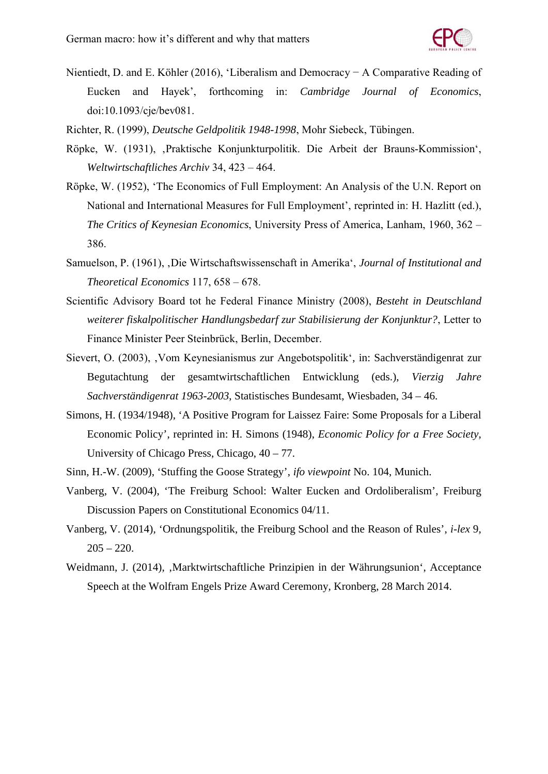

- Nientiedt, D. and E. Köhler (2016), 'Liberalism and Democracy − A Comparative Reading of Eucken and Hayek', forthcoming in: *Cambridge Journal of Economics*, doi:10.1093/cje/bev081.
- Richter, R. (1999), *Deutsche Geldpolitik 1948-1998*, Mohr Siebeck, Tübingen.
- Röpke, W. (1931), 'Praktische Konjunkturpolitik. Die Arbeit der Brauns-Kommission', *Weltwirtschaftliches Archiv* 34, 423 – 464.
- Röpke, W. (1952), 'The Economics of Full Employment: An Analysis of the U.N. Report on National and International Measures for Full Employment', reprinted in: H. Hazlitt (ed.), *The Critics of Keynesian Economics*, University Press of America, Lanham, 1960, 362 – 386.
- Samuelson, P. (1961), Die Wirtschaftswissenschaft in Amerika', *Journal of Institutional and Theoretical Economics* 117, 658 – 678.
- Scientific Advisory Board tot he Federal Finance Ministry (2008), *Besteht in Deutschland weiterer fiskalpolitischer Handlungsbedarf zur Stabilisierung der Konjunktur?*, Letter to Finance Minister Peer Steinbrück, Berlin, December.
- Sievert, O. (2003), 'Vom Keynesianismus zur Angebotspolitik', in: Sachverständigenrat zur Begutachtung der gesamtwirtschaftlichen Entwicklung (eds.), *Vierzig Jahre Sachverständigenrat 1963-2003*, Statistisches Bundesamt, Wiesbaden, 34 – 46.
- Simons, H. (1934/1948), 'A Positive Program for Laissez Faire: Some Proposals for a Liberal Economic Policy', reprinted in: H. Simons (1948), *Economic Policy for a Free Society*, University of Chicago Press, Chicago, 40 – 77.
- Sinn, H.-W. (2009), 'Stuffing the Goose Strategy', *ifo viewpoint* No. 104, Munich.
- Vanberg, V. (2004), 'The Freiburg School: Walter Eucken and Ordoliberalism', Freiburg Discussion Papers on Constitutional Economics 04/11.
- Vanberg, V. (2014), 'Ordnungspolitik, the Freiburg School and the Reason of Rules', *i-lex* 9,  $205 - 220$ .
- Weidmann, J. (2014), ,Marktwirtschaftliche Prinzipien in der Währungsunion', Acceptance Speech at the Wolfram Engels Prize Award Ceremony, Kronberg, 28 March 2014.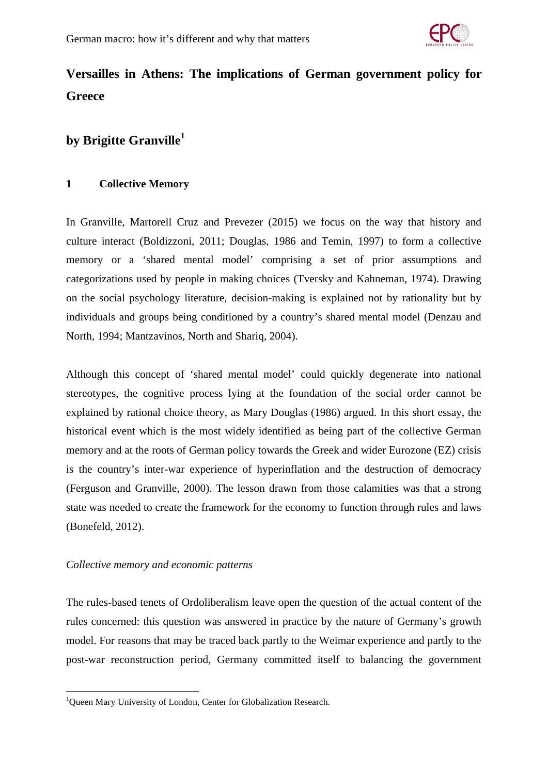

# **Versailles in Athens: The implications of German government policy for Greece**

## by Brigitte Granville<sup>1</sup>

### **1 Collective Memory**

In Granville, Martorell Cruz and Prevezer (2015) we focus on the way that history and culture interact (Boldizzoni, 2011; Douglas, 1986 and Temin, 1997) to form a collective memory or a 'shared mental model' comprising a set of prior assumptions and categorizations used by people in making choices (Tversky and Kahneman, 1974). Drawing on the social psychology literature, decision-making is explained not by rationality but by individuals and groups being conditioned by a country's shared mental model (Denzau and North, 1994; Mantzavinos, North and Shariq, 2004).

Although this concept of 'shared mental model' could quickly degenerate into national stereotypes, the cognitive process lying at the foundation of the social order cannot be explained by rational choice theory, as Mary Douglas (1986) argued. In this short essay, the historical event which is the most widely identified as being part of the collective German memory and at the roots of German policy towards the Greek and wider Eurozone (EZ) crisis is the country's inter-war experience of hyperinflation and the destruction of democracy (Ferguson and Granville, 2000). The lesson drawn from those calamities was that a strong state was needed to create the framework for the economy to function through rules and laws (Bonefeld, 2012).

### *Collective memory and economic patterns*

The rules-based tenets of Ordoliberalism leave open the question of the actual content of the rules concerned: this question was answered in practice by the nature of Germany's growth model. For reasons that may be traced back partly to the Weimar experience and partly to the post-war reconstruction period, Germany committed itself to balancing the government

<sup>&</sup>lt;sup>1</sup>Queen Mary University of London, Center for Globalization Research.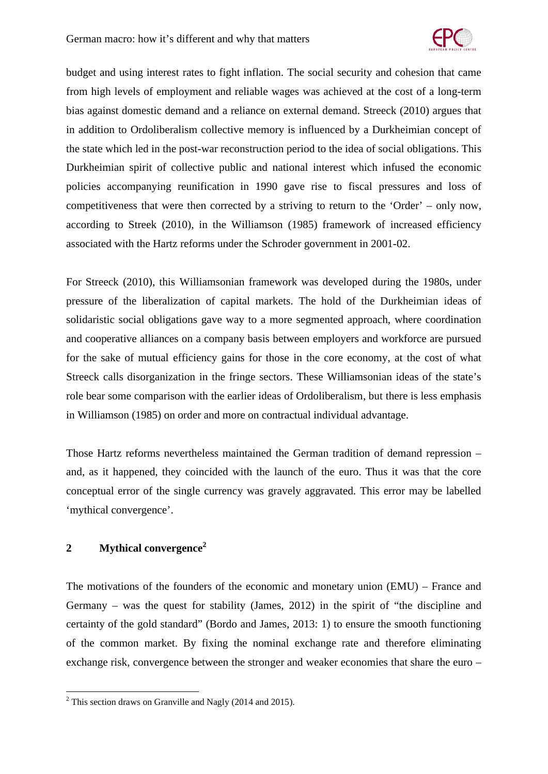

budget and using interest rates to fight inflation. The social security and cohesion that came from high levels of employment and reliable wages was achieved at the cost of a long-term bias against domestic demand and a reliance on external demand. Streeck (2010) argues that in addition to Ordoliberalism collective memory is influenced by a Durkheimian concept of the state which led in the post-war reconstruction period to the idea of social obligations. This Durkheimian spirit of collective public and national interest which infused the economic policies accompanying reunification in 1990 gave rise to fiscal pressures and loss of competitiveness that were then corrected by a striving to return to the 'Order' – only now, according to Streek (2010), in the Williamson (1985) framework of increased efficiency associated with the Hartz reforms under the Schroder government in 2001-02.

For Streeck (2010), this Williamsonian framework was developed during the 1980s, under pressure of the liberalization of capital markets. The hold of the Durkheimian ideas of solidaristic social obligations gave way to a more segmented approach, where coordination and cooperative alliances on a company basis between employers and workforce are pursued for the sake of mutual efficiency gains for those in the core economy, at the cost of what Streeck calls disorganization in the fringe sectors. These Williamsonian ideas of the state's role bear some comparison with the earlier ideas of Ordoliberalism, but there is less emphasis in Williamson (1985) on order and more on contractual individual advantage.

Those Hartz reforms nevertheless maintained the German tradition of demand repression – and, as it happened, they coincided with the launch of the euro. Thus it was that the core conceptual error of the single currency was gravely aggravated. This error may be labelled 'mythical convergence'.

### **2 Mythical convergence<sup>2</sup>**

The motivations of the founders of the economic and monetary union (EMU) – France and Germany – was the quest for stability (James, 2012) in the spirit of "the discipline and certainty of the gold standard" (Bordo and James, 2013: 1) to ensure the smooth functioning of the common market. By fixing the nominal exchange rate and therefore eliminating exchange risk, convergence between the stronger and weaker economies that share the euro –

 $2$  This section draws on Granville and Nagly (2014 and 2015).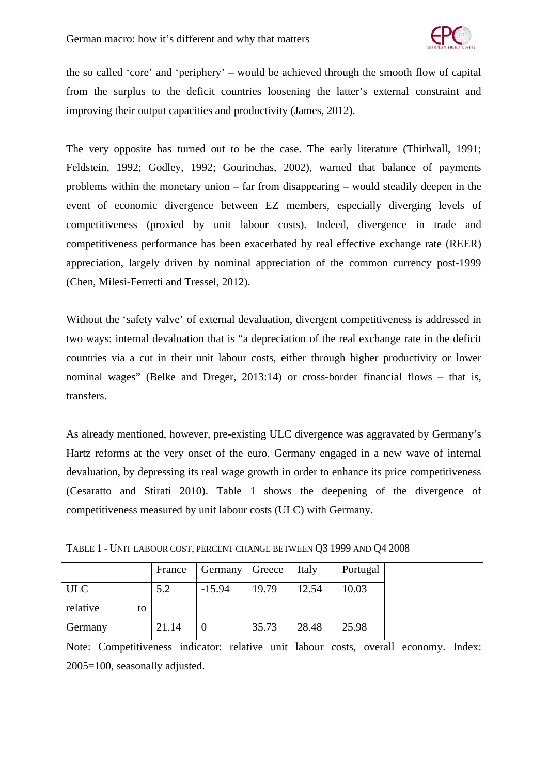

the so called 'core' and 'periphery' – would be achieved through the smooth flow of capital from the surplus to the deficit countries loosening the latter's external constraint and improving their output capacities and productivity (James, 2012).

The very opposite has turned out to be the case. The early literature (Thirlwall, 1991; Feldstein, 1992; Godley, 1992; Gourinchas, 2002), warned that balance of payments problems within the monetary union – far from disappearing – would steadily deepen in the event of economic divergence between EZ members, especially diverging levels of competitiveness (proxied by unit labour costs). Indeed, divergence in trade and competitiveness performance has been exacerbated by real effective exchange rate (REER) appreciation, largely driven by nominal appreciation of the common currency post-1999 (Chen, Milesi-Ferretti and Tressel, 2012).

Without the 'safety valve' of external devaluation, divergent competitiveness is addressed in two ways: internal devaluation that is "a depreciation of the real exchange rate in the deficit countries via a cut in their unit labour costs, either through higher productivity or lower nominal wages" (Belke and Dreger, 2013:14) or cross-border financial flows – that is, transfers.

As already mentioned, however, pre-existing ULC divergence was aggravated by Germany's Hartz reforms at the very onset of the euro. Germany engaged in a new wave of internal devaluation, by depressing its real wage growth in order to enhance its price competitiveness (Cesaratto and Stirati 2010). Table 1 shows the deepening of the divergence of competitiveness measured by unit labour costs (ULC) with Germany.

|                | France | Germany   Greece |       | Italy | Portugal |
|----------------|--------|------------------|-------|-------|----------|
| <b>ULC</b>     | 5.2    | $-15.94$         | 19.79 | 12.54 | 10.03    |
| relative<br>to |        |                  |       |       |          |
| Germany        | 21.14  |                  | 35.73 | 28.48 | 25.98    |

TABLE 1 - UNIT LABOUR COST, PERCENT CHANGE BETWEEN Q3 1999 AND Q4 2008

Note: Competitiveness indicator: relative unit labour costs, overall economy. Index: 2005=100, seasonally adjusted.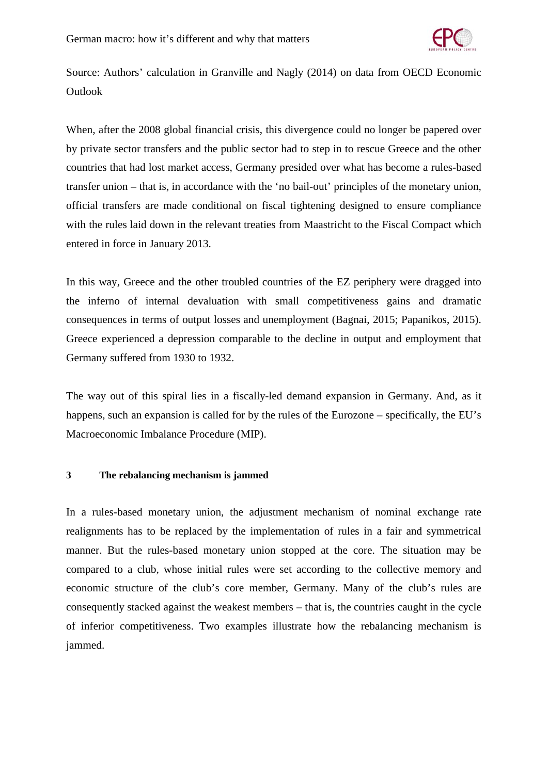

Source: Authors' calculation in Granville and Nagly (2014) on data from OECD Economic Outlook

When, after the 2008 global financial crisis, this divergence could no longer be papered over by private sector transfers and the public sector had to step in to rescue Greece and the other countries that had lost market access, Germany presided over what has become a rules-based transfer union – that is, in accordance with the 'no bail-out' principles of the monetary union, official transfers are made conditional on fiscal tightening designed to ensure compliance with the rules laid down in the relevant treaties from Maastricht to the Fiscal Compact which entered in force in January 2013.

In this way, Greece and the other troubled countries of the EZ periphery were dragged into the inferno of internal devaluation with small competitiveness gains and dramatic consequences in terms of output losses and unemployment (Bagnai, 2015; Papanikos, 2015). Greece experienced a depression comparable to the decline in output and employment that Germany suffered from 1930 to 1932.

The way out of this spiral lies in a fiscally-led demand expansion in Germany. And, as it happens, such an expansion is called for by the rules of the Eurozone – specifically, the EU's Macroeconomic Imbalance Procedure (MIP).

### **3 The rebalancing mechanism is jammed**

In a rules-based monetary union, the adjustment mechanism of nominal exchange rate realignments has to be replaced by the implementation of rules in a fair and symmetrical manner. But the rules-based monetary union stopped at the core. The situation may be compared to a club, whose initial rules were set according to the collective memory and economic structure of the club's core member, Germany. Many of the club's rules are consequently stacked against the weakest members – that is, the countries caught in the cycle of inferior competitiveness. Two examples illustrate how the rebalancing mechanism is jammed.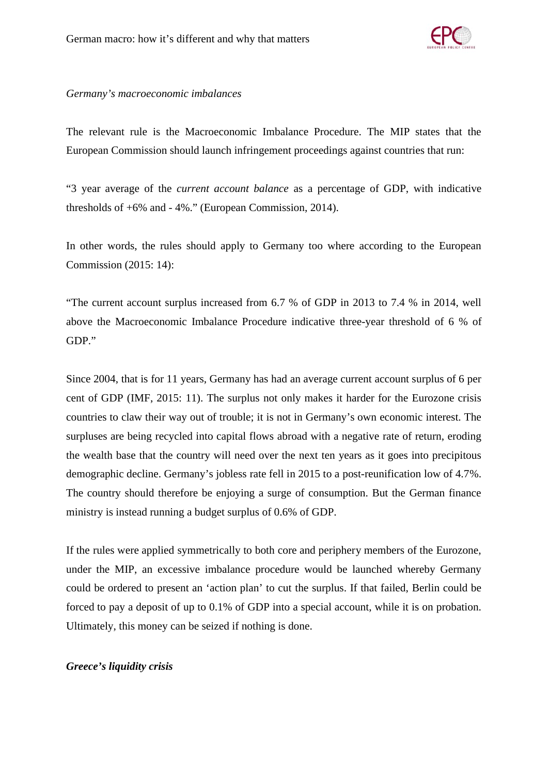

### *Germany's macroeconomic imbalances*

The relevant rule is the Macroeconomic Imbalance Procedure. The MIP states that the European Commission should launch infringement proceedings against countries that run:

"3 year average of the *current account balance* as a percentage of GDP, with indicative thresholds of +6% and - 4%." (European Commission, 2014).

In other words, the rules should apply to Germany too where according to the European Commission (2015: 14):

"The current account surplus increased from 6.7 % of GDP in 2013 to 7.4 % in 2014, well above the Macroeconomic Imbalance Procedure indicative three-year threshold of 6 % of GDP."

Since 2004, that is for 11 years, Germany has had an average current account surplus of 6 per cent of GDP (IMF, 2015: 11). The surplus not only makes it harder for the Eurozone crisis countries to claw their way out of trouble; it is not in Germany's own economic interest. The surpluses are being recycled into capital flows abroad with a negative rate of return, eroding the wealth base that the country will need over the next ten years as it goes into precipitous demographic decline. Germany's jobless rate fell in 2015 to a post-reunification low of 4.7%. The country should therefore be enjoying a surge of consumption. But the German finance ministry is instead running a budget surplus of 0.6% of GDP.

If the rules were applied symmetrically to both core and periphery members of the Eurozone, under the MIP, an excessive imbalance procedure would be launched whereby Germany could be ordered to present an 'action plan' to cut the surplus. If that failed, Berlin could be forced to pay a deposit of up to 0.1% of GDP into a special account, while it is on probation. Ultimately, this money can be seized if nothing is done.

### *Greece's liquidity crisis*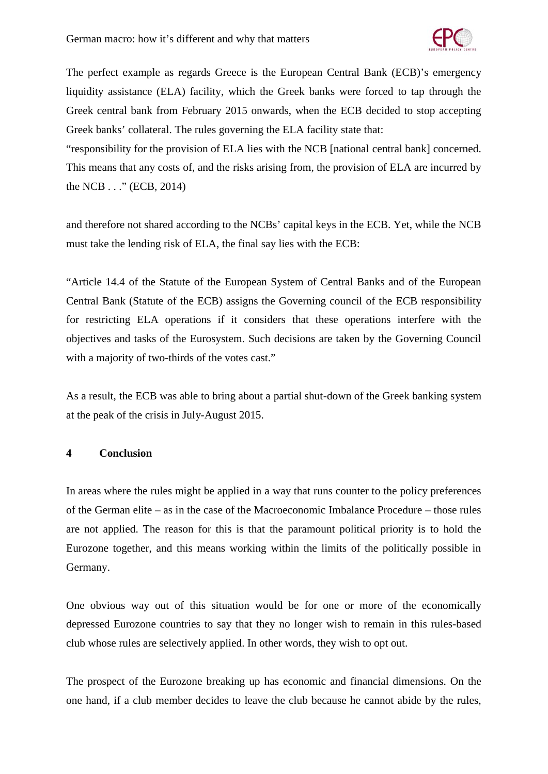

The perfect example as regards Greece is the European Central Bank (ECB)'s emergency liquidity assistance (ELA) facility, which the Greek banks were forced to tap through the Greek central bank from February 2015 onwards, when the ECB decided to stop accepting Greek banks' collateral. The rules governing the ELA facility state that:

"responsibility for the provision of ELA lies with the NCB [national central bank] concerned. This means that any costs of, and the risks arising from, the provision of ELA are incurred by the NCB . . ." (ECB, 2014)

and therefore not shared according to the NCBs' capital keys in the ECB. Yet, while the NCB must take the lending risk of ELA, the final say lies with the ECB:

"Article 14.4 of the Statute of the European System of Central Banks and of the European Central Bank (Statute of the ECB) assigns the Governing council of the ECB responsibility for restricting ELA operations if it considers that these operations interfere with the objectives and tasks of the Eurosystem. Such decisions are taken by the Governing Council with a majority of two-thirds of the votes cast."

As a result, the ECB was able to bring about a partial shut-down of the Greek banking system at the peak of the crisis in July-August 2015.

### **4 Conclusion**

In areas where the rules might be applied in a way that runs counter to the policy preferences of the German elite – as in the case of the Macroeconomic Imbalance Procedure – those rules are not applied. The reason for this is that the paramount political priority is to hold the Eurozone together, and this means working within the limits of the politically possible in Germany.

One obvious way out of this situation would be for one or more of the economically depressed Eurozone countries to say that they no longer wish to remain in this rules-based club whose rules are selectively applied. In other words, they wish to opt out.

The prospect of the Eurozone breaking up has economic and financial dimensions. On the one hand, if a club member decides to leave the club because he cannot abide by the rules,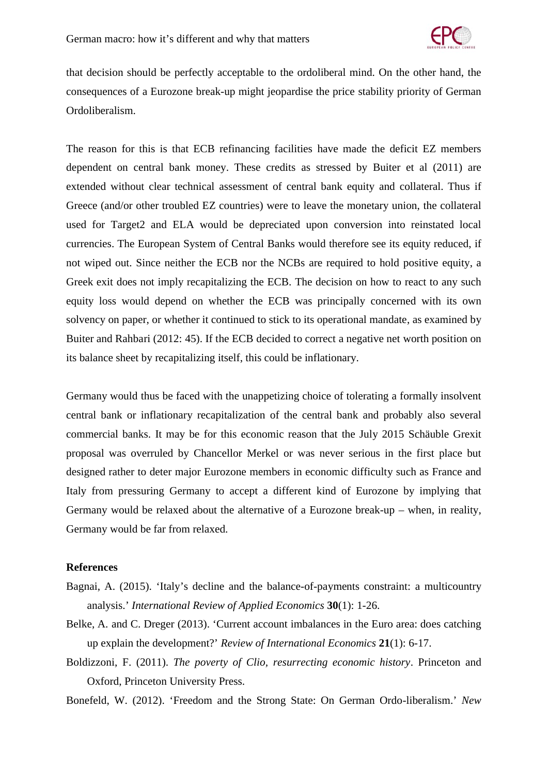

that decision should be perfectly acceptable to the ordoliberal mind. On the other hand, the consequences of a Eurozone break-up might jeopardise the price stability priority of German Ordoliberalism.

The reason for this is that ECB refinancing facilities have made the deficit EZ members dependent on central bank money. These credits as stressed by Buiter et al (2011) are extended without clear technical assessment of central bank equity and collateral. Thus if Greece (and/or other troubled EZ countries) were to leave the monetary union, the collateral used for Target2 and ELA would be depreciated upon conversion into reinstated local currencies. The European System of Central Banks would therefore see its equity reduced, if not wiped out. Since neither the ECB nor the NCBs are required to hold positive equity, a Greek exit does not imply recapitalizing the ECB. The decision on how to react to any such equity loss would depend on whether the ECB was principally concerned with its own solvency on paper, or whether it continued to stick to its operational mandate, as examined by Buiter and Rahbari (2012: 45). If the ECB decided to correct a negative net worth position on its balance sheet by recapitalizing itself, this could be inflationary.

Germany would thus be faced with the unappetizing choice of tolerating a formally insolvent central bank or inflationary recapitalization of the central bank and probably also several commercial banks. It may be for this economic reason that the July 2015 Schäuble Grexit proposal was overruled by Chancellor Merkel or was never serious in the first place but designed rather to deter major Eurozone members in economic difficulty such as France and Italy from pressuring Germany to accept a different kind of Eurozone by implying that Germany would be relaxed about the alternative of a Eurozone break-up – when, in reality, Germany would be far from relaxed.

### **References**

- Bagnai, A. (2015). 'Italy's decline and the balance-of-payments constraint: a multicountry analysis.' *International Review of Applied Economics* **30**(1): 1-26.
- Belke, A. and C. Dreger (2013). 'Current account imbalances in the Euro area: does catching up explain the development?' *Review of International Economics* **21**(1): 6-17.
- Boldizzoni, F. (2011). *The poverty of Clio, resurrecting economic history*. Princeton and Oxford, Princeton University Press.

Bonefeld, W. (2012). 'Freedom and the Strong State: On German Ordo-liberalism.' *New*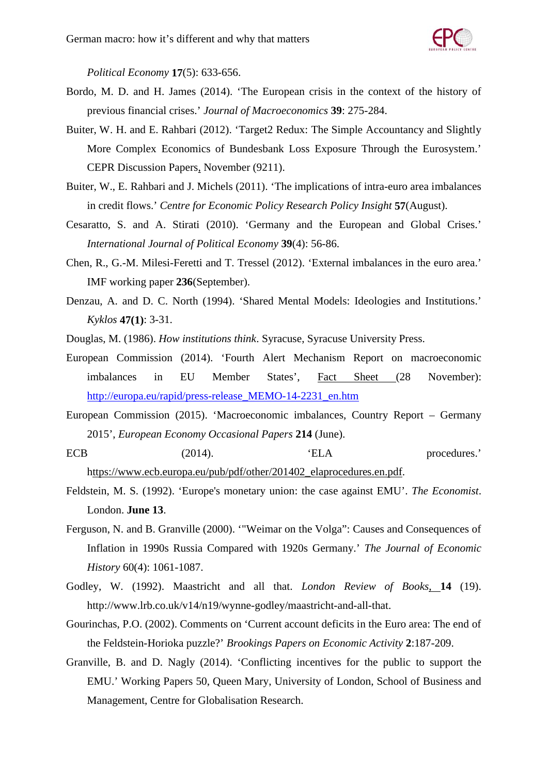

*Political Economy* **17**(5): 633-656.

- Bordo, M. D. and H. James (2014). 'The European crisis in the context of the history of previous financial crises.' *Journal of Macroeconomics* **39**: 275-284.
- Buiter, W. H. and E. Rahbari (2012). 'Target2 Redux: The Simple Accountancy and Slightly More Complex Economics of Bundesbank Loss Exposure Through the Eurosystem.' CEPR Discussion Papers, November (9211).
- Buiter, W., E. Rahbari and J. Michels (2011). 'The implications of intra-euro area imbalances in credit flows.' *Centre for Economic Policy Research Policy Insight* **57**(August).
- Cesaratto, S. and A. Stirati (2010). 'Germany and the European and Global Crises.' *International Journal of Political Economy* **39**(4): 56-86.
- Chen, R., G.-M. Milesi-Feretti and T. Tressel (2012). 'External imbalances in the euro area.' IMF working paper **236**(September).
- Denzau, A. and D. C. North (1994). 'Shared Mental Models: Ideologies and Institutions.' *Kyklos* **47(1)**: 3-31.
- Douglas, M. (1986). *How institutions think*. Syracuse, Syracuse University Press.
- European Commission (2014). 'Fourth Alert Mechanism Report on macroeconomic imbalances in EU Member States', Fact Sheet (28 November): [http://europa.eu/rapid/press-release\\_MEMO-14-2231\\_en.htm](http://europa.eu/rapid/press-release_MEMO-14-2231_en.htm)
- European Commission (2015). 'Macroeconomic imbalances, Country Report Germany 2015', *European Economy Occasional Papers* **214** (June).
- ECB (2014). 'ELA procedures.' https://www.ecb.europa.eu/pub/pdf/other/201402\_elaprocedures.en.pdf.
- Feldstein, M. S. (1992). 'Europe's monetary union: the case against EMU'. *The Economist*. London. **June 13**.
- Ferguson, N. and B. Granville (2000). '"Weimar on the Volga": Causes and Consequences of Inflation in 1990s Russia Compared with 1920s Germany.' *The Journal of Economic History* 60(4): 1061-1087.
- Godley, W. (1992). Maastricht and all that. *London Review of Books*, **14** (19). http://www.lrb.co.uk/v14/n19/wynne-godley/maastricht-and-all-that.
- Gourinchas, P.O. (2002). Comments on 'Current account deficits in the Euro area: The end of the Feldstein-Horioka puzzle?' *Brookings Papers on Economic Activity* **2**:187-209.
- Granville, B. and D. Nagly (2014). 'Conflicting incentives for the public to support the EMU.' Working Papers 50, Queen Mary, University of London, School of Business and Management, Centre for Globalisation Research.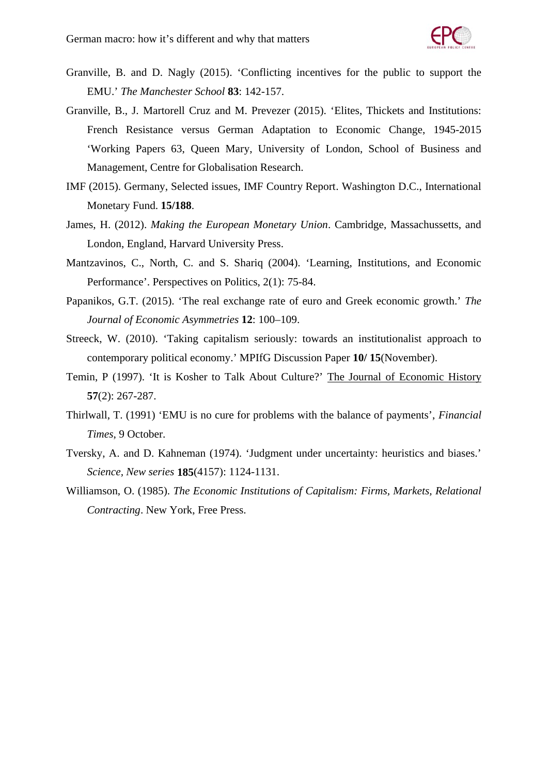

- Granville, B. and D. Nagly (2015). 'Conflicting incentives for the public to support the EMU.' *The Manchester School* **83**: 142-157.
- Granville, B., J. Martorell Cruz and M. Prevezer (2015). 'Elites, Thickets and Institutions: French Resistance versus German Adaptation to Economic Change, 1945-2015 'Working Papers 63, Queen Mary, University of London, School of Business and Management, Centre for Globalisation Research.
- IMF (2015). Germany, Selected issues, IMF Country Report. Washington D.C., International Monetary Fund. **15/188**.
- James, H. (2012). *Making the European Monetary Union*. Cambridge, Massachussetts, and London, England, Harvard University Press.
- Mantzavinos, C., North, C. and S. Shariq (2004). 'Learning, Institutions, and Economic Performance'. Perspectives on Politics, 2(1): 75-84.
- Papanikos, G.T. (2015). 'The real exchange rate of euro and Greek economic growth.' *The Journal of Economic Asymmetries* **12**: 100–109.
- Streeck, W. (2010). 'Taking capitalism seriously: towards an institutionalist approach to contemporary political economy.' MPIfG Discussion Paper **10/ 15**(November).
- Temin, P (1997). 'It is Kosher to Talk About Culture?' The Journal of Economic History **57**(2): 267-287.
- Thirlwall, T. (1991) 'EMU is no cure for problems with the balance of payments', *Financial Times*, 9 October.
- Tversky, A. and D. Kahneman (1974). 'Judgment under uncertainty: heuristics and biases.' *Science, New series* **185**(4157): 1124-1131.
- Williamson, O. (1985). *The Economic Institutions of Capitalism: Firms, Markets, Relational Contracting*. New York, Free Press.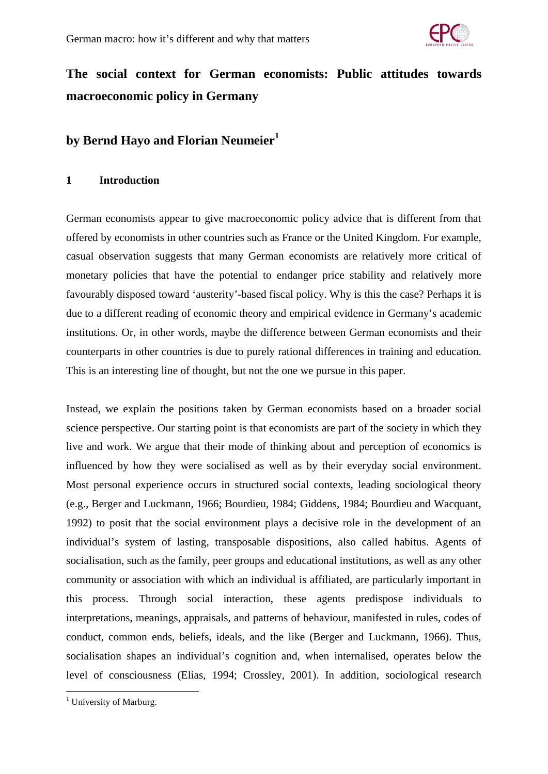

# **The social context for German economists: Public attitudes towards macroeconomic policy in Germany**

### **by Bernd Hayo and Florian Neumeier<sup>1</sup>**

### **1 Introduction**

German economists appear to give macroeconomic policy advice that is different from that offered by economists in other countries such as France or the United Kingdom. For example, casual observation suggests that many German economists are relatively more critical of monetary policies that have the potential to endanger price stability and relatively more favourably disposed toward 'austerity'-based fiscal policy. Why is this the case? Perhaps it is due to a different reading of economic theory and empirical evidence in Germany's academic institutions. Or, in other words, maybe the difference between German economists and their counterparts in other countries is due to purely rational differences in training and education. This is an interesting line of thought, but not the one we pursue in this paper.

Instead, we explain the positions taken by German economists based on a broader social science perspective. Our starting point is that economists are part of the society in which they live and work. We argue that their mode of thinking about and perception of economics is influenced by how they were socialised as well as by their everyday social environment. Most personal experience occurs in structured social contexts, leading sociological theory (e.g., Berger and Luckmann, 1966; Bourdieu, 1984; Giddens, 1984; Bourdieu and Wacquant, 1992) to posit that the social environment plays a decisive role in the development of an individual's system of lasting, transposable dispositions, also called habitus. Agents of socialisation, such as the family, peer groups and educational institutions, as well as any other community or association with which an individual is affiliated, are particularly important in this process. Through social interaction, these agents predispose individuals to interpretations, meanings, appraisals, and patterns of behaviour, manifested in rules, codes of conduct, common ends, beliefs, ideals, and the like (Berger and Luckmann, 1966). Thus, socialisation shapes an individual's cognition and, when internalised, operates below the level of consciousness (Elias, 1994; Crossley, 2001). In addition, sociological research

<sup>&</sup>lt;sup>1</sup> University of Marburg.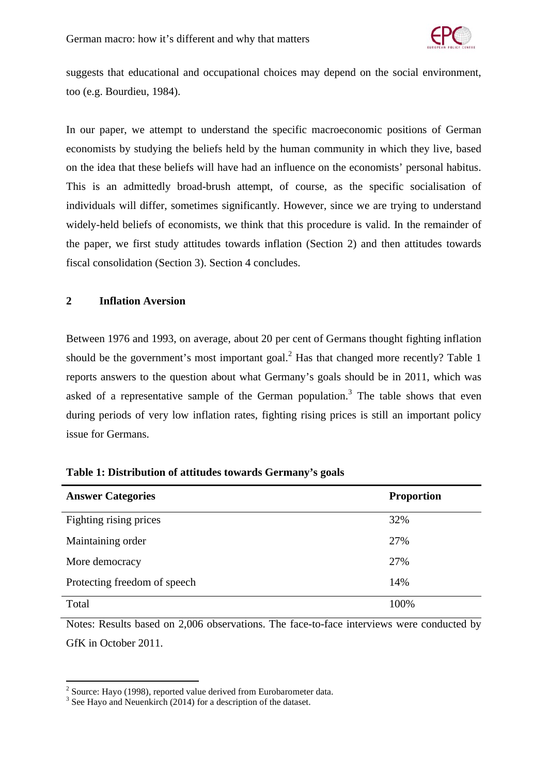

suggests that educational and occupational choices may depend on the social environment, too (e.g. Bourdieu, 1984).

In our paper, we attempt to understand the specific macroeconomic positions of German economists by studying the beliefs held by the human community in which they live, based on the idea that these beliefs will have had an influence on the economists' personal habitus. This is an admittedly broad-brush attempt, of course, as the specific socialisation of individuals will differ, sometimes significantly. However, since we are trying to understand widely-held beliefs of economists, we think that this procedure is valid. In the remainder of the paper, we first study attitudes towards inflation (Section 2) and then attitudes towards fiscal consolidation (Section 3). Section 4 concludes.

### **2 Inflation Aversion**

Between 1976 and 1993, on average, about 20 per cent of Germans thought fighting inflation should be the government's most important goal.<sup>2</sup> Has that changed more recently? Table 1 reports answers to the question about what Germany's goals should be in 2011, which was asked of a representative sample of the German population.<sup>3</sup> The table shows that even during periods of very low inflation rates, fighting rising prices is still an important policy issue for Germans.

| <b>Answer Categories</b>     | <b>Proportion</b> |
|------------------------------|-------------------|
| Fighting rising prices       | 32%               |
| Maintaining order            | 27%               |
| More democracy               | 27%               |
| Protecting freedom of speech | 14%               |
| Total                        | 100%              |

**Table 1: Distribution of attitudes towards Germany's goals**

Notes: Results based on 2,006 observations. The face-to-face interviews were conducted by GfK in October 2011.

 $2$  Source: Hayo (1998), reported value derived from Eurobarometer data.

<sup>&</sup>lt;sup>3</sup> See Havo and Neuenkirch (2014) for a description of the dataset.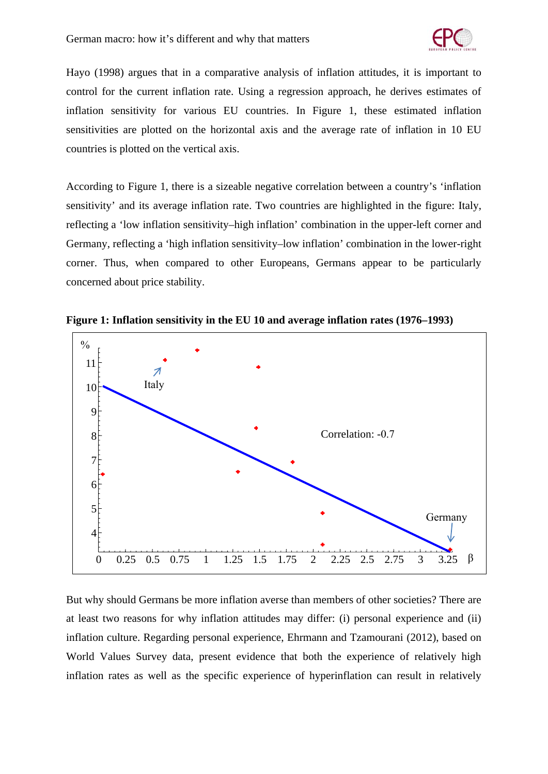

Hayo (1998) argues that in a comparative analysis of inflation attitudes, it is important to control for the current inflation rate. Using a regression approach, he derives estimates of inflation sensitivity for various EU countries. In Figure 1, these estimated inflation sensitivities are plotted on the horizontal axis and the average rate of inflation in 10 EU countries is plotted on the vertical axis.

According to Figure 1, there is a sizeable negative correlation between a country's 'inflation sensitivity' and its average inflation rate. Two countries are highlighted in the figure: Italy, reflecting a 'low inflation sensitivity–high inflation' combination in the upper-left corner and Germany, reflecting a 'high inflation sensitivity–low inflation' combination in the lower-right corner. Thus, when compared to other Europeans, Germans appear to be particularly concerned about price stability.

**Figure 1: Inflation sensitivity in the EU 10 and average inflation rates (1976–1993)**



But why should Germans be more inflation averse than members of other societies? There are at least two reasons for why inflation attitudes may differ: (i) personal experience and (ii) inflation culture. Regarding personal experience, Ehrmann and Tzamourani (2012), based on World Values Survey data, present evidence that both the experience of relatively high inflation rates as well as the specific experience of hyperinflation can result in relatively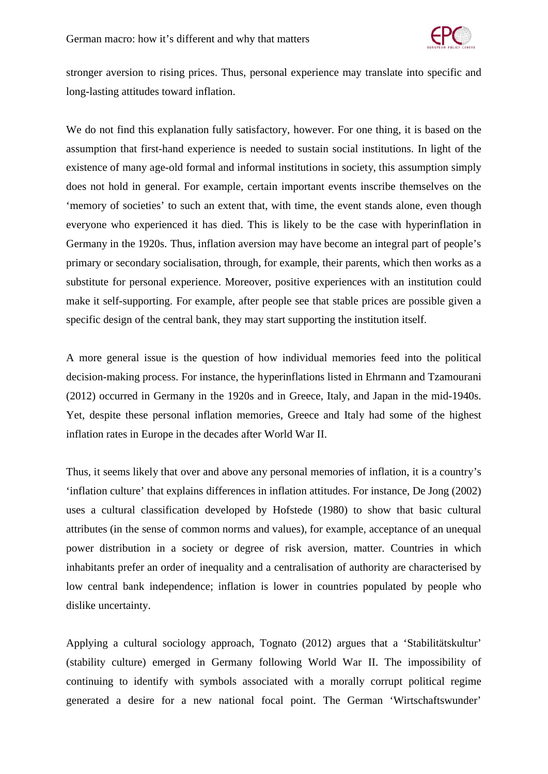

stronger aversion to rising prices. Thus, personal experience may translate into specific and long-lasting attitudes toward inflation.

We do not find this explanation fully satisfactory, however. For one thing, it is based on the assumption that first-hand experience is needed to sustain social institutions. In light of the existence of many age-old formal and informal institutions in society, this assumption simply does not hold in general. For example, certain important events inscribe themselves on the 'memory of societies' to such an extent that, with time, the event stands alone, even though everyone who experienced it has died. This is likely to be the case with hyperinflation in Germany in the 1920s. Thus, inflation aversion may have become an integral part of people's primary or secondary socialisation, through, for example, their parents, which then works as a substitute for personal experience. Moreover, positive experiences with an institution could make it self-supporting. For example, after people see that stable prices are possible given a specific design of the central bank, they may start supporting the institution itself.

A more general issue is the question of how individual memories feed into the political decision-making process. For instance, the hyperinflations listed in Ehrmann and Tzamourani (2012) occurred in Germany in the 1920s and in Greece, Italy, and Japan in the mid-1940s. Yet, despite these personal inflation memories, Greece and Italy had some of the highest inflation rates in Europe in the decades after World War II.

Thus, it seems likely that over and above any personal memories of inflation, it is a country's 'inflation culture' that explains differences in inflation attitudes. For instance, De Jong (2002) uses a cultural classification developed by Hofstede (1980) to show that basic cultural attributes (in the sense of common norms and values), for example, acceptance of an unequal power distribution in a society or degree of risk aversion, matter. Countries in which inhabitants prefer an order of inequality and a centralisation of authority are characterised by low central bank independence; inflation is lower in countries populated by people who dislike uncertainty.

Applying a cultural sociology approach, Tognato (2012) argues that a 'Stabilitätskultur' (stability culture) emerged in Germany following World War II. The impossibility of continuing to identify with symbols associated with a morally corrupt political regime generated a desire for a new national focal point. The German 'Wirtschaftswunder'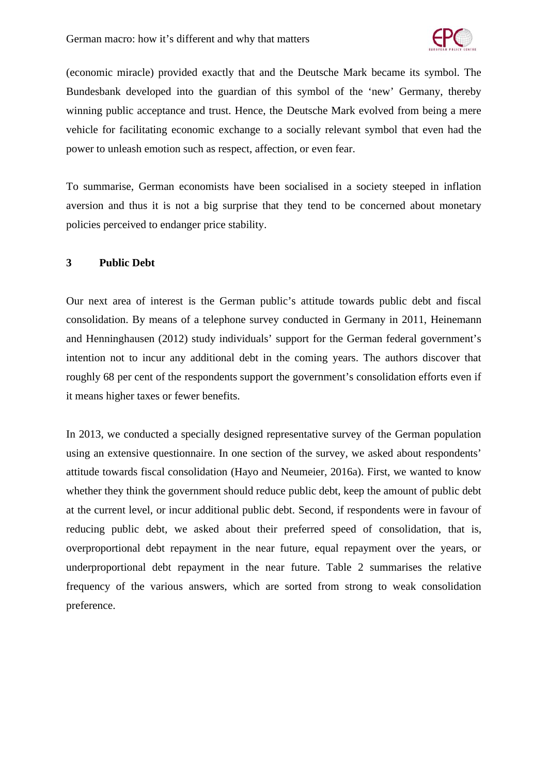

(economic miracle) provided exactly that and the Deutsche Mark became its symbol. The Bundesbank developed into the guardian of this symbol of the 'new' Germany, thereby winning public acceptance and trust. Hence, the Deutsche Mark evolved from being a mere vehicle for facilitating economic exchange to a socially relevant symbol that even had the power to unleash emotion such as respect, affection, or even fear.

To summarise, German economists have been socialised in a society steeped in inflation aversion and thus it is not a big surprise that they tend to be concerned about monetary policies perceived to endanger price stability.

### **3 Public Debt**

Our next area of interest is the German public's attitude towards public debt and fiscal consolidation. By means of a telephone survey conducted in Germany in 2011, Heinemann and Henninghausen (2012) study individuals' support for the German federal government's intention not to incur any additional debt in the coming years. The authors discover that roughly 68 per cent of the respondents support the government's consolidation efforts even if it means higher taxes or fewer benefits.

In 2013, we conducted a specially designed representative survey of the German population using an extensive questionnaire. In one section of the survey, we asked about respondents' attitude towards fiscal consolidation (Hayo and Neumeier, 2016a). First, we wanted to know whether they think the government should reduce public debt, keep the amount of public debt at the current level, or incur additional public debt. Second, if respondents were in favour of reducing public debt, we asked about their preferred speed of consolidation, that is, overproportional debt repayment in the near future, equal repayment over the years, or underproportional debt repayment in the near future. Table 2 summarises the relative frequency of the various answers, which are sorted from strong to weak consolidation preference.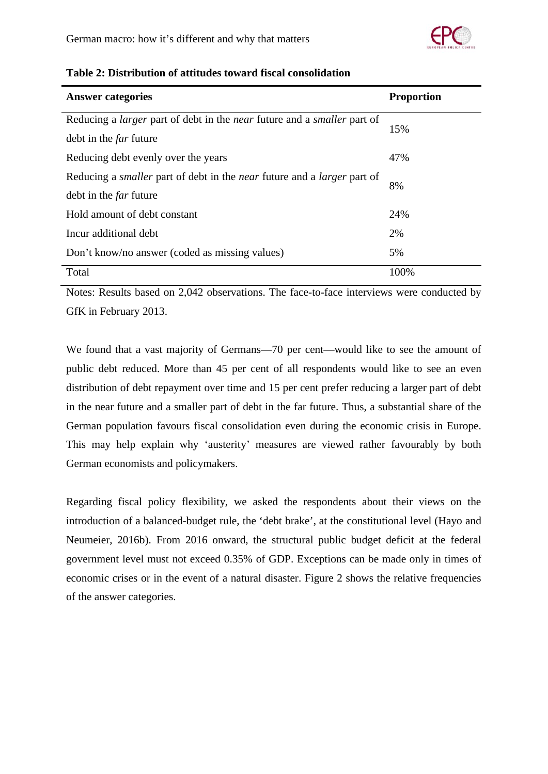

| <b>Answer categories</b>                                                                     | <b>Proportion</b> |
|----------------------------------------------------------------------------------------------|-------------------|
| Reducing a <i>larger</i> part of debt in the <i>near</i> future and a <i>smaller</i> part of | 15%               |
| debt in the <i>far</i> future                                                                |                   |
| Reducing debt evenly over the years                                                          | 47%               |
| Reducing a <i>smaller</i> part of debt in the <i>near</i> future and a <i>larger</i> part of | 8%                |
| debt in the <i>far</i> future                                                                |                   |
| Hold amount of debt constant                                                                 | 24%               |
| Incur additional debt                                                                        | 2%                |
| Don't know/no answer (coded as missing values)                                               | 5%                |
| Total                                                                                        | 100%              |

#### **Table 2: Distribution of attitudes toward fiscal consolidation**

Notes: Results based on 2,042 observations. The face-to-face interviews were conducted by GfK in February 2013.

We found that a vast majority of Germans—70 per cent—would like to see the amount of public debt reduced. More than 45 per cent of all respondents would like to see an even distribution of debt repayment over time and 15 per cent prefer reducing a larger part of debt in the near future and a smaller part of debt in the far future. Thus, a substantial share of the German population favours fiscal consolidation even during the economic crisis in Europe. This may help explain why 'austerity' measures are viewed rather favourably by both German economists and policymakers.

Regarding fiscal policy flexibility, we asked the respondents about their views on the introduction of a balanced-budget rule, the 'debt brake', at the constitutional level (Hayo and Neumeier, 2016b). From 2016 onward, the structural public budget deficit at the federal government level must not exceed 0.35% of GDP. Exceptions can be made only in times of economic crises or in the event of a natural disaster. Figure 2 shows the relative frequencies of the answer categories.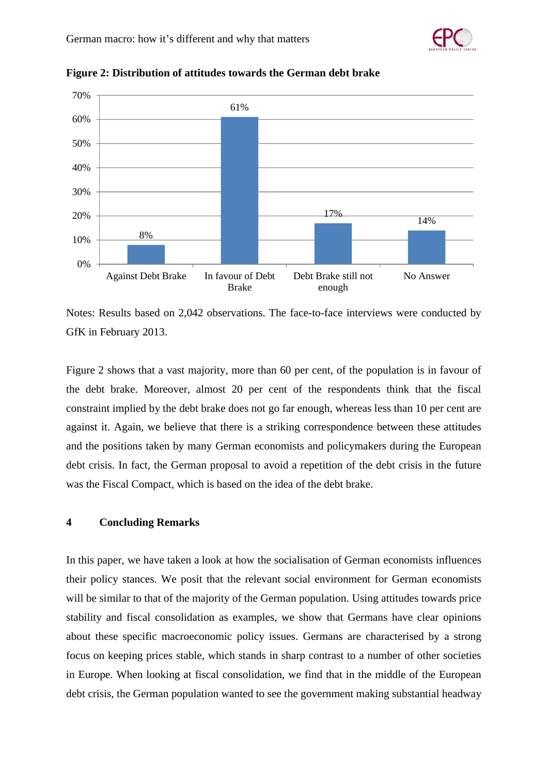

**Figure 2: Distribution of attitudes towards the German debt brake**

Notes: Results based on 2,042 observations. The face-to-face interviews were conducted by GfK in February 2013.

Figure 2 shows that a vast majority, more than 60 per cent, of the population is in favour of the debt brake. Moreover, almost 20 per cent of the respondents think that the fiscal constraint implied by the debt brake does not go far enough, whereas less than 10 per cent are against it. Again, we believe that there is a striking correspondence between these attitudes and the positions taken by many German economists and policymakers during the European debt crisis. In fact, the German proposal to avoid a repetition of the debt crisis in the future was the Fiscal Compact, which is based on the idea of the debt brake.

### **4 Concluding Remarks**

In this paper, we have taken a look at how the socialisation of German economists influences their policy stances. We posit that the relevant social environment for German economists will be similar to that of the majority of the German population. Using attitudes towards price stability and fiscal consolidation as examples, we show that Germans have clear opinions about these specific macroeconomic policy issues. Germans are characterised by a strong focus on keeping prices stable, which stands in sharp contrast to a number of other societies in Europe. When looking at fiscal consolidation, we find that in the middle of the European debt crisis, the German population wanted to see the government making substantial headway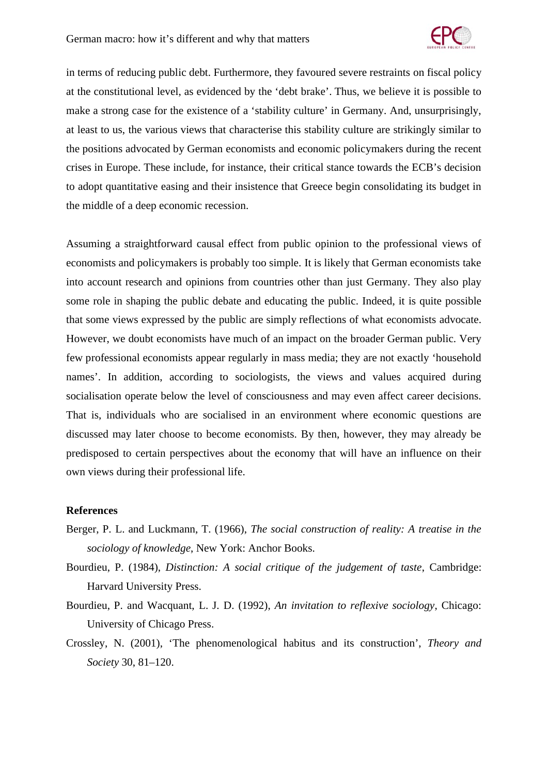

in terms of reducing public debt. Furthermore, they favoured severe restraints on fiscal policy at the constitutional level, as evidenced by the 'debt brake'. Thus, we believe it is possible to make a strong case for the existence of a 'stability culture' in Germany. And, unsurprisingly, at least to us, the various views that characterise this stability culture are strikingly similar to the positions advocated by German economists and economic policymakers during the recent crises in Europe. These include, for instance, their critical stance towards the ECB's decision to adopt quantitative easing and their insistence that Greece begin consolidating its budget in the middle of a deep economic recession.

Assuming a straightforward causal effect from public opinion to the professional views of economists and policymakers is probably too simple. It is likely that German economists take into account research and opinions from countries other than just Germany. They also play some role in shaping the public debate and educating the public. Indeed, it is quite possible that some views expressed by the public are simply reflections of what economists advocate. However, we doubt economists have much of an impact on the broader German public. Very few professional economists appear regularly in mass media; they are not exactly 'household names'. In addition, according to sociologists, the views and values acquired during socialisation operate below the level of consciousness and may even affect career decisions. That is, individuals who are socialised in an environment where economic questions are discussed may later choose to become economists. By then, however, they may already be predisposed to certain perspectives about the economy that will have an influence on their own views during their professional life.

#### **References**

- Berger, P. L. and Luckmann, T. (1966), *The social construction of reality: A treatise in the sociology of knowledge*, New York: Anchor Books.
- Bourdieu, P. (1984), *Distinction: A social critique of the judgement of taste*, Cambridge: Harvard University Press.
- Bourdieu, P. and Wacquant, L. J. D. (1992), *An invitation to reflexive sociology*, Chicago: University of Chicago Press.
- Crossley, N. (2001), 'The phenomenological habitus and its construction', *Theory and Society* 30, 81–120.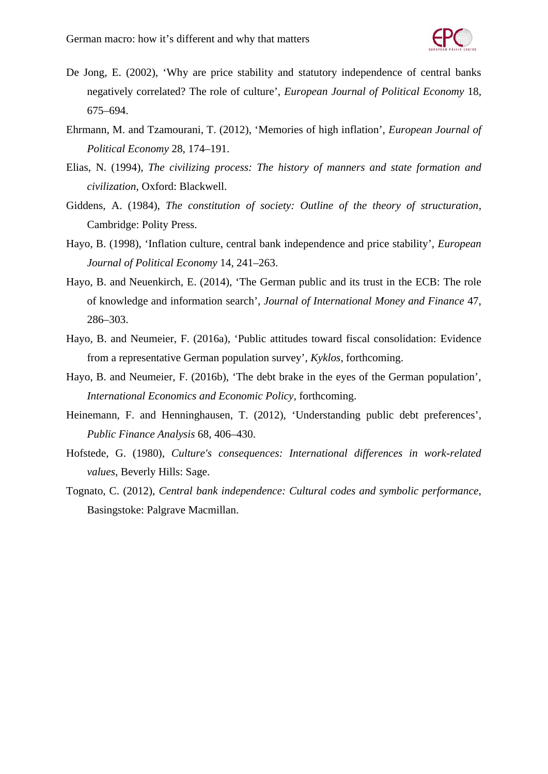

- De Jong, E. (2002), 'Why are price stability and statutory independence of central banks negatively correlated? The role of culture', *European Journal of Political Economy* 18, 675–694.
- Ehrmann, M. and Tzamourani, T. (2012), 'Memories of high inflation', *European Journal of Political Economy* 28, 174–191.
- Elias, N. (1994), *The civilizing process: The history of manners and state formation and civilization*, Oxford: Blackwell.
- Giddens, A. (1984), *The constitution of society: Outline of the theory of structuration*, Cambridge: Polity Press.
- Hayo, B. (1998), 'Inflation culture, central bank independence and price stability', *European Journal of Political Economy* 14, 241–263.
- Hayo, B. and Neuenkirch, E. (2014), 'The German public and its trust in the ECB: The role of knowledge and information search', *Journal of International Money and Finance* 47, 286–303.
- Hayo, B. and Neumeier, F. (2016a), 'Public attitudes toward fiscal consolidation: Evidence from a representative German population survey', *Kyklos,* forthcoming.
- Hayo, B. and Neumeier, F. (2016b), 'The debt brake in the eyes of the German population', *International Economics and Economic Policy*, forthcoming.
- Heinemann, F. and Henninghausen, T. (2012), 'Understanding public debt preferences', *Public Finance Analysis* 68, 406–430.
- Hofstede, G. (1980), *Culture's consequences: International differences in work-related values*, Beverly Hills: Sage.
- Tognato, C. (2012), *Central bank independence: Cultural codes and symbolic performance*, Basingstoke: Palgrave Macmillan.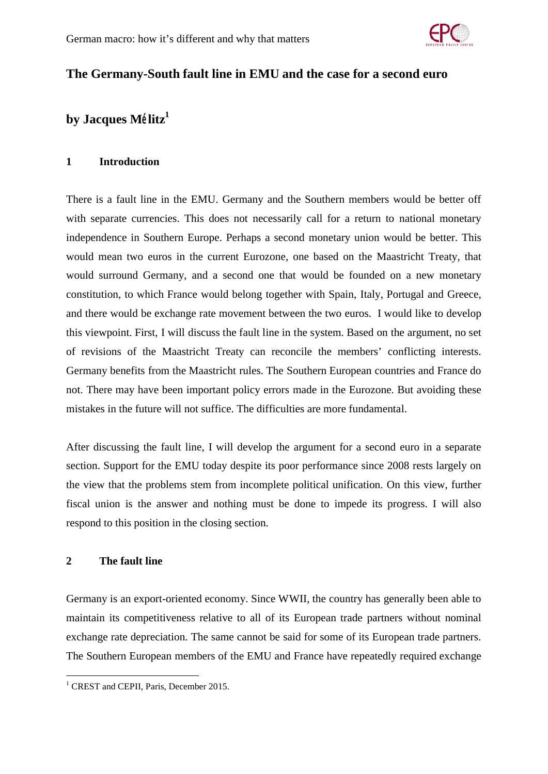

## **The Germany-South fault line in EMU and the case for a second euro**

## **by Jacques M**é**litz1**

### **1 Introduction**

There is a fault line in the EMU. Germany and the Southern members would be better off with separate currencies. This does not necessarily call for a return to national monetary independence in Southern Europe. Perhaps a second monetary union would be better. This would mean two euros in the current Eurozone, one based on the Maastricht Treaty, that would surround Germany, and a second one that would be founded on a new monetary constitution, to which France would belong together with Spain, Italy, Portugal and Greece, and there would be exchange rate movement between the two euros. I would like to develop this viewpoint. First, I will discuss the fault line in the system. Based on the argument, no set of revisions of the Maastricht Treaty can reconcile the members' conflicting interests. Germany benefits from the Maastricht rules. The Southern European countries and France do not. There may have been important policy errors made in the Eurozone. But avoiding these mistakes in the future will not suffice. The difficulties are more fundamental.

After discussing the fault line, I will develop the argument for a second euro in a separate section. Support for the EMU today despite its poor performance since 2008 rests largely on the view that the problems stem from incomplete political unification. On this view, further fiscal union is the answer and nothing must be done to impede its progress. I will also respond to this position in the closing section.

## **2 The fault line**

Germany is an export-oriented economy. Since WWII, the country has generally been able to maintain its competitiveness relative to all of its European trade partners without nominal exchange rate depreciation. The same cannot be said for some of its European trade partners. The Southern European members of the EMU and France have repeatedly required exchange

<sup>&</sup>lt;sup>1</sup> CREST and CEPII, Paris, December 2015.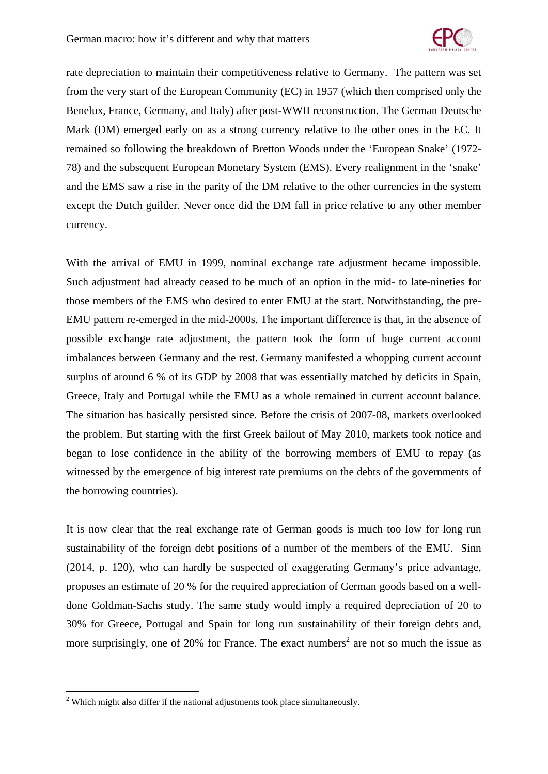

rate depreciation to maintain their competitiveness relative to Germany. The pattern was set from the very start of the European Community (EC) in 1957 (which then comprised only the Benelux, France, Germany, and Italy) after post-WWII reconstruction. The German Deutsche Mark (DM) emerged early on as a strong currency relative to the other ones in the EC. It remained so following the breakdown of Bretton Woods under the 'European Snake' (1972- 78) and the subsequent European Monetary System (EMS). Every realignment in the 'snake' and the EMS saw a rise in the parity of the DM relative to the other currencies in the system except the Dutch guilder. Never once did the DM fall in price relative to any other member currency.

With the arrival of EMU in 1999, nominal exchange rate adjustment became impossible. Such adjustment had already ceased to be much of an option in the mid- to late-nineties for those members of the EMS who desired to enter EMU at the start. Notwithstanding, the pre-EMU pattern re-emerged in the mid-2000s. The important difference is that, in the absence of possible exchange rate adjustment, the pattern took the form of huge current account imbalances between Germany and the rest. Germany manifested a whopping current account surplus of around 6 % of its GDP by 2008 that was essentially matched by deficits in Spain, Greece, Italy and Portugal while the EMU as a whole remained in current account balance. The situation has basically persisted since. Before the crisis of 2007-08, markets overlooked the problem. But starting with the first Greek bailout of May 2010, markets took notice and began to lose confidence in the ability of the borrowing members of EMU to repay (as witnessed by the emergence of big interest rate premiums on the debts of the governments of the borrowing countries).

It is now clear that the real exchange rate of German goods is much too low for long run sustainability of the foreign debt positions of a number of the members of the EMU. Sinn (2014, p. 120), who can hardly be suspected of exaggerating Germany's price advantage, proposes an estimate of 20 % for the required appreciation of German goods based on a welldone Goldman-Sachs study. The same study would imply a required depreciation of 20 to 30% for Greece, Portugal and Spain for long run sustainability of their foreign debts and, more surprisingly, one of 20% for France. The exact numbers<sup>2</sup> are not so much the issue as

 $2$  Which might also differ if the national adjustments took place simultaneously.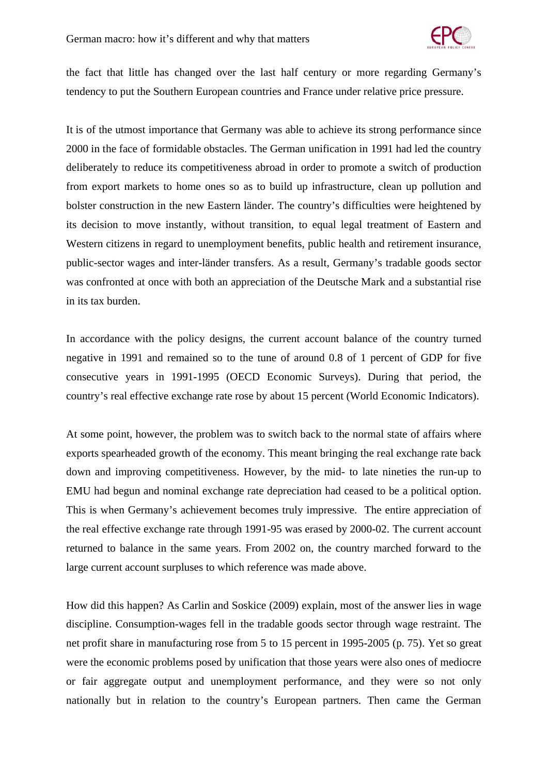

the fact that little has changed over the last half century or more regarding Germany's tendency to put the Southern European countries and France under relative price pressure.

It is of the utmost importance that Germany was able to achieve its strong performance since 2000 in the face of formidable obstacles. The German unification in 1991 had led the country deliberately to reduce its competitiveness abroad in order to promote a switch of production from export markets to home ones so as to build up infrastructure, clean up pollution and bolster construction in the new Eastern länder. The country's difficulties were heightened by its decision to move instantly, without transition, to equal legal treatment of Eastern and Western citizens in regard to unemployment benefits, public health and retirement insurance, public-sector wages and inter-länder transfers. As a result, Germany's tradable goods sector was confronted at once with both an appreciation of the Deutsche Mark and a substantial rise in its tax burden.

In accordance with the policy designs, the current account balance of the country turned negative in 1991 and remained so to the tune of around 0.8 of 1 percent of GDP for five consecutive years in 1991-1995 (OECD Economic Surveys). During that period, the country's real effective exchange rate rose by about 15 percent (World Economic Indicators).

At some point, however, the problem was to switch back to the normal state of affairs where exports spearheaded growth of the economy. This meant bringing the real exchange rate back down and improving competitiveness. However, by the mid- to late nineties the run-up to EMU had begun and nominal exchange rate depreciation had ceased to be a political option. This is when Germany's achievement becomes truly impressive. The entire appreciation of the real effective exchange rate through 1991-95 was erased by 2000-02. The current account returned to balance in the same years. From 2002 on, the country marched forward to the large current account surpluses to which reference was made above.

How did this happen? As Carlin and Soskice (2009) explain, most of the answer lies in wage discipline. Consumption-wages fell in the tradable goods sector through wage restraint. The net profit share in manufacturing rose from 5 to 15 percent in 1995-2005 (p. 75). Yet so great were the economic problems posed by unification that those years were also ones of mediocre or fair aggregate output and unemployment performance, and they were so not only nationally but in relation to the country's European partners. Then came the German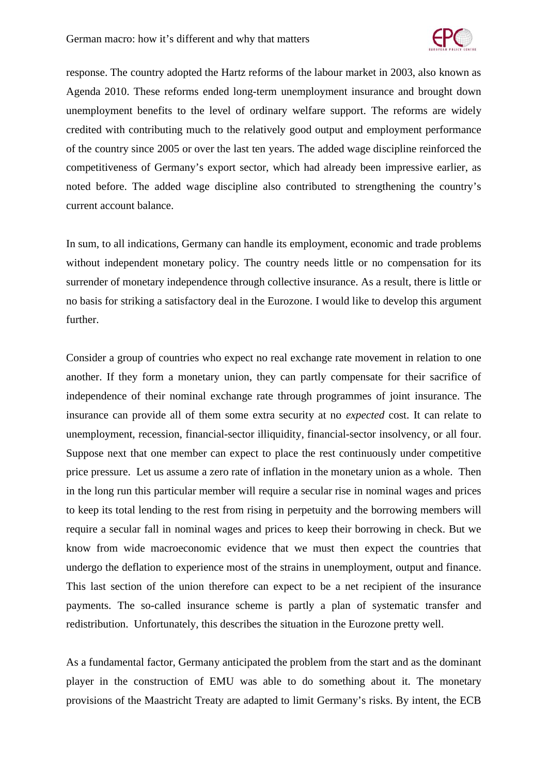

response. The country adopted the Hartz reforms of the labour market in 2003, also known as Agenda 2010. These reforms ended long-term unemployment insurance and brought down unemployment benefits to the level of ordinary welfare support. The reforms are widely credited with contributing much to the relatively good output and employment performance of the country since 2005 or over the last ten years. The added wage discipline reinforced the competitiveness of Germany's export sector, which had already been impressive earlier, as noted before. The added wage discipline also contributed to strengthening the country's current account balance.

In sum, to all indications, Germany can handle its employment, economic and trade problems without independent monetary policy. The country needs little or no compensation for its surrender of monetary independence through collective insurance. As a result, there is little or no basis for striking a satisfactory deal in the Eurozone. I would like to develop this argument further.

Consider a group of countries who expect no real exchange rate movement in relation to one another. If they form a monetary union, they can partly compensate for their sacrifice of independence of their nominal exchange rate through programmes of joint insurance. The insurance can provide all of them some extra security at no *expected* cost. It can relate to unemployment, recession, financial-sector illiquidity, financial-sector insolvency, or all four. Suppose next that one member can expect to place the rest continuously under competitive price pressure. Let us assume a zero rate of inflation in the monetary union as a whole. Then in the long run this particular member will require a secular rise in nominal wages and prices to keep its total lending to the rest from rising in perpetuity and the borrowing members will require a secular fall in nominal wages and prices to keep their borrowing in check. But we know from wide macroeconomic evidence that we must then expect the countries that undergo the deflation to experience most of the strains in unemployment, output and finance. This last section of the union therefore can expect to be a net recipient of the insurance payments. The so-called insurance scheme is partly a plan of systematic transfer and redistribution. Unfortunately, this describes the situation in the Eurozone pretty well.

As a fundamental factor, Germany anticipated the problem from the start and as the dominant player in the construction of EMU was able to do something about it. The monetary provisions of the Maastricht Treaty are adapted to limit Germany's risks. By intent, the ECB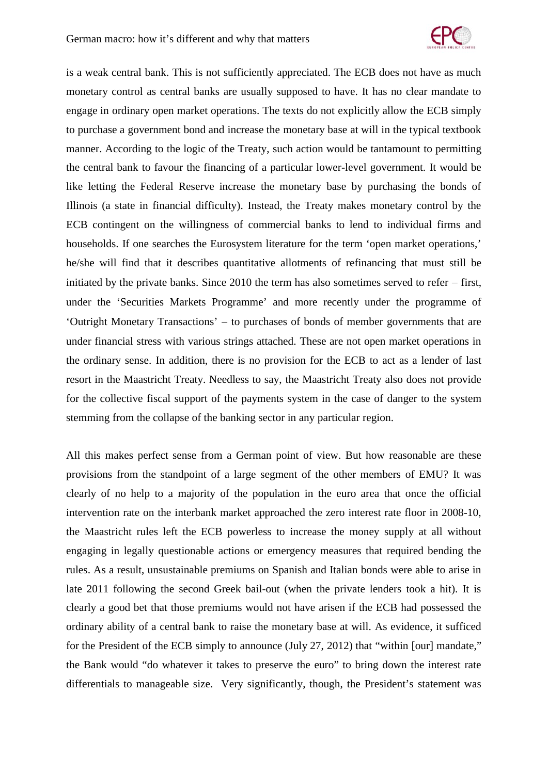

is a weak central bank. This is not sufficiently appreciated. The ECB does not have as much monetary control as central banks are usually supposed to have. It has no clear mandate to engage in ordinary open market operations. The texts do not explicitly allow the ECB simply to purchase a government bond and increase the monetary base at will in the typical textbook manner. According to the logic of the Treaty, such action would be tantamount to permitting the central bank to favour the financing of a particular lower-level government. It would be like letting the Federal Reserve increase the monetary base by purchasing the bonds of Illinois (a state in financial difficulty). Instead, the Treaty makes monetary control by the ECB contingent on the willingness of commercial banks to lend to individual firms and households. If one searches the Eurosystem literature for the term 'open market operations,' he/she will find that it describes quantitative allotments of refinancing that must still be initiated by the private banks. Since  $2010$  the term has also sometimes served to refer – first, under the 'Securities Markets Programme' and more recently under the programme of 'Outright Monetary Transactions' - to purchases of bonds of member governments that are under financial stress with various strings attached. These are not open market operations in the ordinary sense. In addition, there is no provision for the ECB to act as a lender of last resort in the Maastricht Treaty. Needless to say, the Maastricht Treaty also does not provide for the collective fiscal support of the payments system in the case of danger to the system stemming from the collapse of the banking sector in any particular region.

All this makes perfect sense from a German point of view. But how reasonable are these provisions from the standpoint of a large segment of the other members of EMU? It was clearly of no help to a majority of the population in the euro area that once the official intervention rate on the interbank market approached the zero interest rate floor in 2008-10, the Maastricht rules left the ECB powerless to increase the money supply at all without engaging in legally questionable actions or emergency measures that required bending the rules. As a result, unsustainable premiums on Spanish and Italian bonds were able to arise in late 2011 following the second Greek bail-out (when the private lenders took a hit). It is clearly a good bet that those premiums would not have arisen if the ECB had possessed the ordinary ability of a central bank to raise the monetary base at will. As evidence, it sufficed for the President of the ECB simply to announce (July 27, 2012) that "within [our] mandate," the Bank would "do whatever it takes to preserve the euro" to bring down the interest rate differentials to manageable size. Very significantly, though, the President's statement was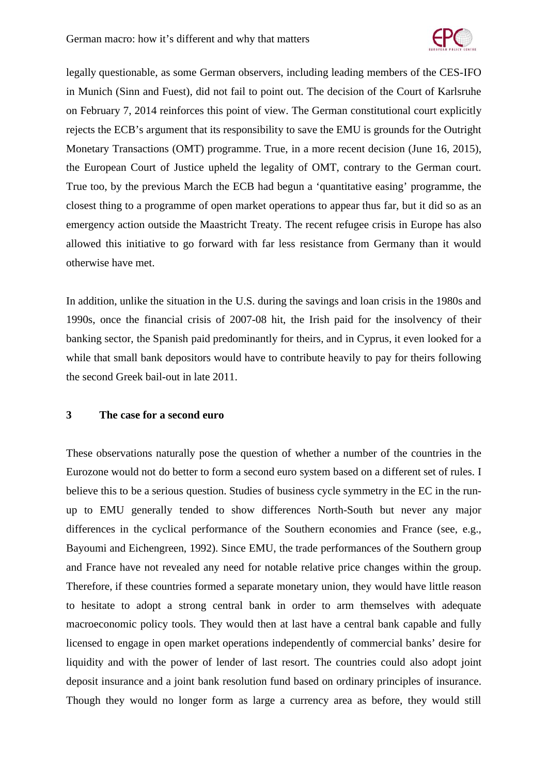

legally questionable, as some German observers, including leading members of the CES-IFO in Munich (Sinn and Fuest), did not fail to point out. The decision of the Court of Karlsruhe on February 7, 2014 reinforces this point of view. The German constitutional court explicitly rejects the ECB's argument that its responsibility to save the EMU is grounds for the Outright Monetary Transactions (OMT) programme. True, in a more recent decision (June 16, 2015), the European Court of Justice upheld the legality of OMT, contrary to the German court. True too, by the previous March the ECB had begun a 'quantitative easing' programme, the closest thing to a programme of open market operations to appear thus far, but it did so as an emergency action outside the Maastricht Treaty. The recent refugee crisis in Europe has also allowed this initiative to go forward with far less resistance from Germany than it would otherwise have met.

In addition, unlike the situation in the U.S. during the savings and loan crisis in the 1980s and 1990s, once the financial crisis of 2007-08 hit, the Irish paid for the insolvency of their banking sector, the Spanish paid predominantly for theirs, and in Cyprus, it even looked for a while that small bank depositors would have to contribute heavily to pay for theirs following the second Greek bail-out in late 2011.

#### **3 The case for a second euro**

These observations naturally pose the question of whether a number of the countries in the Eurozone would not do better to form a second euro system based on a different set of rules. I believe this to be a serious question. Studies of business cycle symmetry in the EC in the runup to EMU generally tended to show differences North-South but never any major differences in the cyclical performance of the Southern economies and France (see, e.g., Bayoumi and Eichengreen, 1992). Since EMU, the trade performances of the Southern group and France have not revealed any need for notable relative price changes within the group. Therefore, if these countries formed a separate monetary union, they would have little reason to hesitate to adopt a strong central bank in order to arm themselves with adequate macroeconomic policy tools. They would then at last have a central bank capable and fully licensed to engage in open market operations independently of commercial banks' desire for liquidity and with the power of lender of last resort. The countries could also adopt joint deposit insurance and a joint bank resolution fund based on ordinary principles of insurance. Though they would no longer form as large a currency area as before, they would still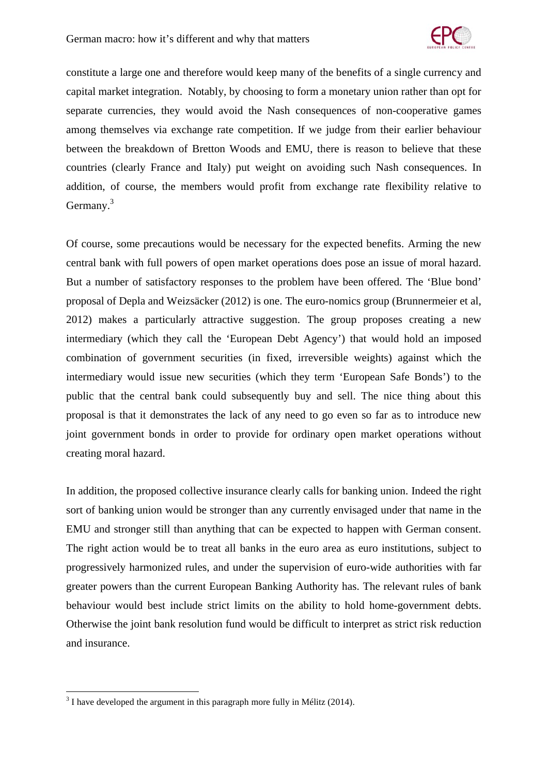

constitute a large one and therefore would keep many of the benefits of a single currency and capital market integration. Notably, by choosing to form a monetary union rather than opt for separate currencies, they would avoid the Nash consequences of non-cooperative games among themselves via exchange rate competition. If we judge from their earlier behaviour between the breakdown of Bretton Woods and EMU, there is reason to believe that these countries (clearly France and Italy) put weight on avoiding such Nash consequences. In addition, of course, the members would profit from exchange rate flexibility relative to Germany.<sup>3</sup>

Of course, some precautions would be necessary for the expected benefits. Arming the new central bank with full powers of open market operations does pose an issue of moral hazard. But a number of satisfactory responses to the problem have been offered. The 'Blue bond' proposal of Depla and Weizsäcker (2012) is one. The euro-nomics group (Brunnermeier et al, 2012) makes a particularly attractive suggestion. The group proposes creating a new intermediary (which they call the 'European Debt Agency') that would hold an imposed combination of government securities (in fixed, irreversible weights) against which the intermediary would issue new securities (which they term 'European Safe Bonds') to the public that the central bank could subsequently buy and sell. The nice thing about this proposal is that it demonstrates the lack of any need to go even so far as to introduce new joint government bonds in order to provide for ordinary open market operations without creating moral hazard.

In addition, the proposed collective insurance clearly calls for banking union. Indeed the right sort of banking union would be stronger than any currently envisaged under that name in the EMU and stronger still than anything that can be expected to happen with German consent. The right action would be to treat all banks in the euro area as euro institutions, subject to progressively harmonized rules, and under the supervision of euro-wide authorities with far greater powers than the current European Banking Authority has. The relevant rules of bank behaviour would best include strict limits on the ability to hold home-government debts. Otherwise the joint bank resolution fund would be difficult to interpret as strict risk reduction and insurance.

 $3$  I have developed the argument in this paragraph more fully in Mélitz (2014).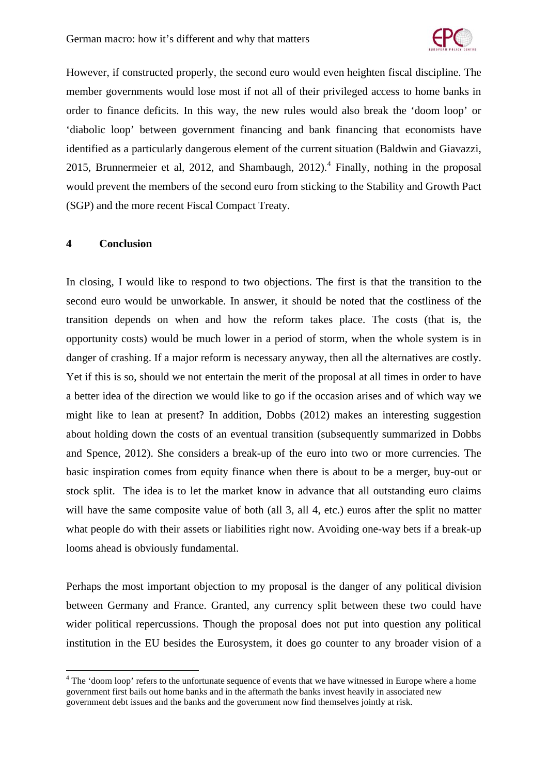

However, if constructed properly, the second euro would even heighten fiscal discipline. The member governments would lose most if not all of their privileged access to home banks in order to finance deficits. In this way, the new rules would also break the 'doom loop' or 'diabolic loop' between government financing and bank financing that economists have identified as a particularly dangerous element of the current situation (Baldwin and Giavazzi, 2015, Brunnermeier et al, 2012, and Shambaugh,  $2012$ <sup>4</sup> Finally, nothing in the proposal would prevent the members of the second euro from sticking to the Stability and Growth Pact (SGP) and the more recent Fiscal Compact Treaty.

#### **4 Conclusion**

In closing, I would like to respond to two objections. The first is that the transition to the second euro would be unworkable. In answer, it should be noted that the costliness of the transition depends on when and how the reform takes place. The costs (that is, the opportunity costs) would be much lower in a period of storm, when the whole system is in danger of crashing. If a major reform is necessary anyway, then all the alternatives are costly. Yet if this is so, should we not entertain the merit of the proposal at all times in order to have a better idea of the direction we would like to go if the occasion arises and of which way we might like to lean at present? In addition, Dobbs (2012) makes an interesting suggestion about holding down the costs of an eventual transition (subsequently summarized in Dobbs and Spence, 2012). She considers a break-up of the euro into two or more currencies. The basic inspiration comes from equity finance when there is about to be a merger, buy-out or stock split. The idea is to let the market know in advance that all outstanding euro claims will have the same composite value of both (all 3, all 4, etc.) euros after the split no matter what people do with their assets or liabilities right now. Avoiding one-way bets if a break-up looms ahead is obviously fundamental.

Perhaps the most important objection to my proposal is the danger of any political division between Germany and France. Granted, any currency split between these two could have wider political repercussions. Though the proposal does not put into question any political institution in the EU besides the Eurosystem, it does go counter to any broader vision of a

<sup>&</sup>lt;sup>4</sup> The 'doom loop' refers to the unfortunate sequence of events that we have witnessed in Europe where a home government first bails out home banks and in the aftermath the banks invest heavily in associated new government debt issues and the banks and the government now find themselves jointly at risk.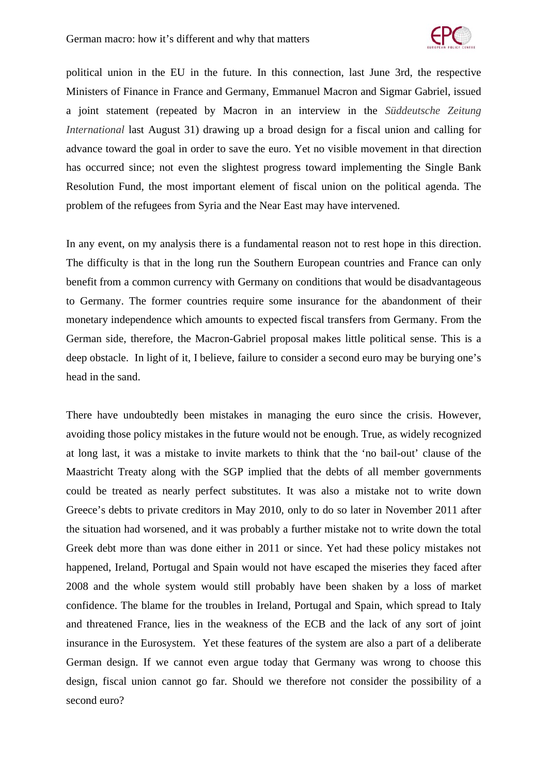

political union in the EU in the future. In this connection, last June 3rd, the respective Ministers of Finance in France and Germany, Emmanuel Macron and Sigmar Gabriel, issued a joint statement (repeated by Macron in an interview in the *Süddeutsche Zeitung International* last August 31) drawing up a broad design for a fiscal union and calling for advance toward the goal in order to save the euro. Yet no visible movement in that direction has occurred since; not even the slightest progress toward implementing the Single Bank Resolution Fund, the most important element of fiscal union on the political agenda. The problem of the refugees from Syria and the Near East may have intervened.

In any event, on my analysis there is a fundamental reason not to rest hope in this direction. The difficulty is that in the long run the Southern European countries and France can only benefit from a common currency with Germany on conditions that would be disadvantageous to Germany. The former countries require some insurance for the abandonment of their monetary independence which amounts to expected fiscal transfers from Germany. From the German side, therefore, the Macron-Gabriel proposal makes little political sense. This is a deep obstacle. In light of it, I believe, failure to consider a second euro may be burying one's head in the sand.

There have undoubtedly been mistakes in managing the euro since the crisis. However, avoiding those policy mistakes in the future would not be enough. True, as widely recognized at long last, it was a mistake to invite markets to think that the 'no bail-out' clause of the Maastricht Treaty along with the SGP implied that the debts of all member governments could be treated as nearly perfect substitutes. It was also a mistake not to write down Greece's debts to private creditors in May 2010, only to do so later in November 2011 after the situation had worsened, and it was probably a further mistake not to write down the total Greek debt more than was done either in 2011 or since. Yet had these policy mistakes not happened, Ireland, Portugal and Spain would not have escaped the miseries they faced after 2008 and the whole system would still probably have been shaken by a loss of market confidence. The blame for the troubles in Ireland, Portugal and Spain, which spread to Italy and threatened France, lies in the weakness of the ECB and the lack of any sort of joint insurance in the Eurosystem. Yet these features of the system are also a part of a deliberate German design. If we cannot even argue today that Germany was wrong to choose this design, fiscal union cannot go far. Should we therefore not consider the possibility of a second euro?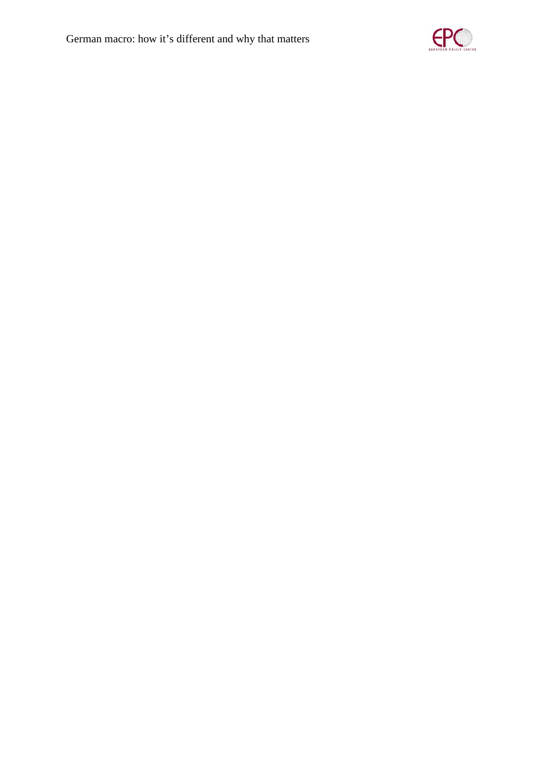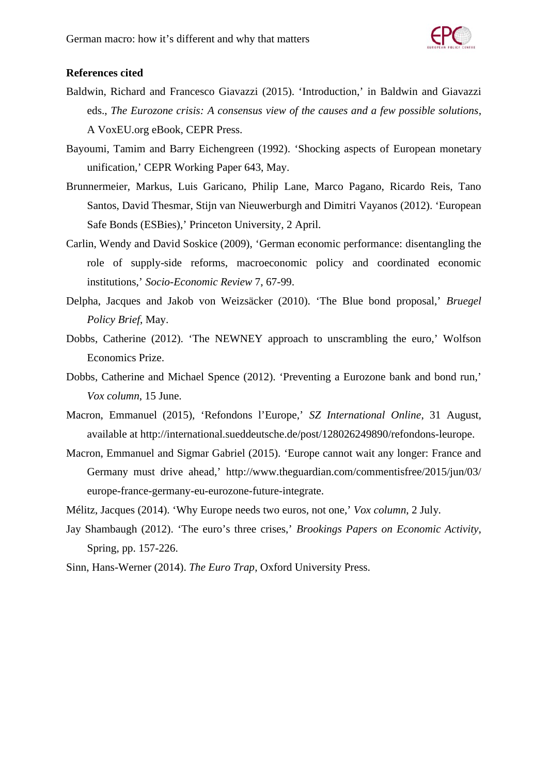

#### **References cited**

- Baldwin, Richard and Francesco Giavazzi (2015). 'Introduction,' in Baldwin and Giavazzi eds., *The Eurozone crisis: A consensus view of the causes and a few possible solutions*, A VoxEU.org eBook, CEPR Press.
- Bayoumi, Tamim and Barry Eichengreen (1992). 'Shocking aspects of European monetary unification,' CEPR Working Paper 643, May.
- Brunnermeier, Markus, Luis Garicano, Philip Lane, Marco Pagano, Ricardo Reis, Tano Santos, David Thesmar, Stijn van Nieuwerburgh and Dimitri Vayanos (2012). 'European Safe Bonds (ESBies),' Princeton University, 2 April.
- Carlin, Wendy and David Soskice (2009), 'German economic performance: disentangling the role of supply-side reforms, macroeconomic policy and coordinated economic institutions,' *Socio-Economic Review* 7, 67-99.
- Delpha, Jacques and Jakob von Weizsäcker (2010). 'The Blue bond proposal,' *Bruegel Policy Brief*, May.
- Dobbs, Catherine (2012). 'The NEWNEY approach to unscrambling the euro,' Wolfson Economics Prize.
- Dobbs, Catherine and Michael Spence (2012). 'Preventing a Eurozone bank and bond run,' *Vox column*, 15 June.
- Macron, Emmanuel (2015), 'Refondons l'Europe,' *SZ International Online*, 31 August, available at [http://international.sueddeutsche.de/post/128026249890/refondons-leurope.](http://international.sueddeutsche.de/post/128026249890/refondons-leurope)
- Macron, Emmanuel and Sigmar Gabriel (2015). 'Europe cannot wait any longer: France and Germany must drive ahead,' http://www.theguardian.com/commentisfree/2015/jun/03/ europe-france-germany-eu-eurozone-future-integrate.
- Mélitz, Jacques (2014). 'Why Europe needs two euros, not one,' *Vox column*, 2 July.
- Jay Shambaugh (2012). 'The euro's three crises,' *Brookings Papers on Economic Activity*, Spring, pp. 157-226.
- Sinn, Hans-Werner (2014). *The Euro Trap*, Oxford University Press.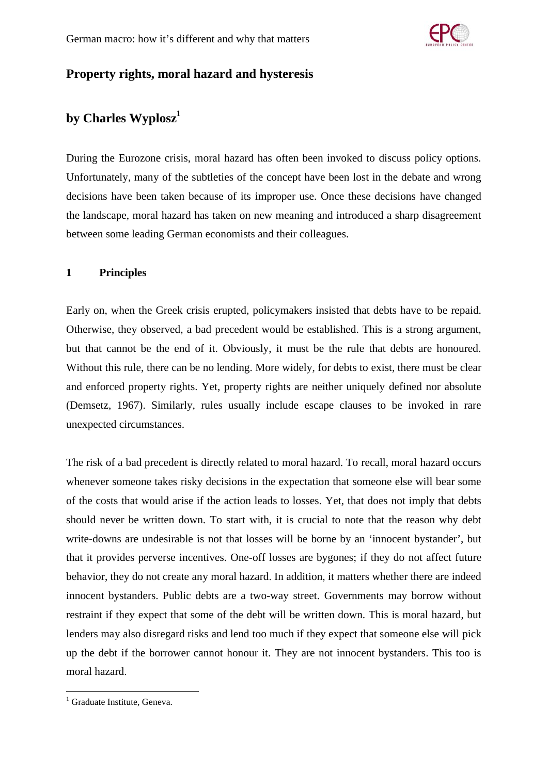

## **Property rights, moral hazard and hysteresis**

# by Charles Wyplosz<sup>1</sup>

During the Eurozone crisis, moral hazard has often been invoked to discuss policy options. Unfortunately, many of the subtleties of the concept have been lost in the debate and wrong decisions have been taken because of its improper use. Once these decisions have changed the landscape, moral hazard has taken on new meaning and introduced a sharp disagreement between some leading German economists and their colleagues.

#### **1 Principles**

Early on, when the Greek crisis erupted, policymakers insisted that debts have to be repaid. Otherwise, they observed, a bad precedent would be established. This is a strong argument, but that cannot be the end of it. Obviously, it must be the rule that debts are honoured. Without this rule, there can be no lending. More widely, for debts to exist, there must be clear and enforced property rights. Yet, property rights are neither uniquely defined nor absolute (Demsetz, 1967). Similarly, rules usually include escape clauses to be invoked in rare unexpected circumstances.

The risk of a bad precedent is directly related to moral hazard. To recall, moral hazard occurs whenever someone takes risky decisions in the expectation that someone else will bear some of the costs that would arise if the action leads to losses. Yet, that does not imply that debts should never be written down. To start with, it is crucial to note that the reason why debt write-downs are undesirable is not that losses will be borne by an 'innocent bystander', but that it provides perverse incentives. One-off losses are bygones; if they do not affect future behavior, they do not create any moral hazard. In addition, it matters whether there are indeed innocent bystanders. Public debts are a two-way street. Governments may borrow without restraint if they expect that some of the debt will be written down. This is moral hazard, but lenders may also disregard risks and lend too much if they expect that someone else will pick up the debt if the borrower cannot honour it. They are not innocent bystanders. This too is moral hazard.

 $<sup>1</sup>$  Graduate Institute, Geneva.</sup>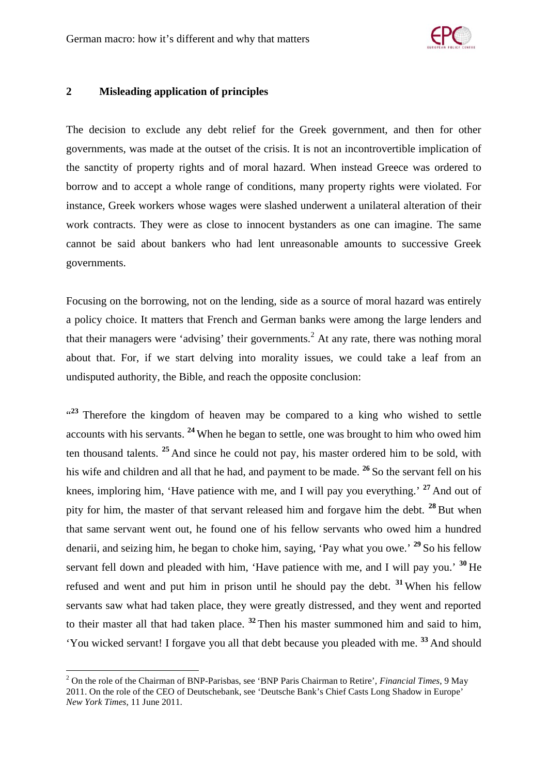

#### **2 Misleading application of principles**

The decision to exclude any debt relief for the Greek government, and then for other governments, was made at the outset of the crisis. It is not an incontrovertible implication of the sanctity of property rights and of moral hazard. When instead Greece was ordered to borrow and to accept a whole range of conditions, many property rights were violated. For instance, Greek workers whose wages were slashed underwent a unilateral alteration of their work contracts. They were as close to innocent bystanders as one can imagine. The same cannot be said about bankers who had lent unreasonable amounts to successive Greek governments.

Focusing on the borrowing, not on the lending, side as a source of moral hazard was entirely a policy choice. It matters that French and German banks were among the large lenders and that their managers were 'advising' their governments.<sup>2</sup> At any rate, there was nothing moral about that. For, if we start delving into morality issues, we could take a leaf from an undisputed authority, the Bible, and reach the opposite conclusion:

<sup>23</sup> Therefore the kingdom of heaven may be compared to a king who wished to settle accounts with his servants. **<sup>24</sup>** When he began to settle, one was brought to him who owed him ten thousand talents. **<sup>25</sup>** And since he could not pay, his master ordered him to be sold, with his wife and children and all that he had, and payment to be made. **<sup>26</sup>** So the servant fell on his knees, imploring him, 'Have patience with me, and I will pay you everything.' **<sup>27</sup>** And out of pity for him, the master of that servant released him and forgave him the debt. **<sup>28</sup>** But when that same servant went out, he found one of his fellow servants who owed him a hundred denarii, and seizing him, he began to choke him, saying, 'Pay what you owe.' **<sup>29</sup>** So his fellow servant fell down and pleaded with him, 'Have patience with me, and I will pay you.' **<sup>30</sup>** He refused and went and put him in prison until he should pay the debt. **<sup>31</sup>** When his fellow servants saw what had taken place, they were greatly distressed, and they went and reported to their master all that had taken place. **<sup>32</sup>** Then his master summoned him and said to him, 'You wicked servant! I forgave you all that debt because you pleaded with me. **<sup>33</sup>** And should

<sup>2</sup> On the role of the Chairman of BNP-Parisbas, see 'BNP Paris Chairman to Retire', *Financial Times*, 9 May 2011. On the role of the CEO of Deutschebank, see 'Deutsche Bank's Chief Casts Long Shadow in Europe' *New York Times*, 11 June 2011.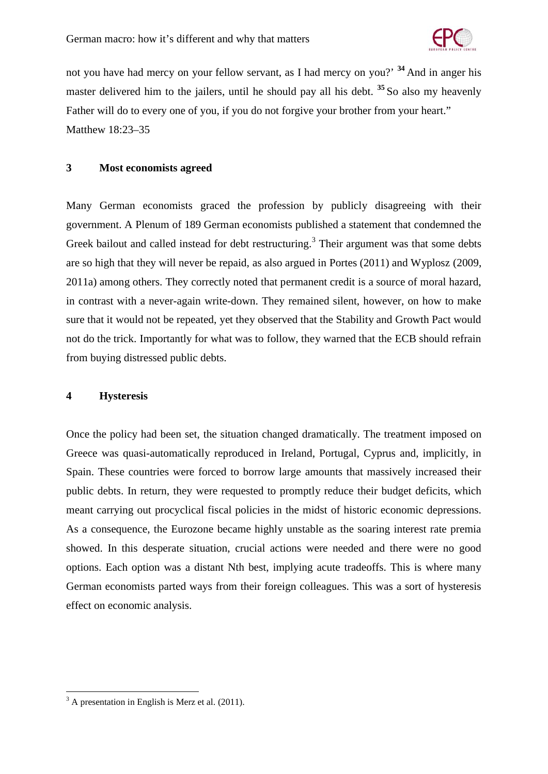

not you have had mercy on your fellow servant, as I had mercy on you?' **<sup>34</sup>** And in anger his master delivered him to the jailers, until he should pay all his debt.  $35$  So also my heavenly Father will do to every one of you, if you do not forgive your brother from your heart." Matthew 18:23–35

## **3 Most economists agreed**

Many German economists graced the profession by publicly disagreeing with their government. A Plenum of 189 German economists published a statement that condemned the Greek bailout and called instead for debt restructuring.<sup>3</sup> Their argument was that some debts are so high that they will never be repaid, as also argued in Portes (2011) and Wyplosz (2009, 2011a) among others. They correctly noted that permanent credit is a source of moral hazard, in contrast with a never-again write-down. They remained silent, however, on how to make sure that it would not be repeated, yet they observed that the Stability and Growth Pact would not do the trick. Importantly for what was to follow, they warned that the ECB should refrain from buying distressed public debts.

## **4 Hysteresis**

Once the policy had been set, the situation changed dramatically. The treatment imposed on Greece was quasi-automatically reproduced in Ireland, Portugal, Cyprus and, implicitly, in Spain. These countries were forced to borrow large amounts that massively increased their public debts. In return, they were requested to promptly reduce their budget deficits, which meant carrying out procyclical fiscal policies in the midst of historic economic depressions. As a consequence, the Eurozone became highly unstable as the soaring interest rate premia showed. In this desperate situation, crucial actions were needed and there were no good options. Each option was a distant Nth best, implying acute tradeoffs. This is where many German economists parted ways from their foreign colleagues. This was a sort of hysteresis effect on economic analysis.

 $3$  A presentation in English is Merz et al. (2011).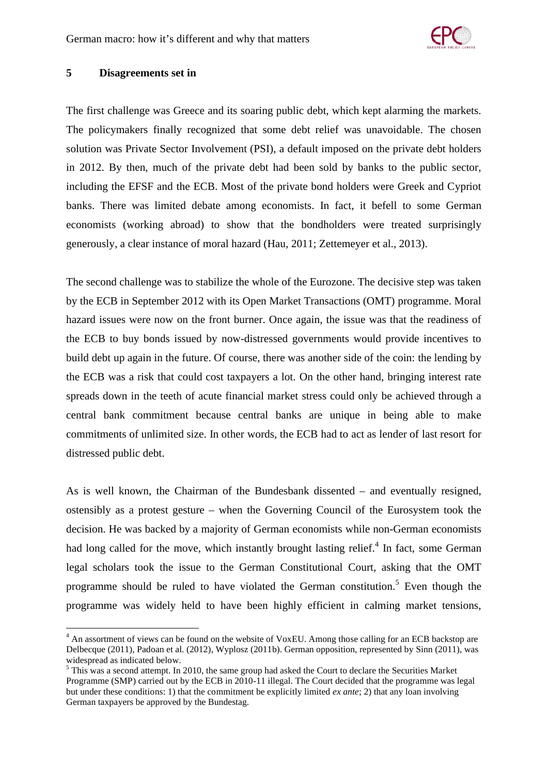

#### **5 Disagreements set in**

The first challenge was Greece and its soaring public debt, which kept alarming the markets. The policymakers finally recognized that some debt relief was unavoidable. The chosen solution was Private Sector Involvement (PSI), a default imposed on the private debt holders in 2012. By then, much of the private debt had been sold by banks to the public sector, including the EFSF and the ECB. Most of the private bond holders were Greek and Cypriot banks. There was limited debate among economists. In fact, it befell to some German economists (working abroad) to show that the bondholders were treated surprisingly generously, a clear instance of moral hazard (Hau, 2011; Zettemeyer et al., 2013).

The second challenge was to stabilize the whole of the Eurozone. The decisive step was taken by the ECB in September 2012 with its Open Market Transactions (OMT) programme. Moral hazard issues were now on the front burner. Once again, the issue was that the readiness of the ECB to buy bonds issued by now-distressed governments would provide incentives to build debt up again in the future. Of course, there was another side of the coin: the lending by the ECB was a risk that could cost taxpayers a lot. On the other hand, bringing interest rate spreads down in the teeth of acute financial market stress could only be achieved through a central bank commitment because central banks are unique in being able to make commitments of unlimited size. In other words, the ECB had to act as lender of last resort for distressed public debt.

As is well known, the Chairman of the Bundesbank dissented – and eventually resigned, ostensibly as a protest gesture – when the Governing Council of the Eurosystem took the decision. He was backed by a majority of German economists while non-German economists had long called for the move, which instantly brought lasting relief.<sup>4</sup> In fact, some German legal scholars took the issue to the German Constitutional Court, asking that the OMT programme should be ruled to have violated the German constitution.<sup>5</sup> Even though the programme was widely held to have been highly efficient in calming market tensions,

<sup>&</sup>lt;sup>4</sup> An assortment of views can be found on the website of VoxEU. Among those calling for an ECB backstop are Delbecque (2011), Padoan et al. (2012), Wyplosz (2011b). German opposition, represented by Sinn (2011), was widespread as indicated below.

<sup>&</sup>lt;sup>5</sup> This was a second attempt. In 2010, the same group had asked the Court to declare the Securities Market Programme (SMP) carried out by the ECB in 2010-11 illegal. The Court decided that the programme was legal but under these conditions: 1) that the commitment be explicitly limited *ex ante*; 2) that any loan involving German taxpayers be approved by the Bundestag.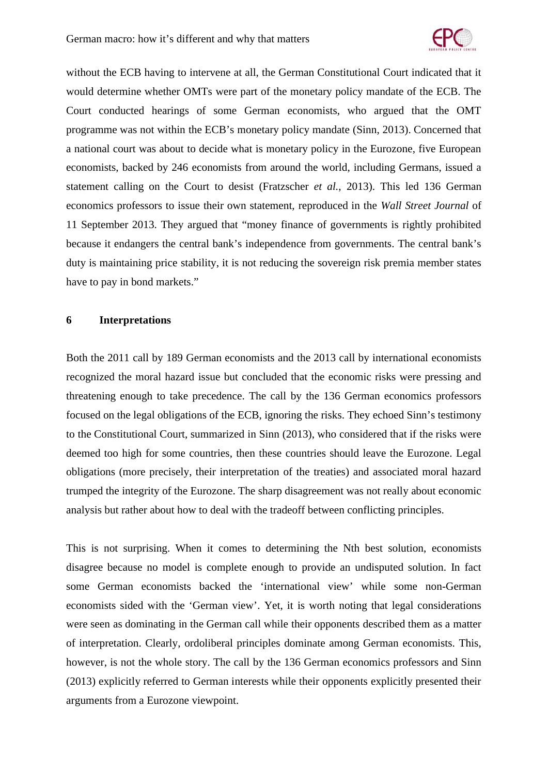

without the ECB having to intervene at all, the German Constitutional Court indicated that it would determine whether OMTs were part of the monetary policy mandate of the ECB. The Court conducted hearings of some German economists, who argued that the OMT programme was not within the ECB's monetary policy mandate (Sinn, 2013). Concerned that a national court was about to decide what is monetary policy in the Eurozone, five European economists, backed by 246 economists from around the world, including Germans, issued a statement calling on the Court to desist (Fratzscher *et al.*, 2013). This led 136 German economics professors to issue their own statement, reproduced in the *Wall Street Journal* of 11 September 2013. They argued that "money finance of governments is rightly prohibited because it endangers the central bank's independence from governments. The central bank's duty is maintaining price stability, it is not reducing the sovereign risk premia member states have to pay in bond markets."

#### **6 Interpretations**

Both the 2011 call by 189 German economists and the 2013 call by international economists recognized the moral hazard issue but concluded that the economic risks were pressing and threatening enough to take precedence. The call by the 136 German economics professors focused on the legal obligations of the ECB, ignoring the risks. They echoed Sinn's testimony to the Constitutional Court, summarized in Sinn (2013), who considered that if the risks were deemed too high for some countries, then these countries should leave the Eurozone. Legal obligations (more precisely, their interpretation of the treaties) and associated moral hazard trumped the integrity of the Eurozone. The sharp disagreement was not really about economic analysis but rather about how to deal with the tradeoff between conflicting principles.

This is not surprising. When it comes to determining the Nth best solution, economists disagree because no model is complete enough to provide an undisputed solution. In fact some German economists backed the 'international view' while some non-German economists sided with the 'German view'. Yet, it is worth noting that legal considerations were seen as dominating in the German call while their opponents described them as a matter of interpretation. Clearly, ordoliberal principles dominate among German economists. This, however, is not the whole story. The call by the 136 German economics professors and Sinn (2013) explicitly referred to German interests while their opponents explicitly presented their arguments from a Eurozone viewpoint.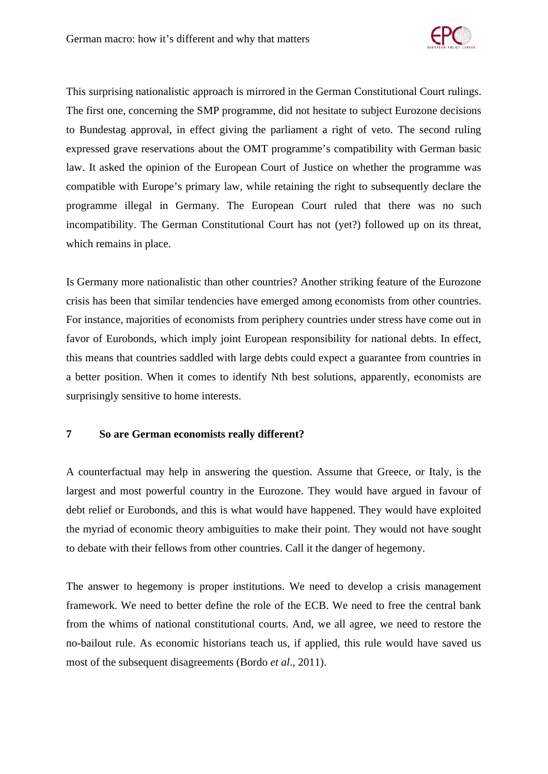

This surprising nationalistic approach is mirrored in the German Constitutional Court rulings. The first one, concerning the SMP programme, did not hesitate to subject Eurozone decisions to Bundestag approval, in effect giving the parliament a right of veto. The second ruling expressed grave reservations about the OMT programme's compatibility with German basic law. It asked the opinion of the European Court of Justice on whether the programme was compatible with Europe's primary law, while retaining the right to subsequently declare the programme illegal in Germany. The European Court ruled that there was no such incompatibility. The German Constitutional Court has not (yet?) followed up on its threat, which remains in place.

Is Germany more nationalistic than other countries? Another striking feature of the Eurozone crisis has been that similar tendencies have emerged among economists from other countries. For instance, majorities of economists from periphery countries under stress have come out in favor of Eurobonds, which imply joint European responsibility for national debts. In effect, this means that countries saddled with large debts could expect a guarantee from countries in a better position. When it comes to identify Nth best solutions, apparently, economists are surprisingly sensitive to home interests.

## **7 So are German economists really different?**

A counterfactual may help in answering the question. Assume that Greece, or Italy, is the largest and most powerful country in the Eurozone. They would have argued in favour of debt relief or Eurobonds, and this is what would have happened. They would have exploited the myriad of economic theory ambiguities to make their point. They would not have sought to debate with their fellows from other countries. Call it the danger of hegemony.

The answer to hegemony is proper institutions. We need to develop a crisis management framework. We need to better define the role of the ECB. We need to free the central bank from the whims of national constitutional courts. And, we all agree, we need to restore the no-bailout rule. As economic historians teach us, if applied, this rule would have saved us most of the subsequent disagreements (Bordo *et al*., 2011).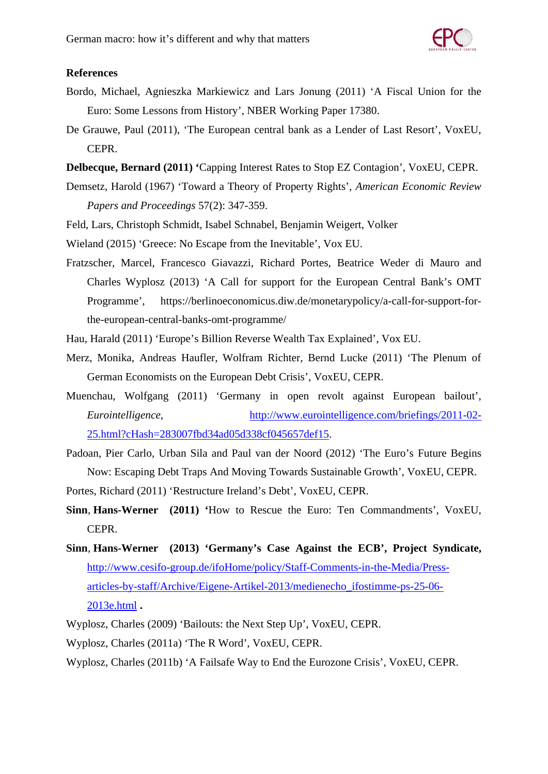

#### **References**

- Bordo, Michael, Agnieszka Markiewicz and Lars Jonung (2011) 'A Fiscal Union for the Euro: Some Lessons from History', NBER Working Paper 17380.
- De Grauwe, Paul (2011), 'The European central bank as a Lender of Last Resort', VoxEU, CEPR.
- **Delbecque, Bernard (2011) '**Capping Interest Rates to Stop EZ Contagion', VoxEU, CEPR.
- Demsetz, Harold (1967) 'Toward a Theory of Property Rights', *American Economic Review Papers and Proceedings* 57(2): 347-359.
- Feld, Lars, Christoph Schmidt, Isabel Schnabel, Benjamin Weigert, Volker
- Wieland (2015) 'Greece: No Escape from the Inevitable', Vox EU.
- Fratzscher, Marcel, Francesco Giavazzi, Richard Portes, Beatrice Weder di Mauro and Charles Wyplosz (2013) 'A Call for support for the European Central Bank's OMT Programme', https://berlinoeconomicus.diw.de/monetarypolicy/a-call-for-support-forthe-european-central-banks-omt-programme/
- Hau, Harald (2011) 'Europe's Billion Reverse Wealth Tax Explained', Vox EU.
- Merz, Monika, Andreas Haufler, Wolfram Richter, Bernd Lucke (2011) 'The Plenum of German Economists on the European Debt Crisis', VoxEU, CEPR.
- Muenchau, Wolfgang (2011) 'Germany in open revolt against European bailout', *Eurointelligence*, [http://www.eurointelligence.com/briefings/2011-02-](http://www.eurointelligence.com/briefings/2011-02-25.html?cHash=283007fbd34ad05d338cf045657def15) [25.html?cHash=283007fbd34ad05d338cf045657def15.](http://www.eurointelligence.com/briefings/2011-02-25.html?cHash=283007fbd34ad05d338cf045657def15)
- Padoan, Pier Carlo, Urban Sila and Paul van der Noord (2012) 'The Euro's Future Begins Now: Escaping Debt Traps And Moving Towards Sustainable Growth', VoxEU, CEPR.
- Portes, Richard (2011) 'Restructure Ireland's Debt', VoxEU, CEPR.
- **Sinn**, **Hans-Werner (2011) '**How to Rescue the Euro: Ten Commandments', VoxEU, CEPR.
- **Sinn**, **Hans-Werner (2013) 'Germany's Case Against the ECB', Project Syndicate,** [http://www.cesifo-group.de/ifoHome/policy/Staff-Comments-in-the-Media/Press](http://www.cesifo-group.de/ifoHome/policy/Staff-Comments-in-the-Media/Press-articles-by-staff/Archive/Eigene-Artikel-2013/medienecho_ifostimme-ps-25-06-2013e.html)[articles-by-staff/Archive/Eigene-Artikel-2013/medienecho\\_ifostimme-ps-25-06-](http://www.cesifo-group.de/ifoHome/policy/Staff-Comments-in-the-Media/Press-articles-by-staff/Archive/Eigene-Artikel-2013/medienecho_ifostimme-ps-25-06-2013e.html) [2013e.html](http://www.cesifo-group.de/ifoHome/policy/Staff-Comments-in-the-Media/Press-articles-by-staff/Archive/Eigene-Artikel-2013/medienecho_ifostimme-ps-25-06-2013e.html) **.**
- Wyplosz, Charles (2009) 'Bailouts: the Next Step Up', VoxEU, CEPR.

Wyplosz, Charles (2011a) 'The R Word', VoxEU, CEPR.

Wyplosz, Charles (2011b) 'A Failsafe Way to End the Eurozone Crisis', VoxEU, CEPR.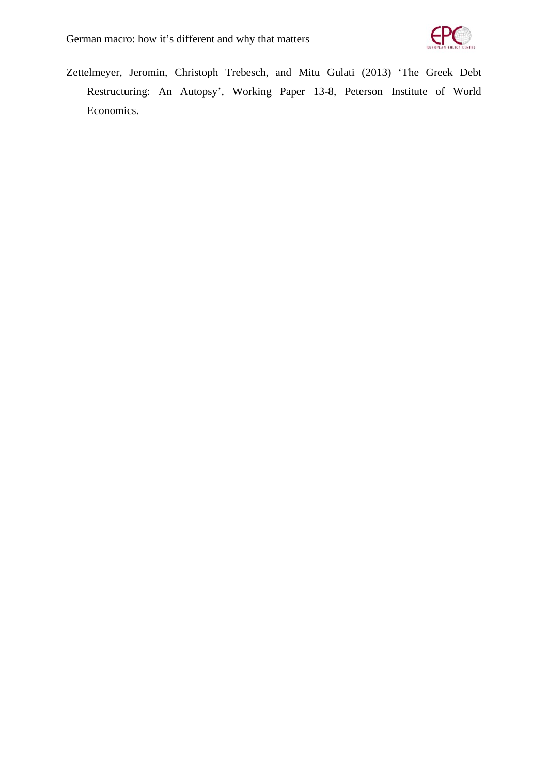

Zettelmeyer, Jeromin, Christoph Trebesch, and Mitu Gulati (2013) 'The Greek Debt Restructuring: An Autopsy', Working Paper 13-8, Peterson Institute of World Economics.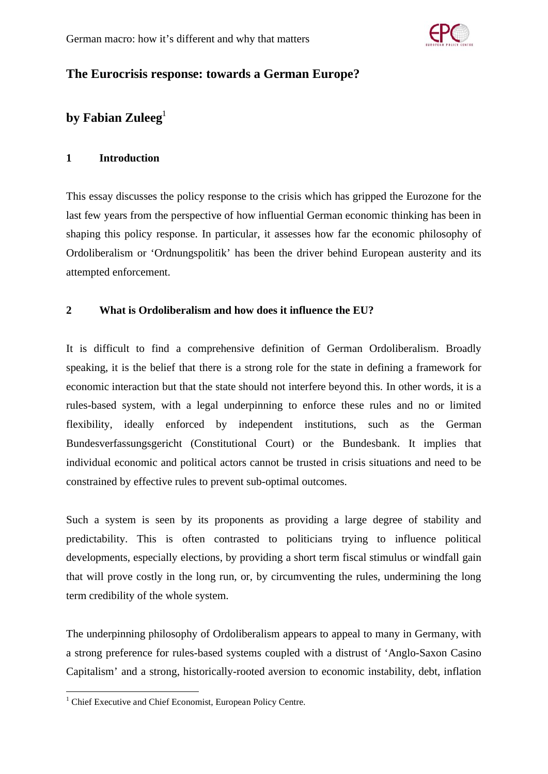

## **The Eurocrisis response: towards a German Europe?**

## **by Fabian Zuleeg**<sup>1</sup>

## **1 Introduction**

This essay discusses the policy response to the crisis which has gripped the Eurozone for the last few years from the perspective of how influential German economic thinking has been in shaping this policy response. In particular, it assesses how far the economic philosophy of Ordoliberalism or 'Ordnungspolitik' has been the driver behind European austerity and its attempted enforcement.

## **2 What is Ordoliberalism and how does it influence the EU?**

It is difficult to find a comprehensive definition of German Ordoliberalism. Broadly speaking, it is the belief that there is a strong role for the state in defining a framework for economic interaction but that the state should not interfere beyond this. In other words, it is a rules-based system, with a legal underpinning to enforce these rules and no or limited flexibility, ideally enforced by independent institutions, such as the German Bundesverfassungsgericht (Constitutional Court) or the Bundesbank. It implies that individual economic and political actors cannot be trusted in crisis situations and need to be constrained by effective rules to prevent sub-optimal outcomes.

Such a system is seen by its proponents as providing a large degree of stability and predictability. This is often contrasted to politicians trying to influence political developments, especially elections, by providing a short term fiscal stimulus or windfall gain that will prove costly in the long run, or, by circumventing the rules, undermining the long term credibility of the whole system.

The underpinning philosophy of Ordoliberalism appears to appeal to many in Germany, with a strong preference for rules-based systems coupled with a distrust of 'Anglo-Saxon Casino Capitalism' and a strong, historically-rooted aversion to economic instability, debt, inflation

<sup>&</sup>lt;sup>1</sup> Chief Executive and Chief Economist, European Policy Centre.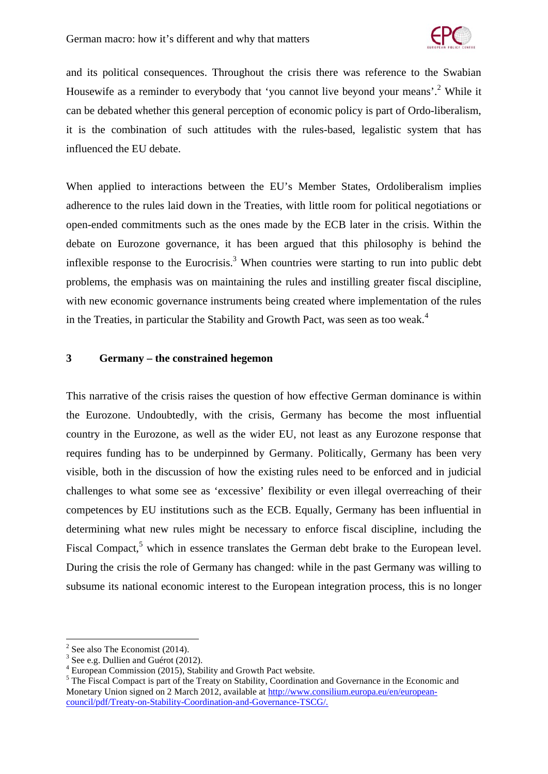

and its political consequences. Throughout the crisis there was reference to the Swabian Housewife as a reminder to everybody that 'you cannot live beyond your means'.<sup>2</sup> While it can be debated whether this general perception of economic policy is part of Ordo-liberalism, it is the combination of such attitudes with the rules-based, legalistic system that has influenced the EU debate.

When applied to interactions between the EU's Member States, Ordoliberalism implies adherence to the rules laid down in the Treaties, with little room for political negotiations or open-ended commitments such as the ones made by the ECB later in the crisis. Within the debate on Eurozone governance, it has been argued that this philosophy is behind the inflexible response to the Eurocrisis.<sup>3</sup> When countries were starting to run into public debt problems, the emphasis was on maintaining the rules and instilling greater fiscal discipline, with new economic governance instruments being created where implementation of the rules in the Treaties, in particular the Stability and Growth Pact, was seen as too weak.<sup>4</sup>

#### **3 Germany – the constrained hegemon**

This narrative of the crisis raises the question of how effective German dominance is within the Eurozone. Undoubtedly, with the crisis, Germany has become the most influential country in the Eurozone, as well as the wider EU, not least as any Eurozone response that requires funding has to be underpinned by Germany. Politically, Germany has been very visible, both in the discussion of how the existing rules need to be enforced and in judicial challenges to what some see as 'excessive' flexibility or even illegal overreaching of their competences by EU institutions such as the ECB. Equally, Germany has been influential in determining what new rules might be necessary to enforce fiscal discipline, including the Fiscal Compact,<sup>5</sup> which in essence translates the German debt brake to the European level. During the crisis the role of Germany has changed: while in the past Germany was willing to subsume its national economic interest to the European integration process, this is no longer

See also The Economist (2014).

 $3$  See e.g. Dullien and Guérot (2012).

<sup>4</sup> European Commission (2015), Stability and Growth Pact website.

<sup>5</sup> The Fiscal Compact is part of the Treaty on Stability, Coordination and Governance in the Economic and Monetary Union signed on 2 March 2012, available at [http://www.consilium.europa.eu/en/european](http://www.consilium.europa.eu/en/european-council/pdf/Treaty-on-Stability-Coordination-and-Governance-TSCG/)[council/pdf/Treaty-on-Stability-Coordination-and-Governance-TSCG/.](http://www.consilium.europa.eu/en/european-council/pdf/Treaty-on-Stability-Coordination-and-Governance-TSCG/)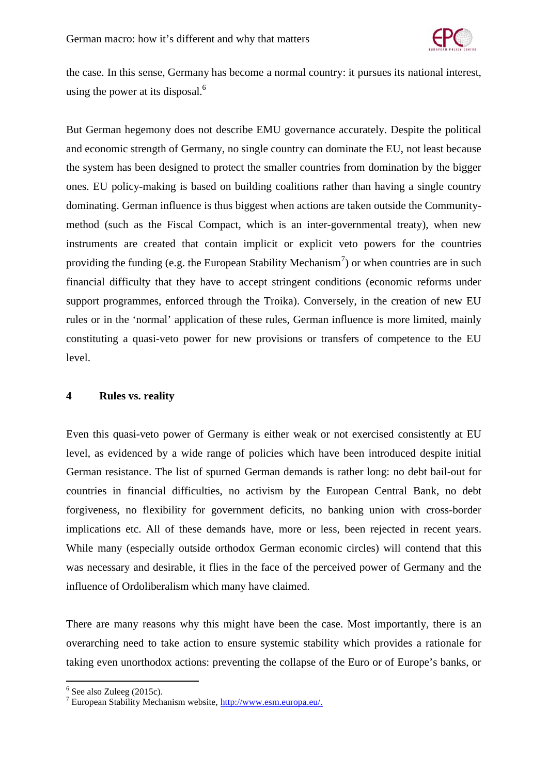

the case. In this sense, Germany has become a normal country: it pursues its national interest, using the power at its disposal. $<sup>6</sup>$ </sup>

But German hegemony does not describe EMU governance accurately. Despite the political and economic strength of Germany, no single country can dominate the EU, not least because the system has been designed to protect the smaller countries from domination by the bigger ones. EU policy-making is based on building coalitions rather than having a single country dominating. German influence is thus biggest when actions are taken outside the Communitymethod (such as the Fiscal Compact, which is an inter-governmental treaty), when new instruments are created that contain implicit or explicit veto powers for the countries providing the funding (e.g. the European Stability Mechanism<sup>7</sup>) or when countries are in such financial difficulty that they have to accept stringent conditions (economic reforms under support programmes, enforced through the Troika). Conversely, in the creation of new EU rules or in the 'normal' application of these rules, German influence is more limited, mainly constituting a quasi-veto power for new provisions or transfers of competence to the EU level.

## **4 Rules vs. reality**

Even this quasi-veto power of Germany is either weak or not exercised consistently at EU level, as evidenced by a wide range of policies which have been introduced despite initial German resistance. The list of spurned German demands is rather long: no debt bail-out for countries in financial difficulties, no activism by the European Central Bank, no debt forgiveness, no flexibility for government deficits, no banking union with cross-border implications etc. All of these demands have, more or less, been rejected in recent years. While many (especially outside orthodox German economic circles) will contend that this was necessary and desirable, it flies in the face of the perceived power of Germany and the influence of Ordoliberalism which many have claimed.

There are many reasons why this might have been the case. Most importantly, there is an overarching need to take action to ensure systemic stability which provides a rationale for taking even unorthodox actions: preventing the collapse of the Euro or of Europe's banks, or

 $6$  See also Zuleeg (2015c).

<sup>7</sup> European Stability Mechanism website, [http://www.esm.europa.eu/.](http://www.esm.europa.eu/)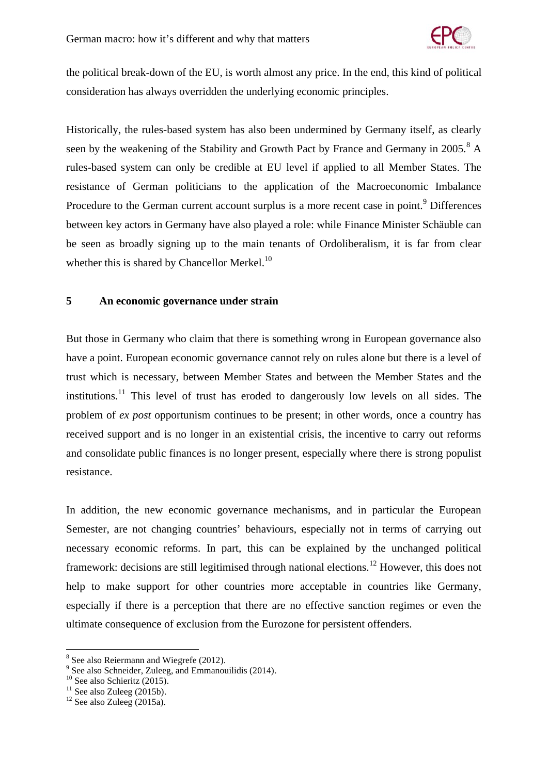

the political break-down of the EU, is worth almost any price. In the end, this kind of political consideration has always overridden the underlying economic principles.

Historically, the rules-based system has also been undermined by Germany itself, as clearly seen by the weakening of the Stability and Growth Pact by France and Germany in 2005.<sup>8</sup> A rules-based system can only be credible at EU level if applied to all Member States. The resistance of German politicians to the application of the Macroeconomic Imbalance Procedure to the German current account surplus is a more recent case in point.<sup>9</sup> Differences between key actors in Germany have also played a role: while Finance Minister Schäuble can be seen as broadly signing up to the main tenants of Ordoliberalism, it is far from clear whether this is shared by Chancellor Merkel.<sup>10</sup>

#### **5 An economic governance under strain**

But those in Germany who claim that there is something wrong in European governance also have a point. European economic governance cannot rely on rules alone but there is a level of trust which is necessary, between Member States and between the Member States and the institutions.<sup>11</sup> This level of trust has eroded to dangerously low levels on all sides. The problem of *ex post* opportunism continues to be present; in other words, once a country has received support and is no longer in an existential crisis, the incentive to carry out reforms and consolidate public finances is no longer present, especially where there is strong populist resistance.

In addition, the new economic governance mechanisms, and in particular the European Semester, are not changing countries' behaviours, especially not in terms of carrying out necessary economic reforms. In part, this can be explained by the unchanged political framework: decisions are still legitimised through national elections.<sup>12</sup> However, this does not help to make support for other countries more acceptable in countries like Germany, especially if there is a perception that there are no effective sanction regimes or even the ultimate consequence of exclusion from the Eurozone for persistent offenders.

<sup>8</sup> See also Reiermann and Wiegrefe (2012).

<sup>9</sup> See also Schneider, Zuleeg, and Emmanouilidis (2014).<br><sup>10</sup> See also Schieritz (2015).

<sup>&</sup>lt;sup>11</sup> See also Zuleeg (2015b). <sup>12</sup> See also Zuleeg (2015a).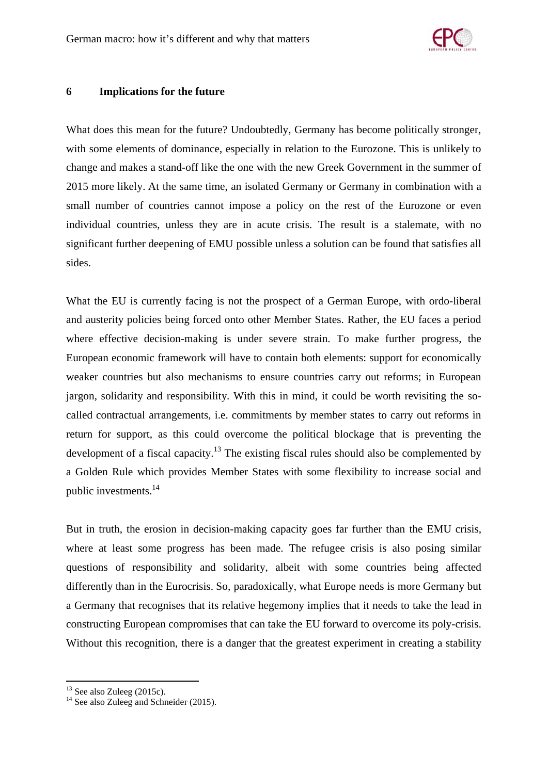

#### **6 Implications for the future**

What does this mean for the future? Undoubtedly, Germany has become politically stronger, with some elements of dominance, especially in relation to the Eurozone. This is unlikely to change and makes a stand-off like the one with the new Greek Government in the summer of 2015 more likely. At the same time, an isolated Germany or Germany in combination with a small number of countries cannot impose a policy on the rest of the Eurozone or even individual countries, unless they are in acute crisis. The result is a stalemate, with no significant further deepening of EMU possible unless a solution can be found that satisfies all sides.

What the EU is currently facing is not the prospect of a German Europe, with ordo-liberal and austerity policies being forced onto other Member States. Rather, the EU faces a period where effective decision-making is under severe strain. To make further progress, the European economic framework will have to contain both elements: support for economically weaker countries but also mechanisms to ensure countries carry out reforms; in European jargon, solidarity and responsibility. With this in mind, it could be worth revisiting the socalled contractual arrangements, i.e. commitments by member states to carry out reforms in return for support, as this could overcome the political blockage that is preventing the development of a fiscal capacity.<sup>13</sup> The existing fiscal rules should also be complemented by a Golden Rule which provides Member States with some flexibility to increase social and public investments.<sup>14</sup>

But in truth, the erosion in decision-making capacity goes far further than the EMU crisis, where at least some progress has been made. The refugee crisis is also posing similar questions of responsibility and solidarity, albeit with some countries being affected differently than in the Eurocrisis. So, paradoxically, what Europe needs is more Germany but a Germany that recognises that its relative hegemony implies that it needs to take the lead in constructing European compromises that can take the EU forward to overcome its poly-crisis. Without this recognition, there is a danger that the greatest experiment in creating a stability

<sup>&</sup>lt;sup>13</sup> See also Zuleeg (2015c).<br><sup>14</sup> See also Zuleeg and Schneider (2015).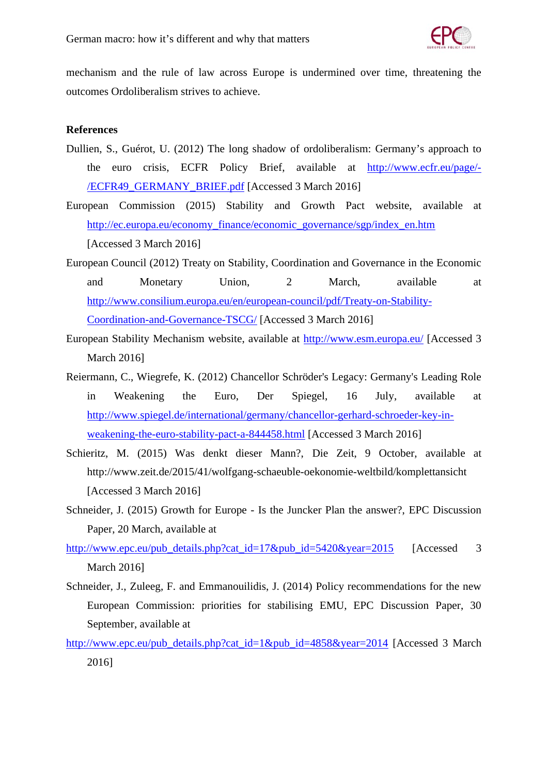

mechanism and the rule of law across Europe is undermined over time, threatening the outcomes Ordoliberalism strives to achieve.

#### **References**

- Dullien, S., Guérot, U. (2012) The long shadow of ordoliberalism: Germany's approach to the euro crisis, ECFR Policy Brief, available at [http://www.ecfr.eu/page/-](http://www.ecfr.eu/page/-/ECFR49_GERMANY_BRIEF.pdf) [/ECFR49\\_GERMANY\\_BRIEF.pdf](http://www.ecfr.eu/page/-/ECFR49_GERMANY_BRIEF.pdf) [Accessed 3 March 2016]
- European Commission (2015) Stability and Growth Pact website, available at [http://ec.europa.eu/economy\\_finance/economic\\_governance/sgp/index\\_en.htm](http://ec.europa.eu/economy_finance/economic_governance/sgp/index_en.htm) [Accessed 3 March 2016]
- European Council (2012) Treaty on Stability, Coordination and Governance in the Economic and Monetary Union, 2 March, available at [http://www.consilium.europa.eu/en/european-council/pdf/Treaty-on-Stability-](http://www.consilium.europa.eu/en/european-council/pdf/Treaty-on-Stability-Coordination-and-Governance-TSCG/)[Coordination-and-Governance-TSCG/](http://www.consilium.europa.eu/en/european-council/pdf/Treaty-on-Stability-Coordination-and-Governance-TSCG/) [Accessed 3 March 2016]
- European Stability Mechanism website, available at<http://www.esm.europa.eu/> [Accessed 3 March 2016]
- Reiermann, C., Wiegrefe, K. (2012) Chancellor Schröder's Legacy: Germany's Leading Role in Weakening the Euro, Der Spiegel, 16 July, available at [http://www.spiegel.de/international/germany/chancellor-gerhard-schroeder-key-in](http://www.spiegel.de/international/germany/chancellor-gerhard-schroeder-key-in-weakening-the-euro-stability-pact-a-844458.html)[weakening-the-euro-stability-pact-a-844458.html](http://www.spiegel.de/international/germany/chancellor-gerhard-schroeder-key-in-weakening-the-euro-stability-pact-a-844458.html) [Accessed 3 March 2016]
- Schieritz, M. (2015) Was denkt dieser Mann?, Die Zeit, 9 October, available at http://www.zeit.de/2015/41/wolfgang-schaeuble-oekonomie-weltbild/komplettansicht [Accessed 3 March 2016]
- Schneider, J. (2015) Growth for Europe Is the Juncker Plan the answer?, EPC Discussion Paper, 20 March, available at
- [http://www.epc.eu/pub\\_details.php?cat\\_id=17&pub\\_id=5420&year=2015](http://www.epc.eu/pub_details.php?cat_id=17&pub_id=5420&year=2015) [Accessed 3 March 2016]
- Schneider, J., Zuleeg, F. and Emmanouilidis, J. (2014) Policy recommendations for the new European Commission: priorities for stabilising EMU, EPC Discussion Paper, 30 September, available at
- [http://www.epc.eu/pub\\_details.php?cat\\_id=1&pub\\_id=4858&year=2014](http://www.epc.eu/pub_details.php?cat_id=1&pub_id=4858&year=2014) [Accessed 3 March 2016]